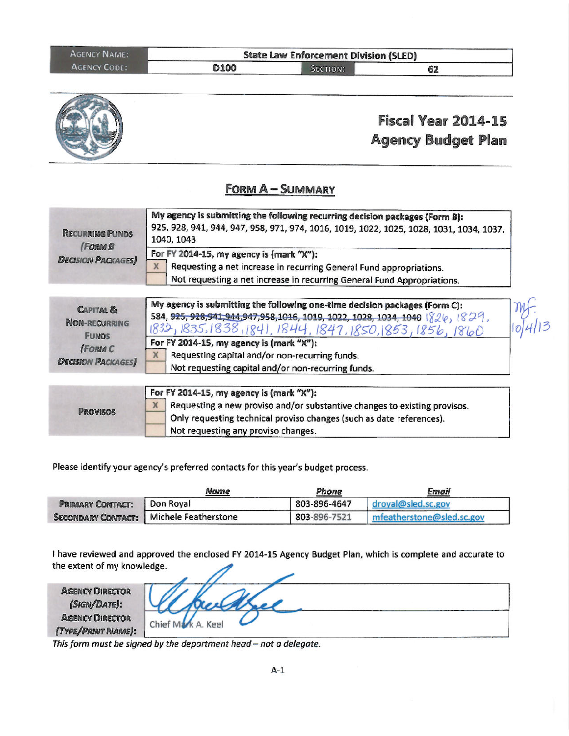| <b>AGENCY NAME:</b> | <b>State Law Enforcement Division (SLED)</b> |          |    |  |
|---------------------|----------------------------------------------|----------|----|--|
| <b>AGENCY CODE:</b> | D100                                         | SECTION: | 62 |  |



### **FORM A-SUMMARY**

| <b>RECURRING FUNDS</b>                     | My agency is submitting the following recurring decision packages (Form B):<br>925, 928, 941, 944, 947, 958, 971, 974, 1016, 1019, 1022, 1025, 1028, 1031, 1034, 1037,<br>1040, 1043            |
|--------------------------------------------|-------------------------------------------------------------------------------------------------------------------------------------------------------------------------------------------------|
| <b>(FORM B</b><br><b>DECISION PACKAGES</b> | For FY 2014-15, my agency is (mark "X"):<br>Requesting a net increase in recurring General Fund appropriations.<br>Х<br>Not requesting a net increase in recurring General Fund Appropriations. |
| CADITAL <sub>2</sub>                       | My agency is submitting the following one-time decision packages (Form C):                                                                                                                      |

| <b>CAPITAL &amp;</b>     | ing agency is submitting the following one-time decision packages (rorm C):        | $\eta$  |
|--------------------------|------------------------------------------------------------------------------------|---------|
| <b>NON-RECURRING</b>     | 584, 925, 928, 941, 944, 947, 958, 1016, 1019, 1022, 1028, 1034, 1040   826, 1829, |         |
| <b>FUNDS</b>             | 1832, 1835, 1838, 1841, 1844, 1847, 1850, 1853, 1856, 1860                         | 10 4 13 |
|                          | For FY 2014-15, my agency is (mark "X"):                                           |         |
| (FORM C                  | Requesting capital and/or non-recurring funds.                                     |         |
| <b>DECISION PACKAGES</b> | Not requesting capital and/or non-recurring funds.                                 |         |

| <b>PROVISOS</b> | For FY 2014-15, my agency is (mark "X"):                                  |
|-----------------|---------------------------------------------------------------------------|
|                 | Requesting a new proviso and/or substantive changes to existing provisos. |
|                 | Only requesting technical proviso changes (such as date references).      |
|                 | Not requesting any proviso changes.                                       |

Please identify your agency's preferred contacts for this year's budget process.

|                         | <b>Name</b>                               | Phone        | Email                     |
|-------------------------|-------------------------------------------|--------------|---------------------------|
| <b>PRIMARY CONTACT:</b> | Don Roval                                 | 803-896-4647 | droyal@sled.sc.gov        |
|                         | SECONDARY CONTACT:   Michele Featherstone | 803-896-7521 | mfeatherstone@sled.sc.gov |

I have reviewed and approved the enclosed FY 2014-15 Agency Budget Plan, which is complete and accurate to the extent of my knowledge.

| <b>AGENCY DIRECTOR</b><br>(SIGN/DATE):<br><b>AGENCY DIRECTOR</b><br>(TYPE/PRINT NAME): | Chief Mark A. Keel |
|----------------------------------------------------------------------------------------|--------------------|

This form must be signed by the department head - not a delegate.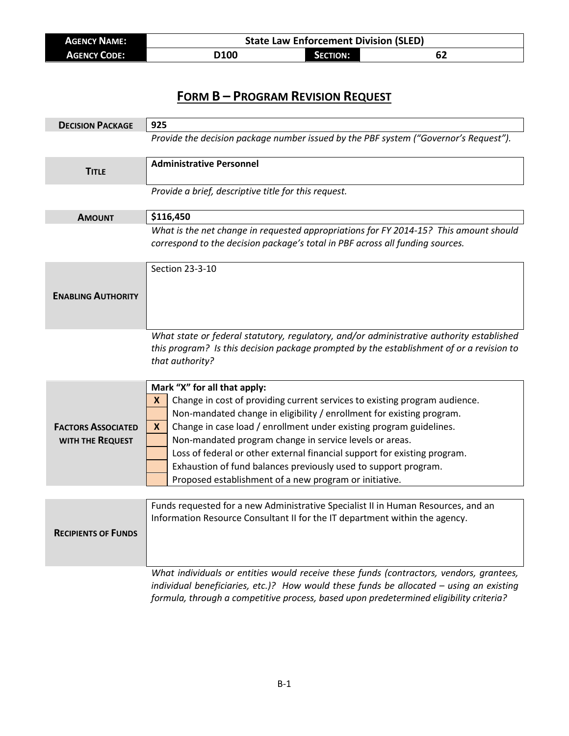| <b>AGENCY NAME:</b> | <b>State Law Enforcement Division (SLED)</b> |                     |  |
|---------------------|----------------------------------------------|---------------------|--|
| <b>AGENCY CODE:</b> | D100                                         | <b>CTION:</b><br>ЛΟ |  |

| <b>DECISION PACKAGE</b>    | 925                                                                                                                                                                                                                                                                          |
|----------------------------|------------------------------------------------------------------------------------------------------------------------------------------------------------------------------------------------------------------------------------------------------------------------------|
|                            | Provide the decision package number issued by the PBF system ("Governor's Request").                                                                                                                                                                                         |
| <b>TITLE</b>               | <b>Administrative Personnel</b>                                                                                                                                                                                                                                              |
|                            | Provide a brief, descriptive title for this request.                                                                                                                                                                                                                         |
| <b>AMOUNT</b>              | \$116,450                                                                                                                                                                                                                                                                    |
|                            | What is the net change in requested appropriations for FY 2014-15? This amount should<br>correspond to the decision package's total in PBF across all funding sources.                                                                                                       |
|                            | Section 23-3-10                                                                                                                                                                                                                                                              |
| <b>ENABLING AUTHORITY</b>  |                                                                                                                                                                                                                                                                              |
|                            | What state or federal statutory, regulatory, and/or administrative authority established<br>this program? Is this decision package prompted by the establishment of or a revision to<br>that authority?                                                                      |
|                            | Mark "X" for all that apply:                                                                                                                                                                                                                                                 |
|                            | Change in cost of providing current services to existing program audience.<br>X                                                                                                                                                                                              |
|                            | Non-mandated change in eligibility / enrollment for existing program.                                                                                                                                                                                                        |
| <b>FACTORS ASSOCIATED</b>  | Change in case load / enrollment under existing program guidelines.<br>X                                                                                                                                                                                                     |
| WITH THE REQUEST           | Non-mandated program change in service levels or areas.                                                                                                                                                                                                                      |
|                            | Loss of federal or other external financial support for existing program.<br>Exhaustion of fund balances previously used to support program.                                                                                                                                 |
|                            | Proposed establishment of a new program or initiative.                                                                                                                                                                                                                       |
|                            |                                                                                                                                                                                                                                                                              |
| <b>RECIPIENTS OF FUNDS</b> | Funds requested for a new Administrative Specialist II in Human Resources, and an<br>Information Resource Consultant II for the IT department within the agency.                                                                                                             |
|                            | What individuals or entities would receive these funds (contractors, vendors, grantees,<br>individual beneficiaries, etc.)? How would these funds be allocated - using an existing<br>formula, through a competitive process, based upon predetermined eligibility criteria? |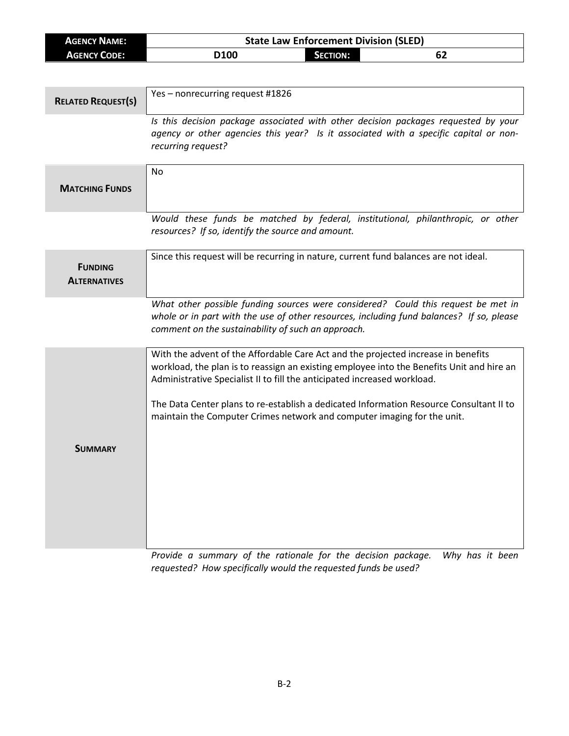| <b>AGENCY NAME:</b>                   | <b>State Law Enforcement Division (SLED)</b>                                                                                                                                                                                                               |  |  |
|---------------------------------------|------------------------------------------------------------------------------------------------------------------------------------------------------------------------------------------------------------------------------------------------------------|--|--|
| <b>AGENCY CODE:</b>                   | <b>SECTION:</b><br>D100<br>62                                                                                                                                                                                                                              |  |  |
|                                       |                                                                                                                                                                                                                                                            |  |  |
| <b>RELATED REQUEST(S)</b>             | Yes-nonrecurring request #1826                                                                                                                                                                                                                             |  |  |
|                                       | Is this decision package associated with other decision packages requested by your<br>agency or other agencies this year? Is it associated with a specific capital or non-<br>recurring request?                                                           |  |  |
| <b>MATCHING FUNDS</b>                 | <b>No</b>                                                                                                                                                                                                                                                  |  |  |
|                                       | Would these funds be matched by federal, institutional, philanthropic, or other<br>resources? If so, identify the source and amount.                                                                                                                       |  |  |
| <b>FUNDING</b><br><b>ALTERNATIVES</b> | Since this request will be recurring in nature, current fund balances are not ideal.                                                                                                                                                                       |  |  |
|                                       | What other possible funding sources were considered? Could this request be met in<br>whole or in part with the use of other resources, including fund balances? If so, please<br>comment on the sustainability of such an approach.                        |  |  |
|                                       | With the advent of the Affordable Care Act and the projected increase in benefits<br>workload, the plan is to reassign an existing employee into the Benefits Unit and hire an<br>Administrative Specialist II to fill the anticipated increased workload. |  |  |
|                                       | The Data Center plans to re-establish a dedicated Information Resource Consultant II to<br>maintain the Computer Crimes network and computer imaging for the unit.                                                                                         |  |  |
| <b>SUMMARY</b>                        |                                                                                                                                                                                                                                                            |  |  |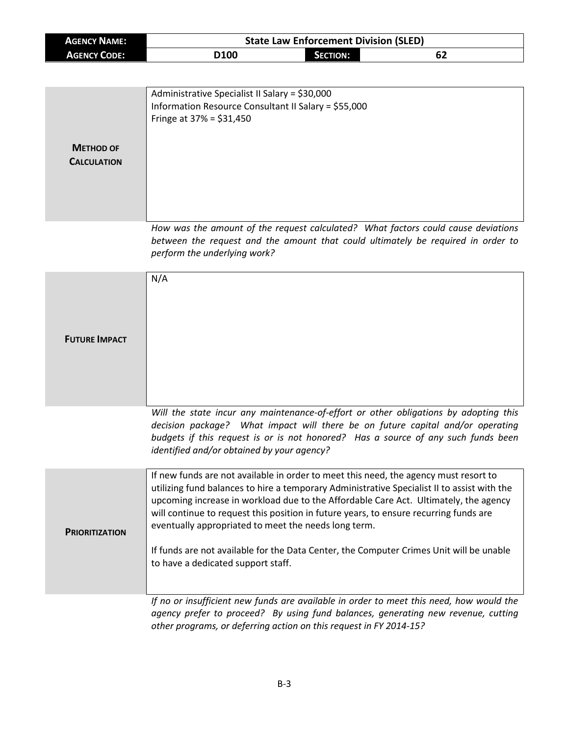|                                            | <b>State Law Enforcement Division (SLED)</b>                                          |                 |                                                                                             |
|--------------------------------------------|---------------------------------------------------------------------------------------|-----------------|---------------------------------------------------------------------------------------------|
| <b>AGENCY NAME:</b><br><b>AGENCY CODE:</b> | D100                                                                                  | <b>SECTION:</b> | 62                                                                                          |
|                                            |                                                                                       |                 |                                                                                             |
|                                            |                                                                                       |                 |                                                                                             |
|                                            | Administrative Specialist II Salary = \$30,000                                        |                 |                                                                                             |
|                                            | Information Resource Consultant II Salary = \$55,000                                  |                 |                                                                                             |
|                                            | Fringe at $37\% = $31,450$                                                            |                 |                                                                                             |
|                                            |                                                                                       |                 |                                                                                             |
| <b>METHOD OF</b>                           |                                                                                       |                 |                                                                                             |
| <b>CALCULATION</b>                         |                                                                                       |                 |                                                                                             |
|                                            |                                                                                       |                 |                                                                                             |
|                                            |                                                                                       |                 |                                                                                             |
|                                            |                                                                                       |                 |                                                                                             |
|                                            |                                                                                       |                 |                                                                                             |
|                                            |                                                                                       |                 | How was the amount of the request calculated? What factors could cause deviations           |
|                                            |                                                                                       |                 | between the request and the amount that could ultimately be required in order to            |
|                                            | perform the underlying work?                                                          |                 |                                                                                             |
|                                            |                                                                                       |                 |                                                                                             |
|                                            | N/A                                                                                   |                 |                                                                                             |
|                                            |                                                                                       |                 |                                                                                             |
|                                            |                                                                                       |                 |                                                                                             |
|                                            |                                                                                       |                 |                                                                                             |
| <b>FUTURE IMPACT</b>                       |                                                                                       |                 |                                                                                             |
|                                            |                                                                                       |                 |                                                                                             |
|                                            |                                                                                       |                 |                                                                                             |
|                                            |                                                                                       |                 |                                                                                             |
|                                            |                                                                                       |                 |                                                                                             |
|                                            |                                                                                       |                 |                                                                                             |
|                                            |                                                                                       |                 | Will the state incur any maintenance-of-effort or other obligations by adopting this        |
|                                            |                                                                                       |                 | decision package? What impact will there be on future capital and/or operating              |
|                                            |                                                                                       |                 | budgets if this request is or is not honored? Has a source of any such funds been           |
|                                            | identified and/or obtained by your agency?                                            |                 |                                                                                             |
|                                            | If new funds are not available in order to meet this need, the agency must resort to  |                 |                                                                                             |
|                                            |                                                                                       |                 | utilizing fund balances to hire a temporary Administrative Specialist II to assist with the |
|                                            |                                                                                       |                 | upcoming increase in workload due to the Affordable Care Act. Ultimately, the agency        |
|                                            | will continue to request this position in future years, to ensure recurring funds are |                 |                                                                                             |
|                                            | eventually appropriated to meet the needs long term.                                  |                 |                                                                                             |
| <b>PRIORITIZATION</b>                      |                                                                                       |                 |                                                                                             |
|                                            |                                                                                       |                 | If funds are not available for the Data Center, the Computer Crimes Unit will be unable     |
|                                            | to have a dedicated support staff.                                                    |                 |                                                                                             |
|                                            |                                                                                       |                 |                                                                                             |
|                                            |                                                                                       |                 |                                                                                             |
|                                            |                                                                                       |                 | If no or insufficient new funds are available in order to meet this need, how would the     |

*agency prefer to proceed? By using fund balances, generating new revenue, cutting other programs, or deferring action on this request in FY 2014-15?*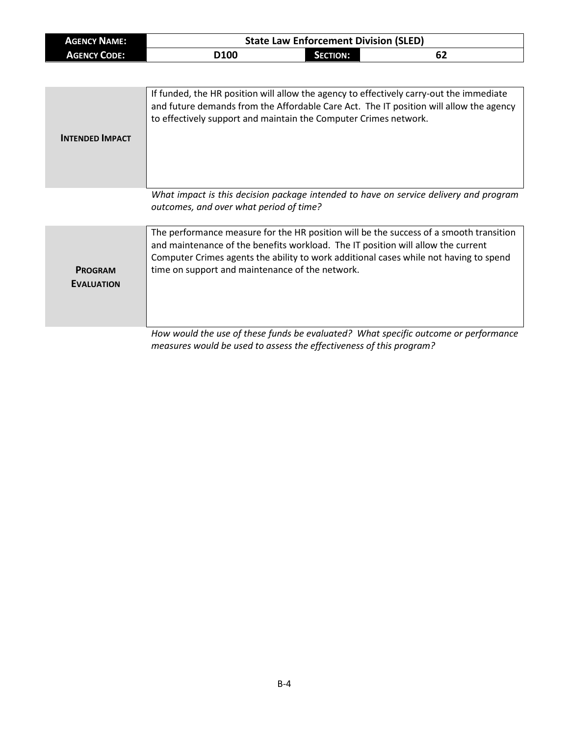| <b>AGENCY NAME:</b> | <b>State Law Enforcement Division (SLED)</b> |                 |    |
|---------------------|----------------------------------------------|-----------------|----|
| <b>AGENCY CODE:</b> | <b>D100</b>                                  | <b>SECTION:</b> | 0Z |

|                        | If funded, the HR position will allow the agency to effectively carry-out the immediate<br>and future demands from the Affordable Care Act. The IT position will allow the agency<br>to effectively support and maintain the Computer Crimes network. |
|------------------------|-------------------------------------------------------------------------------------------------------------------------------------------------------------------------------------------------------------------------------------------------------|
| <b>INTENDED IMPACT</b> |                                                                                                                                                                                                                                                       |
|                        |                                                                                                                                                                                                                                                       |
|                        |                                                                                                                                                                                                                                                       |
|                        |                                                                                                                                                                                                                                                       |
|                        |                                                                                                                                                                                                                                                       |
|                        | What impact is this decision package intended to have on service delivery and program                                                                                                                                                                 |
|                        | outcomes, and over what period of time?                                                                                                                                                                                                               |
|                        |                                                                                                                                                                                                                                                       |

**PROGRAM EVALUATION** The performance measure for the HR position will be the success of a smooth transition and maintenance of the benefits workload. The IT position will allow the current Computer Crimes agents the ability to work additional cases while not having to spend time on support and maintenance of the network.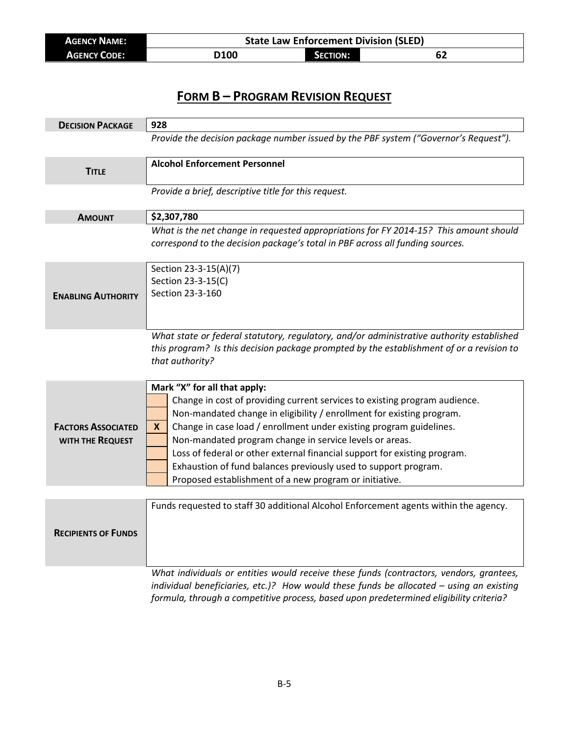| <b>AGENCY NAME:</b> | <b>State Law Enforcement Division (SLED)</b> |                 |    |  |
|---------------------|----------------------------------------------|-----------------|----|--|
| <b>AGENCY CODE:</b> | D100                                         | <b>SECTION:</b> | 62 |  |

| <b>DECISION PACKAGE</b>                       | 928                                                                                                                                                                                                                                                                                                                                                                                                                                                                                                                                  |  |
|-----------------------------------------------|--------------------------------------------------------------------------------------------------------------------------------------------------------------------------------------------------------------------------------------------------------------------------------------------------------------------------------------------------------------------------------------------------------------------------------------------------------------------------------------------------------------------------------------|--|
|                                               | Provide the decision package number issued by the PBF system ("Governor's Request").                                                                                                                                                                                                                                                                                                                                                                                                                                                 |  |
| <b>TITLE</b>                                  | <b>Alcohol Enforcement Personnel</b>                                                                                                                                                                                                                                                                                                                                                                                                                                                                                                 |  |
|                                               | Provide a brief, descriptive title for this request.                                                                                                                                                                                                                                                                                                                                                                                                                                                                                 |  |
| <b>AMOUNT</b>                                 | \$2,307,780                                                                                                                                                                                                                                                                                                                                                                                                                                                                                                                          |  |
|                                               | What is the net change in requested appropriations for FY 2014-15? This amount should<br>correspond to the decision package's total in PBF across all funding sources.                                                                                                                                                                                                                                                                                                                                                               |  |
| <b>ENABLING AUTHORITY</b>                     | Section 23-3-15(A)(7)<br>Section 23-3-15(C)<br>Section 23-3-160                                                                                                                                                                                                                                                                                                                                                                                                                                                                      |  |
|                                               | What state or federal statutory, regulatory, and/or administrative authority established<br>this program? Is this decision package prompted by the establishment of or a revision to<br>that authority?                                                                                                                                                                                                                                                                                                                              |  |
| <b>FACTORS ASSOCIATED</b><br>WITH THE REQUEST | Mark "X" for all that apply:<br>Change in cost of providing current services to existing program audience.<br>Non-mandated change in eligibility / enrollment for existing program.<br>Change in case load / enrollment under existing program guidelines.<br>X<br>Non-mandated program change in service levels or areas.<br>Loss of federal or other external financial support for existing program.<br>Exhaustion of fund balances previously used to support program.<br>Proposed establishment of a new program or initiative. |  |
|                                               |                                                                                                                                                                                                                                                                                                                                                                                                                                                                                                                                      |  |
| <b>RECIPIENTS OF FUNDS</b>                    | Funds requested to staff 30 additional Alcohol Enforcement agents within the agency.<br>What individuals or entities would receive these funds (contractors, vendors, grantees,                                                                                                                                                                                                                                                                                                                                                      |  |

*individual beneficiaries, etc.)? How would these funds be allocated – using an existing formula, through a competitive process, based upon predetermined eligibility criteria?*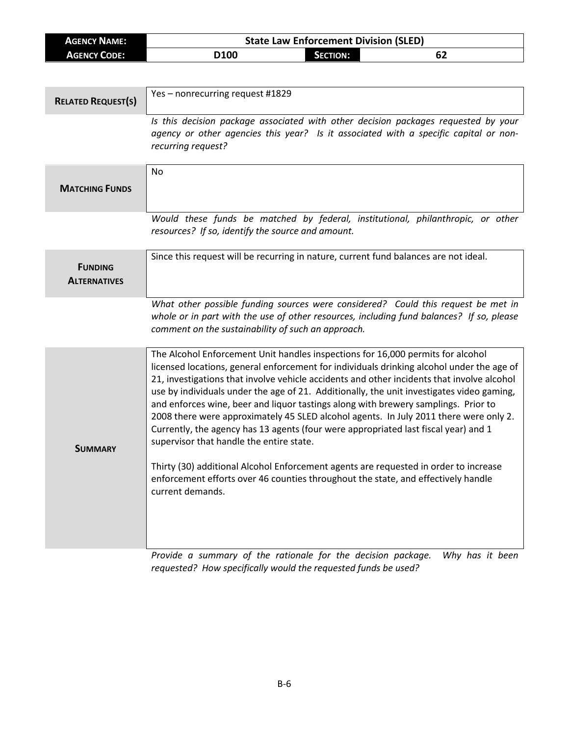| <b>AGENCY NAME:</b>                   | <b>State Law Enforcement Division (SLED)</b>                                         |                 |                                                                                                                                                                               |
|---------------------------------------|--------------------------------------------------------------------------------------|-----------------|-------------------------------------------------------------------------------------------------------------------------------------------------------------------------------|
| <b>AGENCY CODE:</b>                   | D <sub>100</sub>                                                                     | <b>SECTION:</b> | 62                                                                                                                                                                            |
|                                       |                                                                                      |                 |                                                                                                                                                                               |
| <b>RELATED REQUEST(S)</b>             | Yes - nonrecurring request #1829                                                     |                 |                                                                                                                                                                               |
|                                       | recurring request?                                                                   |                 | Is this decision package associated with other decision packages requested by your<br>agency or other agencies this year? Is it associated with a specific capital or non-    |
| <b>MATCHING FUNDS</b>                 | No                                                                                   |                 |                                                                                                                                                                               |
|                                       | resources? If so, identify the source and amount.                                    |                 | Would these funds be matched by federal, institutional, philanthropic, or other                                                                                               |
| <b>FUNDING</b><br><b>ALTERNATIVES</b> | Since this request will be recurring in nature, current fund balances are not ideal. |                 |                                                                                                                                                                               |
|                                       | comment on the sustainability of such an approach.                                   |                 | What other possible funding sources were considered? Could this request be met in<br>whole or in part with the use of other resources, including fund balances? If so, please |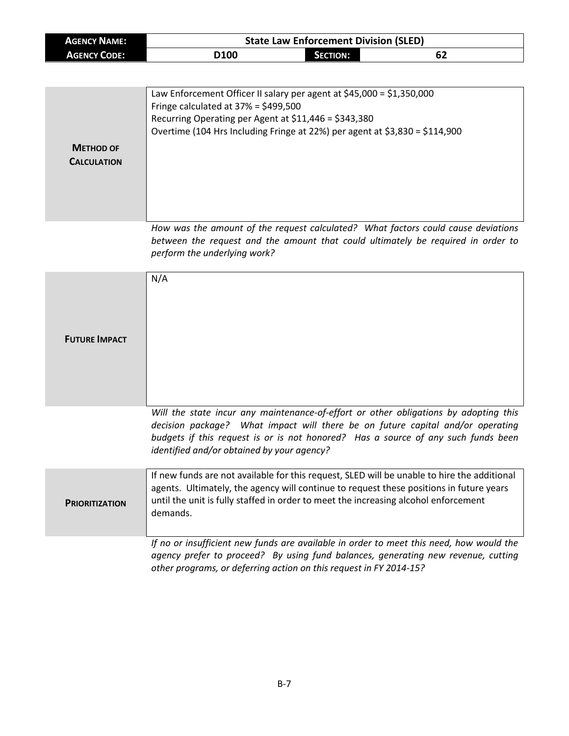| <b>AGENCY NAME:</b> | <b>State Law Enforcement Division (SLED)</b> |                 |    |  |
|---------------------|----------------------------------------------|-----------------|----|--|
| <b>AGENCY CODE:</b> | D <sub>100</sub>                             | <b>SECTION:</b> | 62 |  |

| <b>METHOD OF</b><br><b>CALCULATION</b> | Law Enforcement Officer II salary per agent at $$45,000 = $1,350,000$<br>Fringe calculated at $37\% = $499,500$<br>Recurring Operating per Agent at \$11,446 = \$343,380<br>Overtime (104 Hrs Including Fringe at 22%) per agent at \$3,830 = \$114,900 |
|----------------------------------------|---------------------------------------------------------------------------------------------------------------------------------------------------------------------------------------------------------------------------------------------------------|
|                                        | How was the amount of the request calculated? What factors could cause deviations<br>between the request and the amount that could ultimately be required in order to<br>perform the underlying work?                                                   |

| <b>FUTURE IMPACT</b>  | N/A                                                                                                                                                                                                                                                                                                       |
|-----------------------|-----------------------------------------------------------------------------------------------------------------------------------------------------------------------------------------------------------------------------------------------------------------------------------------------------------|
|                       | Will the state incur any maintenance-of-effort or other obligations by adopting this<br>decision package? What impact will there be on future capital and/or operating<br>budgets if this request is or is not honored? Has a source of any such funds been<br>identified and/or obtained by your agency? |
| <b>PRIORITIZATION</b> | If new funds are not available for this request, SLED will be unable to hire the additional<br>agents. Ultimately, the agency will continue to request these positions in future years<br>until the unit is fully staffed in order to meet the increasing alcohol enforcement<br>demands.                 |
|                       | If no or insufficient new funds are available in order to meet this need, how would the<br>agency prefer to proceed? By using fund balances, generating new revenue, cutting<br>other programs, or deferring action on this request in FY 2014-15?                                                        |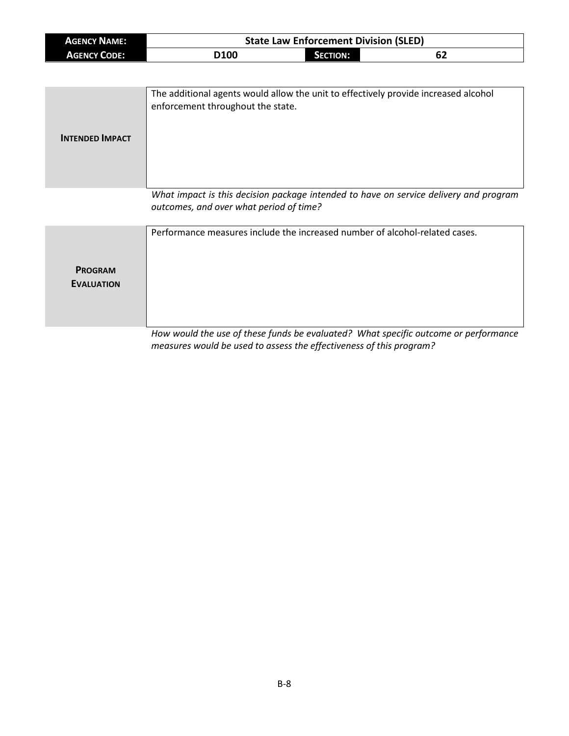| <b>AGENCY NAME:</b> | <b>State Law Enforcement Division (SLED)</b> |          |    |
|---------------------|----------------------------------------------|----------|----|
| <b>AGENCY CODE:</b> | D <sub>100</sub>                             | SECTION: | 62 |

| <b>INTENDED IMPACT</b> | The additional agents would allow the unit to effectively provide increased alcohol<br>enforcement throughout the state. |
|------------------------|--------------------------------------------------------------------------------------------------------------------------|
|                        | What impact is this desision package intended to have an service delivery and program                                    |

*What impact is this decision package intended to have on service delivery and program outcomes, and over what period of time?*

|                                     | Performance measures include the increased number of alcohol-related cases.         |
|-------------------------------------|-------------------------------------------------------------------------------------|
| <b>PROGRAM</b><br><b>EVALUATION</b> |                                                                                     |
|                                     | How would the use of these funds be evaluated? What specific outcome or performance |

*measures would be used to assess the effectiveness of this program?*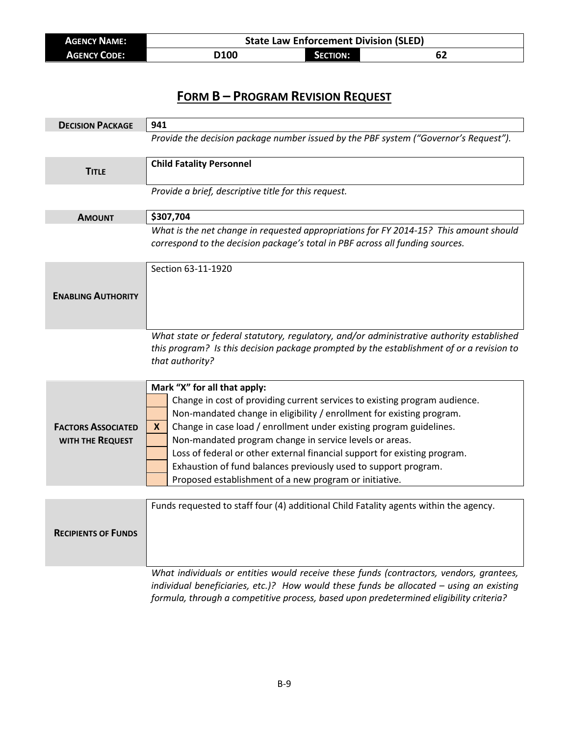| <b>AGENCY NAME:</b> | <b>State Law Enforcement Division (SLED)</b> |                 |    |  |
|---------------------|----------------------------------------------|-----------------|----|--|
| <b>AGENCY CODE:</b> | <b>D100</b>                                  | <b>SECTION:</b> | 62 |  |

| <b>DECISION PACKAGE</b>                       | 941                                                                                                                                                                                                                                                                                                                                                                                                                                                                                                                                   |
|-----------------------------------------------|---------------------------------------------------------------------------------------------------------------------------------------------------------------------------------------------------------------------------------------------------------------------------------------------------------------------------------------------------------------------------------------------------------------------------------------------------------------------------------------------------------------------------------------|
|                                               | Provide the decision package number issued by the PBF system ("Governor's Request").                                                                                                                                                                                                                                                                                                                                                                                                                                                  |
| <b>TITLE</b>                                  | <b>Child Fatality Personnel</b>                                                                                                                                                                                                                                                                                                                                                                                                                                                                                                       |
|                                               | Provide a brief, descriptive title for this request.                                                                                                                                                                                                                                                                                                                                                                                                                                                                                  |
| <b>AMOUNT</b>                                 | \$307,704                                                                                                                                                                                                                                                                                                                                                                                                                                                                                                                             |
|                                               | What is the net change in requested appropriations for FY 2014-15? This amount should<br>correspond to the decision package's total in PBF across all funding sources.                                                                                                                                                                                                                                                                                                                                                                |
|                                               | Section 63-11-1920                                                                                                                                                                                                                                                                                                                                                                                                                                                                                                                    |
| <b>ENABLING AUTHORITY</b>                     |                                                                                                                                                                                                                                                                                                                                                                                                                                                                                                                                       |
|                                               | What state or federal statutory, regulatory, and/or administrative authority established<br>this program? Is this decision package prompted by the establishment of or a revision to<br>that authority?                                                                                                                                                                                                                                                                                                                               |
| <b>FACTORS ASSOCIATED</b><br>WITH THE REQUEST | Mark "X" for all that apply:<br>Change in cost of providing current services to existing program audience.<br>Non-mandated change in eligibility / enrollment for existing program.<br>Change in case load / enrollment under existing program guidelines.<br>X.<br>Non-mandated program change in service levels or areas.<br>Loss of federal or other external financial support for existing program.<br>Exhaustion of fund balances previously used to support program.<br>Proposed establishment of a new program or initiative. |
|                                               |                                                                                                                                                                                                                                                                                                                                                                                                                                                                                                                                       |
| <b>RECIPIENTS OF FUNDS</b>                    | Funds requested to staff four (4) additional Child Fatality agents within the agency.                                                                                                                                                                                                                                                                                                                                                                                                                                                 |
|                                               | What individuals or entities would receive these funds (contractors, vendors, grantees,<br>individual beneficiaries, etc.)? How would these funds be allocated - using an existing                                                                                                                                                                                                                                                                                                                                                    |

*formula, through a competitive process, based upon predetermined eligibility criteria?*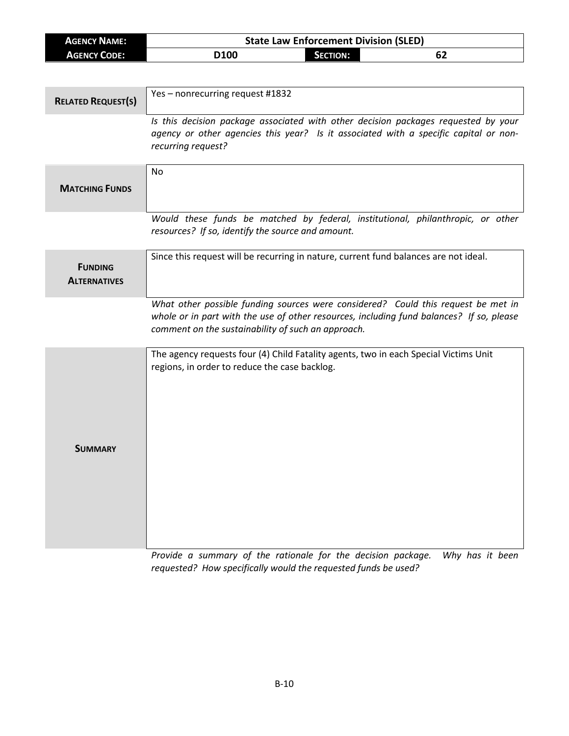| <b>AGENCY NAME:</b>                   | <b>State Law Enforcement Division (SLED)</b>                                                                                                                                                                                        |
|---------------------------------------|-------------------------------------------------------------------------------------------------------------------------------------------------------------------------------------------------------------------------------------|
| <b>AGENCY CODE:</b>                   | <b>SECTION:</b><br>D100<br>62                                                                                                                                                                                                       |
|                                       |                                                                                                                                                                                                                                     |
| <b>RELATED REQUEST(S)</b>             | Yes - nonrecurring request #1832                                                                                                                                                                                                    |
|                                       | Is this decision package associated with other decision packages requested by your<br>agency or other agencies this year? Is it associated with a specific capital or non-<br>recurring request?                                    |
| <b>MATCHING FUNDS</b>                 | No                                                                                                                                                                                                                                  |
|                                       | Would these funds be matched by federal, institutional, philanthropic, or other<br>resources? If so, identify the source and amount.                                                                                                |
| <b>FUNDING</b><br><b>ALTERNATIVES</b> | Since this request will be recurring in nature, current fund balances are not ideal.                                                                                                                                                |
|                                       | What other possible funding sources were considered? Could this request be met in<br>whole or in part with the use of other resources, including fund balances? If so, please<br>comment on the sustainability of such an approach. |
| SUMMARY                               | The agency requests four (4) Child Fatality agents, two in each Special Victims Unit<br>regions, in order to reduce the case backlog.                                                                                               |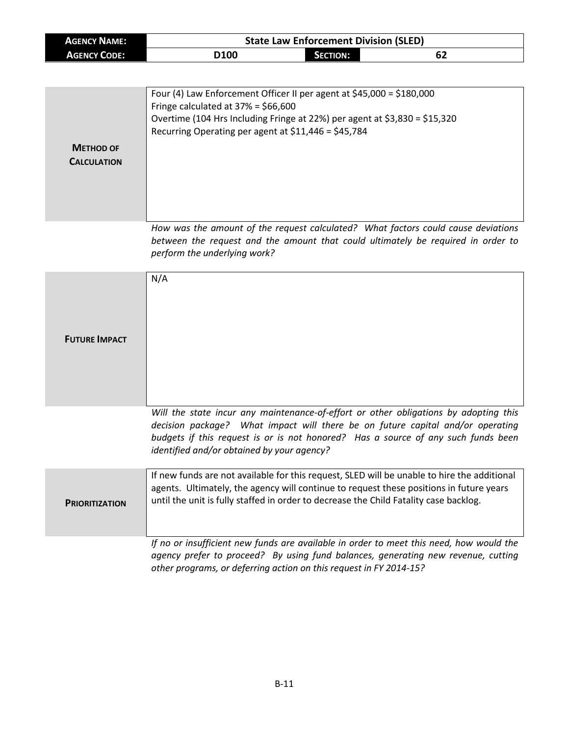| <b>AGENCY NAME:</b> |      | <b>State Law Enforcement Division (SLED)</b> |    |  |
|---------------------|------|----------------------------------------------|----|--|
| <b>AGENCY CODE:</b> | D100 | <b>SECTION:</b>                              | 62 |  |

| <b>METHOD OF</b><br><b>CALCULATION</b> | Four (4) Law Enforcement Officer II per agent at $$45,000 = $180,000$<br>Fringe calculated at $37\% = $66,600$<br>Overtime (104 Hrs Including Fringe at 22%) per agent at \$3,830 = \$15,320<br>Recurring Operating per agent at \$11,446 = \$45,784 |
|----------------------------------------|------------------------------------------------------------------------------------------------------------------------------------------------------------------------------------------------------------------------------------------------------|
|                                        | How was the amount of the request calculated? What factors could cause deviations<br>between the request and the amount that could ultimately be required in order to<br>perform the underlying work?                                                |

| <b>FUTURE IMPACT</b>  | N/A                                                                                                                                                                                                                                                                                                       |
|-----------------------|-----------------------------------------------------------------------------------------------------------------------------------------------------------------------------------------------------------------------------------------------------------------------------------------------------------|
|                       | Will the state incur any maintenance-of-effort or other obligations by adopting this<br>decision package? What impact will there be on future capital and/or operating<br>budgets if this request is or is not honored? Has a source of any such funds been<br>identified and/or obtained by your agency? |
| <b>PRIORITIZATION</b> | If new funds are not available for this request, SLED will be unable to hire the additional<br>agents. Ultimately, the agency will continue to request these positions in future years<br>until the unit is fully staffed in order to decrease the Child Fatality case backlog.                           |
|                       | If no or insufficient new funds are available in order to meet this need, how would the<br>agency prefer to proceed? By using fund balances, generating new revenue, cutting<br>other programs, or deferring action on this request in FY 2014-15?                                                        |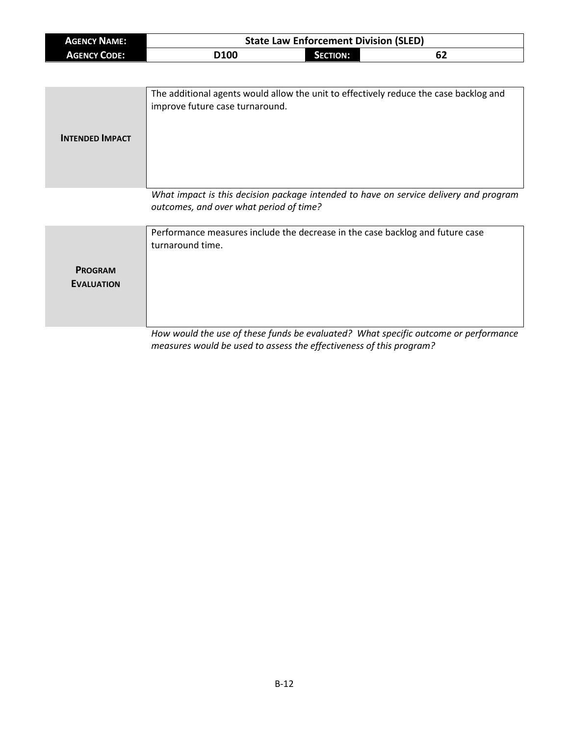| <b>AGENCY NAME:</b> |                  | <b>State Law Enforcement Division (SLED)</b> |    |
|---------------------|------------------|----------------------------------------------|----|
| <b>AGENCY CODE:</b> | D <sub>100</sub> | SECTION:                                     | 62 |

| <b>INTENDED IMPACT</b> | The additional agents would allow the unit to effectively reduce the case backlog and<br>improve future case turnaround.         |
|------------------------|----------------------------------------------------------------------------------------------------------------------------------|
|                        | What impact is this decision package intended to have on service delivery and program<br>outcomes, and over what period of time? |

**PROGRAM EVALUATION** Performance measures include the decrease in the case backlog and future case turnaround time.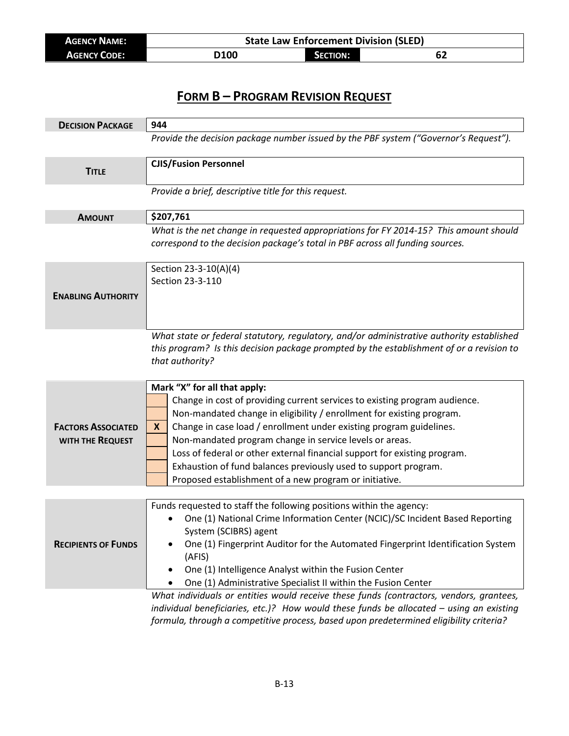| <b>AGENCY NAME:</b> |      | <b>State Law Enforcement Division (SLED)</b> |    |  |
|---------------------|------|----------------------------------------------|----|--|
| <b>AGENCY CODE:</b> | D100 | <b>SECTION:</b>                              | 62 |  |

| <b>DECISION PACKAGE</b>    | 944                                                                                                                                                                                  |
|----------------------------|--------------------------------------------------------------------------------------------------------------------------------------------------------------------------------------|
|                            | Provide the decision package number issued by the PBF system ("Governor's Request").                                                                                                 |
|                            | <b>CJIS/Fusion Personnel</b>                                                                                                                                                         |
| <b>TITLE</b>               |                                                                                                                                                                                      |
|                            | Provide a brief, descriptive title for this request.                                                                                                                                 |
|                            |                                                                                                                                                                                      |
| <b>AMOUNT</b>              | \$207,761                                                                                                                                                                            |
|                            | What is the net change in requested appropriations for FY 2014-15? This amount should<br>correspond to the decision package's total in PBF across all funding sources.               |
|                            | Section 23-3-10(A)(4)                                                                                                                                                                |
|                            | Section 23-3-110                                                                                                                                                                     |
| <b>ENABLING AUTHORITY</b>  |                                                                                                                                                                                      |
|                            |                                                                                                                                                                                      |
|                            |                                                                                                                                                                                      |
|                            | What state or federal statutory, regulatory, and/or administrative authority established<br>this program? Is this decision package prompted by the establishment of or a revision to |
|                            | that authority?                                                                                                                                                                      |
|                            |                                                                                                                                                                                      |
|                            | Mark "X" for all that apply:                                                                                                                                                         |
|                            | Change in cost of providing current services to existing program audience.                                                                                                           |
|                            | Non-mandated change in eligibility / enrollment for existing program.                                                                                                                |
| <b>FACTORS ASSOCIATED</b>  | Change in case load / enrollment under existing program guidelines.<br>X                                                                                                             |
| WITH THE REQUEST           | Non-mandated program change in service levels or areas.                                                                                                                              |
|                            | Loss of federal or other external financial support for existing program.                                                                                                            |
|                            | Exhaustion of fund balances previously used to support program.                                                                                                                      |
|                            | Proposed establishment of a new program or initiative.                                                                                                                               |
|                            | Funds requested to staff the following positions within the agency:                                                                                                                  |
|                            | One (1) National Crime Information Center (NCIC)/SC Incident Based Reporting                                                                                                         |
|                            | System (SCIBRS) agent                                                                                                                                                                |
| <b>RECIPIENTS OF FUNDS</b> | One (1) Fingerprint Auditor for the Automated Fingerprint Identification System                                                                                                      |
|                            | (AFIS)                                                                                                                                                                               |
|                            | One (1) Intelligence Analyst within the Fusion Center<br>٠                                                                                                                           |
|                            | One (1) Administrative Specialist II within the Fusion Center<br>$\bullet$                                                                                                           |
|                            | What individuals or entities would receive these funds (contractors, vendors, grantees,<br>individual beneficiaries, etc.)? How would these funds be allocated - using an existing   |

*formula, through a competitive process, based upon predetermined eligibility criteria?*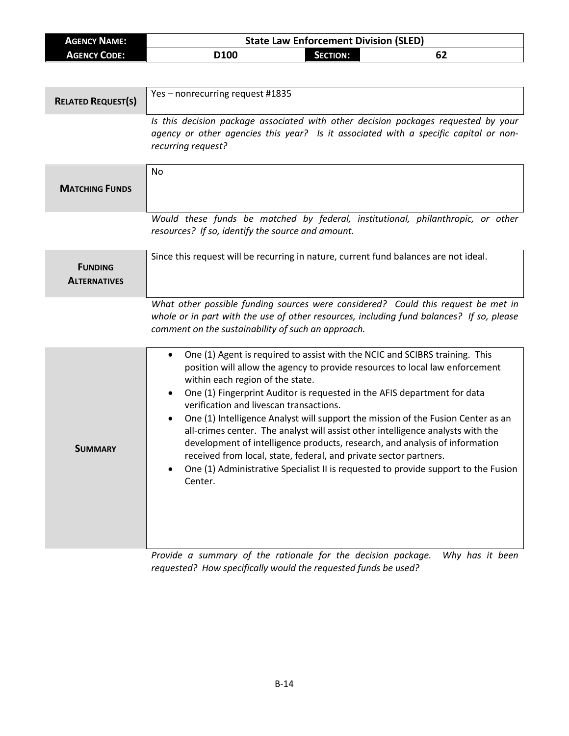| <b>AGENCY NAME:</b>                   | <b>State Law Enforcement Division (SLED)</b>                                                                                                                                                                                                                                                                                                                                                                                                                                                                                                                                                                                                                                                                                                                                   |  |  |
|---------------------------------------|--------------------------------------------------------------------------------------------------------------------------------------------------------------------------------------------------------------------------------------------------------------------------------------------------------------------------------------------------------------------------------------------------------------------------------------------------------------------------------------------------------------------------------------------------------------------------------------------------------------------------------------------------------------------------------------------------------------------------------------------------------------------------------|--|--|
| <b>AGENCY CODE:</b>                   | D100<br><b>SECTION:</b><br>62                                                                                                                                                                                                                                                                                                                                                                                                                                                                                                                                                                                                                                                                                                                                                  |  |  |
|                                       |                                                                                                                                                                                                                                                                                                                                                                                                                                                                                                                                                                                                                                                                                                                                                                                |  |  |
| <b>RELATED REQUEST(S)</b>             | Yes-nonrecurring request #1835                                                                                                                                                                                                                                                                                                                                                                                                                                                                                                                                                                                                                                                                                                                                                 |  |  |
|                                       | Is this decision package associated with other decision packages requested by your<br>agency or other agencies this year? Is it associated with a specific capital or non-<br>recurring request?                                                                                                                                                                                                                                                                                                                                                                                                                                                                                                                                                                               |  |  |
| <b>MATCHING FUNDS</b>                 | <b>No</b>                                                                                                                                                                                                                                                                                                                                                                                                                                                                                                                                                                                                                                                                                                                                                                      |  |  |
|                                       | Would these funds be matched by federal, institutional, philanthropic, or other<br>resources? If so, identify the source and amount.                                                                                                                                                                                                                                                                                                                                                                                                                                                                                                                                                                                                                                           |  |  |
| <b>FUNDING</b><br><b>ALTERNATIVES</b> | Since this request will be recurring in nature, current fund balances are not ideal.                                                                                                                                                                                                                                                                                                                                                                                                                                                                                                                                                                                                                                                                                           |  |  |
|                                       | What other possible funding sources were considered? Could this request be met in<br>whole or in part with the use of other resources, including fund balances? If so, please<br>comment on the sustainability of such an approach.                                                                                                                                                                                                                                                                                                                                                                                                                                                                                                                                            |  |  |
| <b>SUMMARY</b>                        | One (1) Agent is required to assist with the NCIC and SCIBRS training. This<br>$\bullet$<br>position will allow the agency to provide resources to local law enforcement<br>within each region of the state.<br>One (1) Fingerprint Auditor is requested in the AFIS department for data<br>٠<br>verification and livescan transactions.<br>One (1) Intelligence Analyst will support the mission of the Fusion Center as an<br>٠<br>all-crimes center. The analyst will assist other intelligence analysts with the<br>development of intelligence products, research, and analysis of information<br>received from local, state, federal, and private sector partners.<br>One (1) Administrative Specialist II is requested to provide support to the Fusion<br>٠<br>Center. |  |  |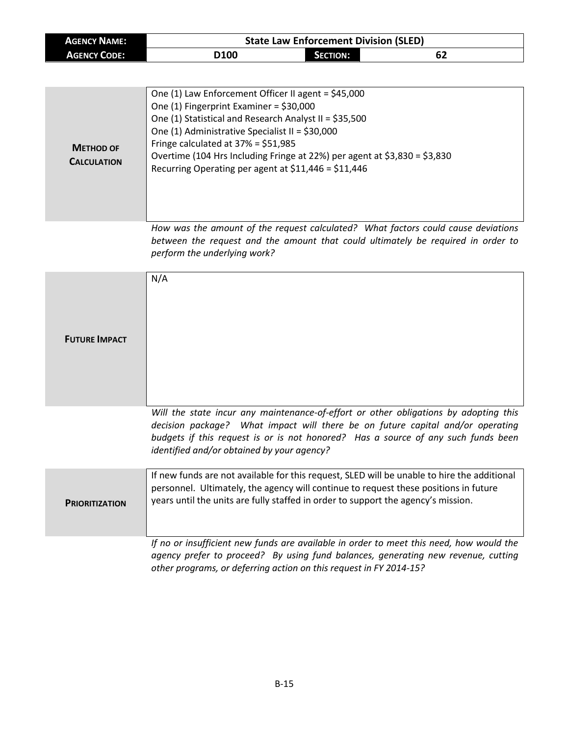| <b>AGENCY NAME:</b> |      | <b>State Law Enforcement Division (SLED)</b> |    |
|---------------------|------|----------------------------------------------|----|
| <b>AGENCY CODE:</b> | D100 | <b>SECTION:</b>                              | 62 |

| <b>METHOD OF</b><br><b>CALCULATION</b> | One (1) Law Enforcement Officer II agent = \$45,000<br>One $(1)$ Fingerprint Examiner = \$30,000<br>One (1) Statistical and Research Analyst II = \$35,500<br>One (1) Administrative Specialist II = \$30,000<br>Fringe calculated at $37\% = $51,985$<br>Overtime (104 Hrs Including Fringe at 22%) per agent at \$3,830 = \$3,830<br>Recurring Operating per agent at \$11,446 = \$11,446 |
|----------------------------------------|---------------------------------------------------------------------------------------------------------------------------------------------------------------------------------------------------------------------------------------------------------------------------------------------------------------------------------------------------------------------------------------------|
|----------------------------------------|---------------------------------------------------------------------------------------------------------------------------------------------------------------------------------------------------------------------------------------------------------------------------------------------------------------------------------------------------------------------------------------------|

*How was the amount of the request calculated? What factors could cause deviations between the request and the amount that could ultimately be required in order to perform the underlying work?*

| <b>FUTURE IMPACT</b>  | N/A                                                                                                                                                                                                                                                                                                       |
|-----------------------|-----------------------------------------------------------------------------------------------------------------------------------------------------------------------------------------------------------------------------------------------------------------------------------------------------------|
|                       | Will the state incur any maintenance-of-effort or other obligations by adopting this<br>decision package? What impact will there be on future capital and/or operating<br>budgets if this request is or is not honored? Has a source of any such funds been<br>identified and/or obtained by your agency? |
| <b>PRIORITIZATION</b> | If new funds are not available for this request, SLED will be unable to hire the additional<br>personnel. Ultimately, the agency will continue to request these positions in future<br>years until the units are fully staffed in order to support the agency's mission.                                  |
|                       | If no or insufficient new funds are available in order to meet this need, how would the<br>agency prefer to proceed? By using fund balances, generating new revenue, cutting<br>other programs, or deferring action on this request in FY 2014-15?                                                        |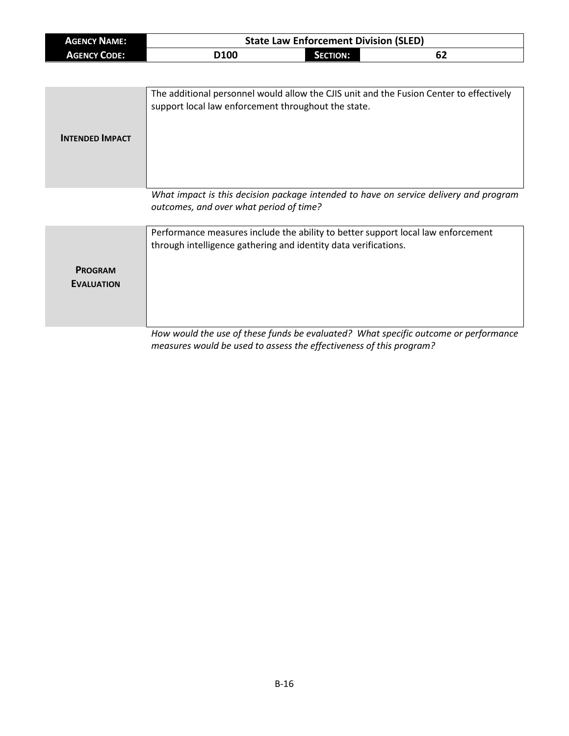| <b>AGENCY NAME:</b> | <b>State Law Enforcement Division (SLED)</b> |                 |    |  |
|---------------------|----------------------------------------------|-----------------|----|--|
| <b>AGENCY CODE:</b> | D <sub>100</sub>                             | <b>SECTION:</b> | 62 |  |

| <b>INTENDED IMPACT</b> | The additional personnel would allow the CJIS unit and the Fusion Center to effectively<br>support local law enforcement throughout the state. |
|------------------------|------------------------------------------------------------------------------------------------------------------------------------------------|
|                        | What impact is this decision package intended to have on service delivery and program<br>outcomes, and over what period of time?               |

|                                     | Performance measures include the ability to better support local law enforcement<br>through intelligence gathering and identity data verifications. |  |  |
|-------------------------------------|-----------------------------------------------------------------------------------------------------------------------------------------------------|--|--|
| <b>PROGRAM</b><br><b>EVALUATION</b> |                                                                                                                                                     |  |  |
|                                     | How would the use of these funds be evaluated? What specific outcome or performance                                                                 |  |  |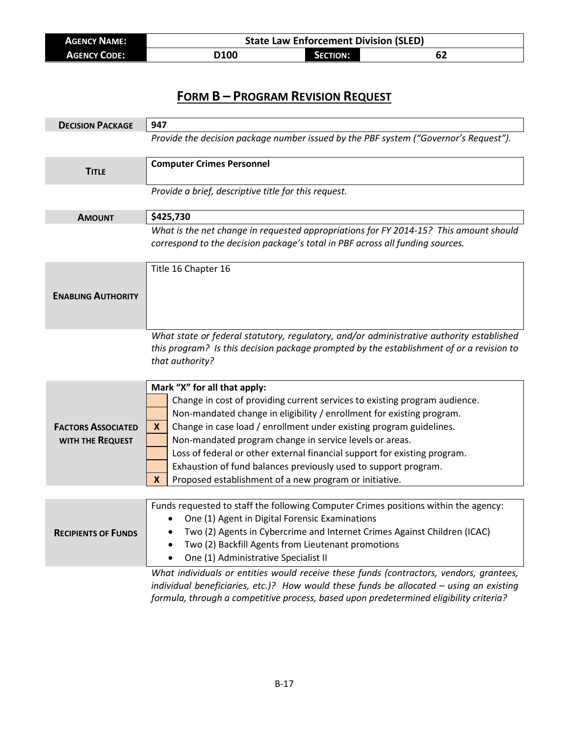| <b>AGENCY NAME:</b> | <b>State Law Enforcement Division (SLED)</b> |                 |    |  |
|---------------------|----------------------------------------------|-----------------|----|--|
| <b>AGENCY CODE:</b> | <b>D100</b>                                  | <b>SECTION:</b> | 62 |  |

| <b>DECISION PACKAGE</b>    | 947                                                                                      |  |  |
|----------------------------|------------------------------------------------------------------------------------------|--|--|
|                            | Provide the decision package number issued by the PBF system ("Governor's Request").     |  |  |
|                            |                                                                                          |  |  |
| <b>TITLE</b>               | <b>Computer Crimes Personnel</b>                                                         |  |  |
|                            | Provide a brief, descriptive title for this request.                                     |  |  |
|                            |                                                                                          |  |  |
| <b>AMOUNT</b>              | \$425,730                                                                                |  |  |
|                            | What is the net change in requested appropriations for FY 2014-15? This amount should    |  |  |
|                            | correspond to the decision package's total in PBF across all funding sources.            |  |  |
|                            | Title 16 Chapter 16                                                                      |  |  |
|                            |                                                                                          |  |  |
| <b>ENABLING AUTHORITY</b>  |                                                                                          |  |  |
|                            |                                                                                          |  |  |
|                            |                                                                                          |  |  |
|                            | What state or federal statutory, regulatory, and/or administrative authority established |  |  |
|                            | this program? Is this decision package prompted by the establishment of or a revision to |  |  |
|                            | that authority?                                                                          |  |  |
|                            | Mark "X" for all that apply:                                                             |  |  |
|                            | Change in cost of providing current services to existing program audience.               |  |  |
|                            | Non-mandated change in eligibility / enrollment for existing program.                    |  |  |
| <b>FACTORS ASSOCIATED</b>  | Change in case load / enrollment under existing program guidelines.<br>X.                |  |  |
| WITH THE REQUEST           | Non-mandated program change in service levels or areas.                                  |  |  |
|                            | Loss of federal or other external financial support for existing program.                |  |  |
|                            | Exhaustion of fund balances previously used to support program.                          |  |  |
|                            | Proposed establishment of a new program or initiative.<br>X                              |  |  |
|                            |                                                                                          |  |  |
|                            | Funds requested to staff the following Computer Crimes positions within the agency:      |  |  |
|                            | One (1) Agent in Digital Forensic Examinations<br>$\bullet$                              |  |  |
| <b>RECIPIENTS OF FUNDS</b> | Two (2) Agents in Cybercrime and Internet Crimes Against Children (ICAC)                 |  |  |
|                            | Two (2) Backfill Agents from Lieutenant promotions<br>$\bullet$                          |  |  |
|                            | One (1) Administrative Specialist II                                                     |  |  |
|                            | What individuals or entities would receive these funds (contractors, vendors, grantees,  |  |  |
|                            | individual beneficiation esta 12 Heur weuld theos funds he ellesated y veins an existing |  |  |

*individual beneficiaries, etc.)? How would these funds be allocated – using an existing formula, through a competitive process, based upon predetermined eligibility criteria?*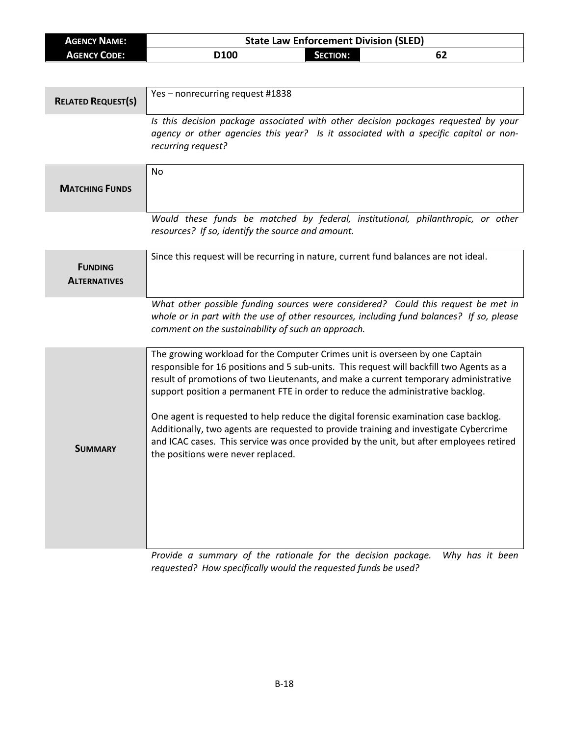| <b>AGENCY NAME:</b>       |                                                                                    | <b>State Law Enforcement Division (SLED)</b> |  |    |
|---------------------------|------------------------------------------------------------------------------------|----------------------------------------------|--|----|
| <b>AGENCY CODE:</b>       | D <sub>100</sub>                                                                   | <b>SECTION:</b>                              |  | 62 |
|                           |                                                                                    |                                              |  |    |
|                           |                                                                                    |                                              |  |    |
| <b>RELATED REQUEST(S)</b> | Yes – nonrecurring request #1838                                                   |                                              |  |    |
|                           | Is this decision package associated with other decision packages requested by your |                                              |  |    |

*agency or other agencies this year? Is it associated with a specific capital or nonrecurring request?*

| <b>MATCHING FUNDS</b>                 | <b>No</b>                                                                                                                                                                                                                                                                                                                                                                                                                                                                                                                                                                                                                                                             |
|---------------------------------------|-----------------------------------------------------------------------------------------------------------------------------------------------------------------------------------------------------------------------------------------------------------------------------------------------------------------------------------------------------------------------------------------------------------------------------------------------------------------------------------------------------------------------------------------------------------------------------------------------------------------------------------------------------------------------|
|                                       | Would these funds be matched by federal, institutional, philanthropic, or other<br>resources? If so, identify the source and amount.                                                                                                                                                                                                                                                                                                                                                                                                                                                                                                                                  |
| <b>FUNDING</b><br><b>ALTERNATIVES</b> | Since this request will be recurring in nature, current fund balances are not ideal.                                                                                                                                                                                                                                                                                                                                                                                                                                                                                                                                                                                  |
|                                       | What other possible funding sources were considered? Could this request be met in<br>whole or in part with the use of other resources, including fund balances? If so, please<br>comment on the sustainability of such an approach.                                                                                                                                                                                                                                                                                                                                                                                                                                   |
| <b>SUMMARY</b>                        | The growing workload for the Computer Crimes unit is overseen by one Captain<br>responsible for 16 positions and 5 sub-units. This request will backfill two Agents as a<br>result of promotions of two Lieutenants, and make a current temporary administrative<br>support position a permanent FTE in order to reduce the administrative backlog.<br>One agent is requested to help reduce the digital forensic examination case backlog.<br>Additionally, two agents are requested to provide training and investigate Cybercrime<br>and ICAC cases. This service was once provided by the unit, but after employees retired<br>the positions were never replaced. |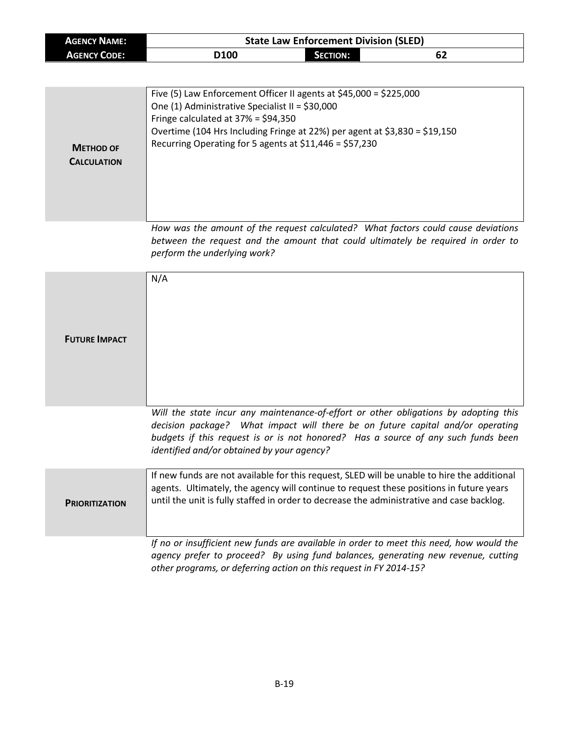| <b>AGENCY NAME:</b> | <b>State Law Enforcement Division (SLED)</b> |                 |  |
|---------------------|----------------------------------------------|-----------------|--|
| <b>AGENCY CODE:</b> | D <sub>100</sub>                             | <b>SECTION:</b> |  |

٦

| <b>METHOD OF</b><br><b>CALCULATION</b> | Five (5) Law Enforcement Officer II agents at $$45,000 = $225,000$<br>One (1) Administrative Specialist II = \$30,000<br>Fringe calculated at $37\% = $94,350$<br>Overtime (104 Hrs Including Fringe at 22%) per agent at \$3,830 = \$19,150<br>Recurring Operating for 5 agents at $$11,446 = $57,230$   |
|----------------------------------------|-----------------------------------------------------------------------------------------------------------------------------------------------------------------------------------------------------------------------------------------------------------------------------------------------------------|
|                                        | How was the amount of the request calculated? What factors could cause deviations<br>between the request and the amount that could ultimately be required in order to<br>perform the underlying work?                                                                                                     |
| <b>FUTURE IMPACT</b>                   | N/A                                                                                                                                                                                                                                                                                                       |
|                                        | Will the state incur any maintenance-of-effort or other obligations by adopting this<br>decision package? What impact will there be on future capital and/or operating<br>budgets if this request is or is not honored? Has a source of any such funds been<br>identified and/or obtained by your agency? |
| <b>PRIORITIZATION</b>                  | If new funds are not available for this request, SLED will be unable to hire the additional<br>agents. Ultimately, the agency will continue to request these positions in future years<br>until the unit is fully staffed in order to decrease the administrative and case backlog.                       |
|                                        | If no or insufficient new funds are available in order to meet this need, how would the<br>agency prefer to proceed? By using fund balances, generating new revenue, cutting<br>other programs, or deferring action on this request in FY 2014-15?                                                        |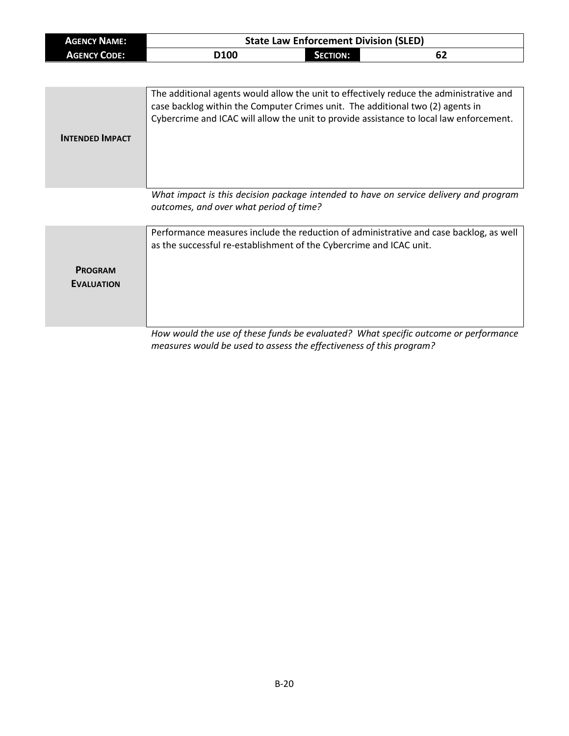| <b>AGENCY NAME:</b> | <b>State Law Enforcement Division (SLED)</b> |                 |    |
|---------------------|----------------------------------------------|-----------------|----|
| <b>AGENCY CODE:</b> | <b>D100</b>                                  | <b>SECTION:</b> | 62 |

| <b>INTENDED IMPACT</b> | The additional agents would allow the unit to effectively reduce the administrative and<br>case backlog within the Computer Crimes unit. The additional two (2) agents in<br>Cybercrime and ICAC will allow the unit to provide assistance to local law enforcement. |
|------------------------|----------------------------------------------------------------------------------------------------------------------------------------------------------------------------------------------------------------------------------------------------------------------|
|                        | What impact is this decision package intended to have on service delivery and program<br>outcomes, and over what period of time?                                                                                                                                     |

**PROGRAM EVALUATION** Performance measures include the reduction of administrative and case backlog, as well as the successful re-establishment of the Cybercrime and ICAC unit.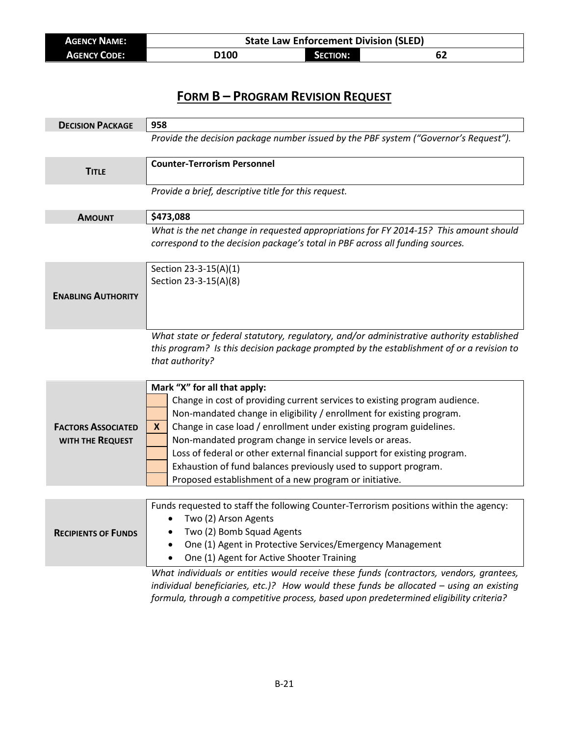| <b>AGENCY NAME:</b> | <b>State Law Enforcement Division (SLED)</b> |                 |    |  |
|---------------------|----------------------------------------------|-----------------|----|--|
| <b>AGENCY CODE:</b> | D100                                         | <b>SECTION:</b> | 62 |  |

| <b>DECISION PACKAGE</b>                       | 958                                                                                                                                                                                                                                                                                                                                                                                                                                                                                                                                   |
|-----------------------------------------------|---------------------------------------------------------------------------------------------------------------------------------------------------------------------------------------------------------------------------------------------------------------------------------------------------------------------------------------------------------------------------------------------------------------------------------------------------------------------------------------------------------------------------------------|
|                                               | Provide the decision package number issued by the PBF system ("Governor's Request").                                                                                                                                                                                                                                                                                                                                                                                                                                                  |
| <b>TITLE</b>                                  | <b>Counter-Terrorism Personnel</b>                                                                                                                                                                                                                                                                                                                                                                                                                                                                                                    |
|                                               | Provide a brief, descriptive title for this request.                                                                                                                                                                                                                                                                                                                                                                                                                                                                                  |
| <b>AMOUNT</b>                                 | \$473,088                                                                                                                                                                                                                                                                                                                                                                                                                                                                                                                             |
|                                               | What is the net change in requested appropriations for FY 2014-15? This amount should<br>correspond to the decision package's total in PBF across all funding sources.                                                                                                                                                                                                                                                                                                                                                                |
| <b>ENABLING AUTHORITY</b>                     | Section 23-3-15(A)(1)<br>Section 23-3-15(A)(8)                                                                                                                                                                                                                                                                                                                                                                                                                                                                                        |
|                                               | What state or federal statutory, regulatory, and/or administrative authority established<br>this program? Is this decision package prompted by the establishment of or a revision to<br>that authority?                                                                                                                                                                                                                                                                                                                               |
| <b>FACTORS ASSOCIATED</b><br>WITH THE REQUEST | Mark "X" for all that apply:<br>Change in cost of providing current services to existing program audience.<br>Non-mandated change in eligibility / enrollment for existing program.<br>Change in case load / enrollment under existing program guidelines.<br>X.<br>Non-mandated program change in service levels or areas.<br>Loss of federal or other external financial support for existing program.<br>Exhaustion of fund balances previously used to support program.<br>Proposed establishment of a new program or initiative. |
|                                               |                                                                                                                                                                                                                                                                                                                                                                                                                                                                                                                                       |
| <b>RECIPIENTS OF FUNDS</b>                    | Funds requested to staff the following Counter-Terrorism positions within the agency:<br>Two (2) Arson Agents<br>Two (2) Bomb Squad Agents<br>One (1) Agent in Protective Services/Emergency Management<br>$\bullet$<br>One (1) Agent for Active Shooter Training<br>What individuals or entities would receive these funds (contractors, vendors, grantees,                                                                                                                                                                          |

*individual beneficiaries, etc.)? How would these funds be allocated – using an existing formula, through a competitive process, based upon predetermined eligibility criteria?*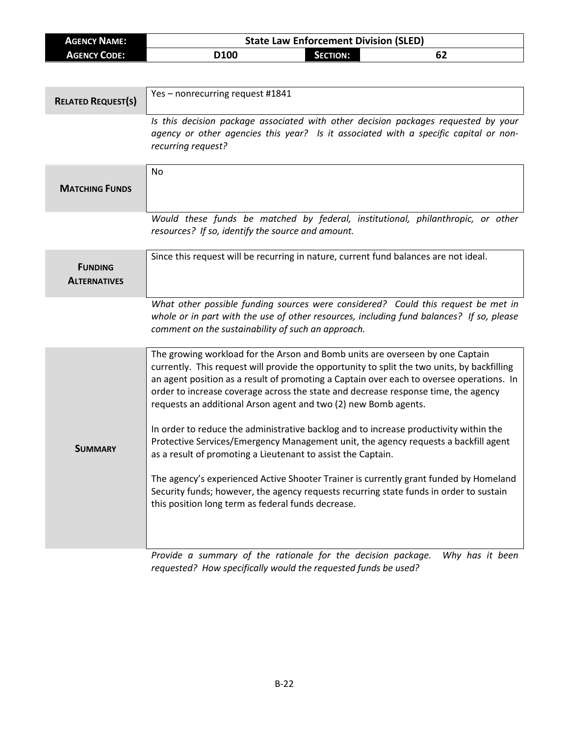| <b>AGENCY NAME:</b>       |                                                                                                            | <b>State Law Enforcement Division (SLED)</b> |                                                                                    |
|---------------------------|------------------------------------------------------------------------------------------------------------|----------------------------------------------|------------------------------------------------------------------------------------|
| <b>AGENCY CODE:</b>       | D <sub>100</sub>                                                                                           | <b>SECTION:</b>                              | 62                                                                                 |
|                           |                                                                                                            |                                              |                                                                                    |
|                           |                                                                                                            |                                              |                                                                                    |
| <b>RELATED REQUEST(S)</b> | Yes - nonrecurring request #1841                                                                           |                                              |                                                                                    |
|                           |                                                                                                            |                                              | Is this decision package associated with other decision packages requested by your |
|                           | agency or other agencies this year? Is it associated with a specific capital or non-<br>recurring request? |                                              |                                                                                    |

|                                       | No                                                                                                                                                                                                                                                                                                                                                                                                                                                                                                                                                                                                                                                                                                                                                                                                                                                                                                                         |
|---------------------------------------|----------------------------------------------------------------------------------------------------------------------------------------------------------------------------------------------------------------------------------------------------------------------------------------------------------------------------------------------------------------------------------------------------------------------------------------------------------------------------------------------------------------------------------------------------------------------------------------------------------------------------------------------------------------------------------------------------------------------------------------------------------------------------------------------------------------------------------------------------------------------------------------------------------------------------|
| <b>MATCHING FUNDS</b>                 |                                                                                                                                                                                                                                                                                                                                                                                                                                                                                                                                                                                                                                                                                                                                                                                                                                                                                                                            |
|                                       | Would these funds be matched by federal, institutional, philanthropic, or other<br>resources? If so, identify the source and amount.                                                                                                                                                                                                                                                                                                                                                                                                                                                                                                                                                                                                                                                                                                                                                                                       |
| <b>FUNDING</b><br><b>ALTERNATIVES</b> | Since this request will be recurring in nature, current fund balances are not ideal.                                                                                                                                                                                                                                                                                                                                                                                                                                                                                                                                                                                                                                                                                                                                                                                                                                       |
|                                       | What other possible funding sources were considered? Could this request be met in<br>whole or in part with the use of other resources, including fund balances? If so, please<br>comment on the sustainability of such an approach.                                                                                                                                                                                                                                                                                                                                                                                                                                                                                                                                                                                                                                                                                        |
| <b>SUMMARY</b>                        | The growing workload for the Arson and Bomb units are overseen by one Captain<br>currently. This request will provide the opportunity to split the two units, by backfilling<br>an agent position as a result of promoting a Captain over each to oversee operations. In<br>order to increase coverage across the state and decrease response time, the agency<br>requests an additional Arson agent and two (2) new Bomb agents.<br>In order to reduce the administrative backlog and to increase productivity within the<br>Protective Services/Emergency Management unit, the agency requests a backfill agent<br>as a result of promoting a Lieutenant to assist the Captain.<br>The agency's experienced Active Shooter Trainer is currently grant funded by Homeland<br>Security funds; however, the agency requests recurring state funds in order to sustain<br>this position long term as federal funds decrease. |
|                                       | Provide a summary of the rationale for the decision package.<br>Why has it been                                                                                                                                                                                                                                                                                                                                                                                                                                                                                                                                                                                                                                                                                                                                                                                                                                            |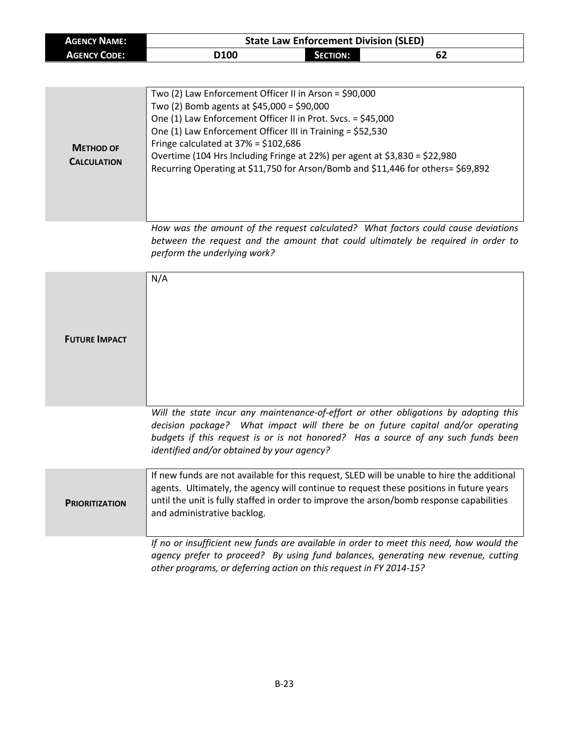| <b>AGENCY NAME:</b> |                  | <b>State Law Enforcement Division (SLED)</b> |    |  |
|---------------------|------------------|----------------------------------------------|----|--|
| <b>AGENCY CODE:</b> | D <sub>100</sub> | <b>SECTION:</b>                              | 62 |  |

| <b>METHOD OF</b><br><b>CALCULATION</b> | Two (2) Law Enforcement Officer II in Arson = \$90,000<br>Two (2) Bomb agents at \$45,000 = \$90,000<br>One (1) Law Enforcement Officer II in Prot. Svcs. = \$45,000<br>One (1) Law Enforcement Officer III in Training = \$52,530<br>Fringe calculated at $37\% = $102,686$<br>Overtime (104 Hrs Including Fringe at 22%) per agent at \$3,830 = \$22,980<br>Recurring Operating at \$11,750 for Arson/Bomb and \$11,446 for others= \$69,892 |
|----------------------------------------|------------------------------------------------------------------------------------------------------------------------------------------------------------------------------------------------------------------------------------------------------------------------------------------------------------------------------------------------------------------------------------------------------------------------------------------------|

*How was the amount of the request calculated? What factors could cause deviations between the request and the amount that could ultimately be required in order to perform the underlying work?*

| <b>FUTURE IMPACT</b>  | N/A                                                                                                                                                                                                                                                                                                               |
|-----------------------|-------------------------------------------------------------------------------------------------------------------------------------------------------------------------------------------------------------------------------------------------------------------------------------------------------------------|
|                       | Will the state incur any maintenance-of-effort or other obligations by adopting this<br>decision package? What impact will there be on future capital and/or operating<br>budgets if this request is or is not honored? Has a source of any such funds been<br>identified and/or obtained by your agency?         |
| <b>PRIORITIZATION</b> | If new funds are not available for this request, SLED will be unable to hire the additional<br>agents. Ultimately, the agency will continue to request these positions in future years<br>until the unit is fully staffed in order to improve the arson/bomb response capabilities<br>and administrative backlog. |
|                       | If no or insufficient new funds are available in order to meet this need, how would the<br>agency prefer to proceed? By using fund balances, generating new revenue, cutting<br>other programs, or deferring action on this request in FY 2014-15?                                                                |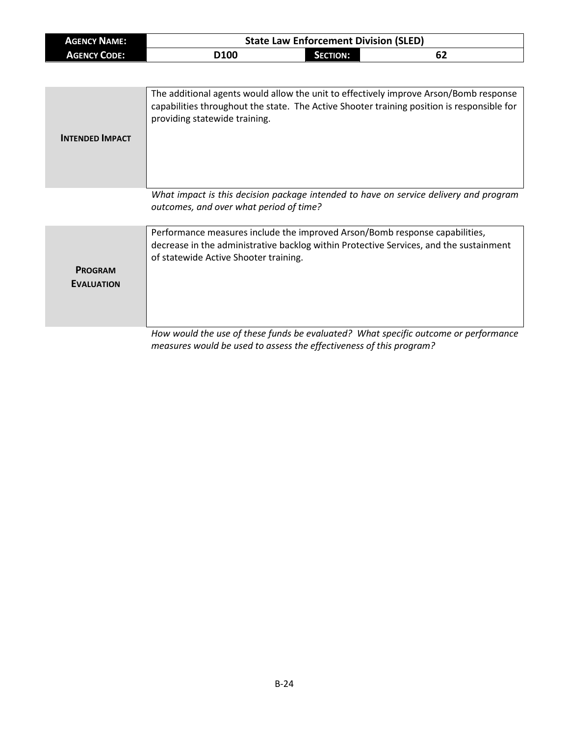| <b>AGENCY NAME:</b> |             |          | <b>State Law Enforcement Division (SLED)</b> |
|---------------------|-------------|----------|----------------------------------------------|
| <b>AGENCY CODE:</b> | <b>D100</b> | SECTION: | -62                                          |

| <b>INTENDED IMPACT</b> | The additional agents would allow the unit to effectively improve Arson/Bomb response<br>capabilities throughout the state. The Active Shooter training position is responsible for<br>providing statewide training. |
|------------------------|----------------------------------------------------------------------------------------------------------------------------------------------------------------------------------------------------------------------|
|                        | What impact is this decision package intended to have on service delivery and program                                                                                                                                |

*outcomes, and over what period of time?*

**PROGRAM EVALUATION** Performance measures include the improved Arson/Bomb response capabilities, decrease in the administrative backlog within Protective Services, and the sustainment of statewide Active Shooter training.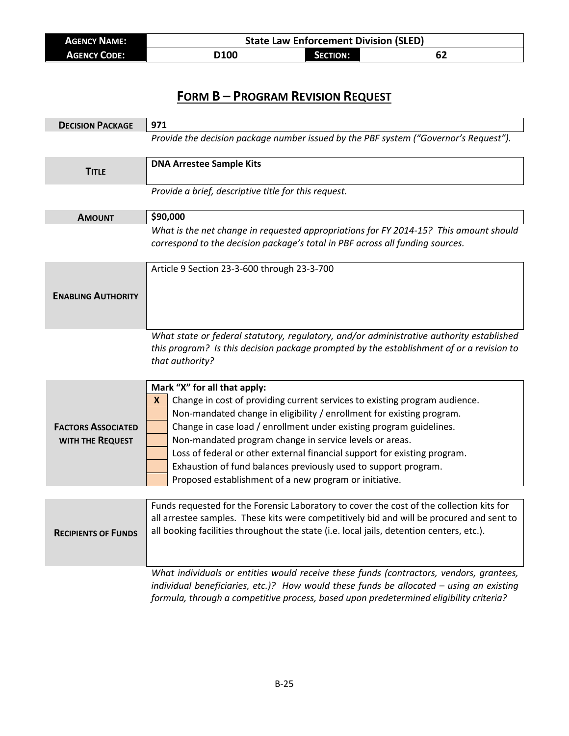| <b>AGENCY NAME:</b> |      |                     | <b>State Law Enforcement Division (SLED)</b> |
|---------------------|------|---------------------|----------------------------------------------|
| <b>AGENCY CODE:</b> | D100 | <b>CTION:</b><br>ЛΟ |                                              |

| <b>DECISION PACKAGE</b>    | 971                                                                                                                                                                    |
|----------------------------|------------------------------------------------------------------------------------------------------------------------------------------------------------------------|
|                            | Provide the decision package number issued by the PBF system ("Governor's Request").                                                                                   |
|                            | <b>DNA Arrestee Sample Kits</b>                                                                                                                                        |
| <b>TITLE</b>               |                                                                                                                                                                        |
|                            | Provide a brief, descriptive title for this request.                                                                                                                   |
|                            |                                                                                                                                                                        |
| <b>AMOUNT</b>              | \$90,000                                                                                                                                                               |
|                            | What is the net change in requested appropriations for FY 2014-15? This amount should<br>correspond to the decision package's total in PBF across all funding sources. |
|                            |                                                                                                                                                                        |
|                            | Article 9 Section 23-3-600 through 23-3-700                                                                                                                            |
|                            |                                                                                                                                                                        |
| <b>ENABLING AUTHORITY</b>  |                                                                                                                                                                        |
|                            |                                                                                                                                                                        |
|                            | What state or federal statutory, regulatory, and/or administrative authority established                                                                               |
|                            | this program? Is this decision package prompted by the establishment of or a revision to                                                                               |
|                            | that authority?                                                                                                                                                        |
|                            |                                                                                                                                                                        |
|                            | Mark "X" for all that apply:                                                                                                                                           |
|                            | Change in cost of providing current services to existing program audience.<br>X                                                                                        |
|                            | Non-mandated change in eligibility / enrollment for existing program.                                                                                                  |
| <b>FACTORS ASSOCIATED</b>  | Change in case load / enrollment under existing program guidelines.                                                                                                    |
| WITH THE REQUEST           | Non-mandated program change in service levels or areas.                                                                                                                |
|                            | Loss of federal or other external financial support for existing program.                                                                                              |
|                            | Exhaustion of fund balances previously used to support program.                                                                                                        |
|                            | Proposed establishment of a new program or initiative.                                                                                                                 |
|                            | Funds requested for the Forensic Laboratory to cover the cost of the collection kits for                                                                               |
|                            | all arrestee samples. These kits were competitively bid and will be procured and sent to                                                                               |
| <b>RECIPIENTS OF FUNDS</b> | all booking facilities throughout the state (i.e. local jails, detention centers, etc.).                                                                               |
|                            |                                                                                                                                                                        |
|                            |                                                                                                                                                                        |
|                            | What individuals or entities would receive these funds (contractors, vendors, grantees,                                                                                |
|                            | individual beneficiaries, etc.)? How would these funds be allocated $-$ using an existing                                                                              |
|                            | formula, through a competitive process, based upon predetermined eligibility criteria?                                                                                 |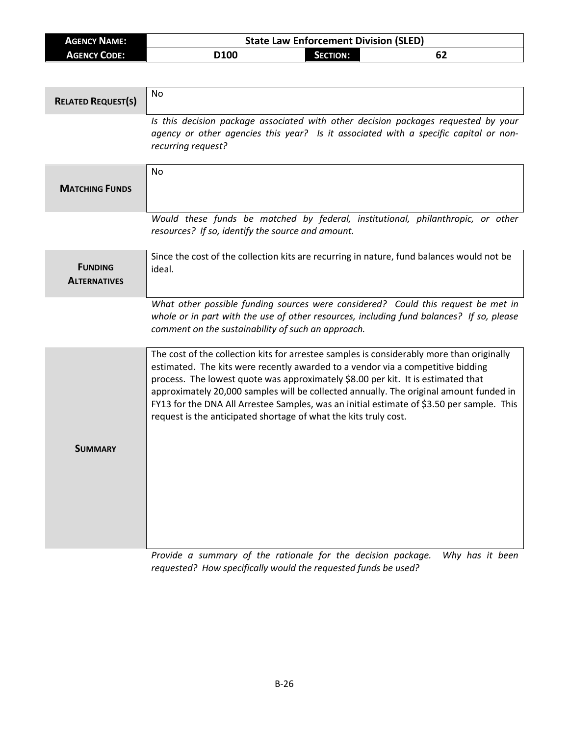| <b>AGENCY NAME:</b> | <b>State Law Enforcement Division (SLED)</b> |                 |    |
|---------------------|----------------------------------------------|-----------------|----|
| <b>AGENCY CODE:</b> | D <sub>100</sub>                             | <b>SECTION:</b> | 62 |

| <b>RELATED REQUEST(S)</b>             | <b>No</b>                                                                                                                                                                                                                                                                                                                                                                                                                                                                                                                   |
|---------------------------------------|-----------------------------------------------------------------------------------------------------------------------------------------------------------------------------------------------------------------------------------------------------------------------------------------------------------------------------------------------------------------------------------------------------------------------------------------------------------------------------------------------------------------------------|
|                                       | Is this decision package associated with other decision packages requested by your<br>agency or other agencies this year? Is it associated with a specific capital or non-<br>recurring request?                                                                                                                                                                                                                                                                                                                            |
| <b>MATCHING FUNDS</b>                 | No                                                                                                                                                                                                                                                                                                                                                                                                                                                                                                                          |
|                                       | Would these funds be matched by federal, institutional, philanthropic, or other<br>resources? If so, identify the source and amount.                                                                                                                                                                                                                                                                                                                                                                                        |
| <b>FUNDING</b><br><b>ALTERNATIVES</b> | Since the cost of the collection kits are recurring in nature, fund balances would not be<br>ideal.                                                                                                                                                                                                                                                                                                                                                                                                                         |
|                                       | What other possible funding sources were considered? Could this request be met in<br>whole or in part with the use of other resources, including fund balances? If so, please<br>comment on the sustainability of such an approach.                                                                                                                                                                                                                                                                                         |
|                                       | The cost of the collection kits for arrestee samples is considerably more than originally<br>estimated. The kits were recently awarded to a vendor via a competitive bidding<br>process. The lowest quote was approximately \$8.00 per kit. It is estimated that<br>approximately 20,000 samples will be collected annually. The original amount funded in<br>FY13 for the DNA All Arrestee Samples, was an initial estimate of \$3.50 per sample. This<br>request is the anticipated shortage of what the kits truly cost. |
| <b>SUMMARY</b>                        |                                                                                                                                                                                                                                                                                                                                                                                                                                                                                                                             |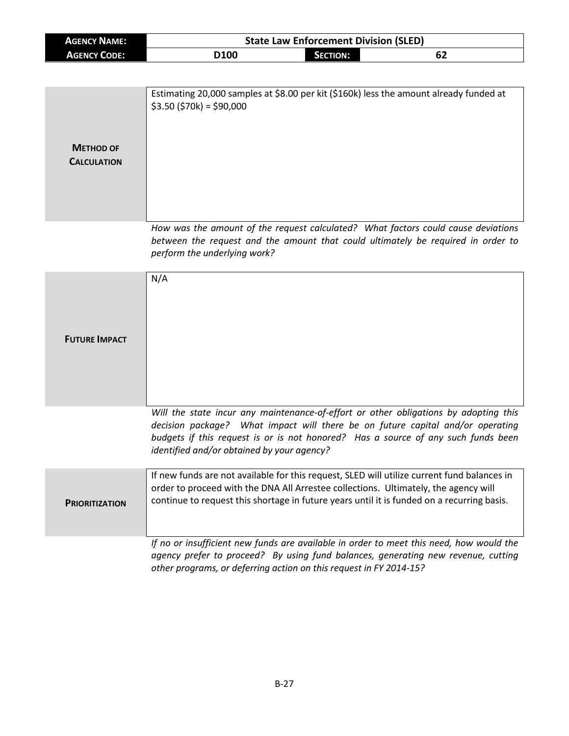| <b>AGENCY NAME:</b>                    | <b>State Law Enforcement Division (SLED)</b>                                                                                                                                                                                                                                     |                 |                                                                                                                                                                                                                                                             |
|----------------------------------------|----------------------------------------------------------------------------------------------------------------------------------------------------------------------------------------------------------------------------------------------------------------------------------|-----------------|-------------------------------------------------------------------------------------------------------------------------------------------------------------------------------------------------------------------------------------------------------------|
| <b>AGENCY CODE:</b>                    | D100                                                                                                                                                                                                                                                                             | <b>SECTION:</b> | 62                                                                                                                                                                                                                                                          |
|                                        |                                                                                                                                                                                                                                                                                  |                 |                                                                                                                                                                                                                                                             |
| <b>METHOD OF</b><br><b>CALCULATION</b> | Estimating 20,000 samples at \$8.00 per kit (\$160k) less the amount already funded at<br>$$3.50$ (\$70k) = \$90,000                                                                                                                                                             |                 |                                                                                                                                                                                                                                                             |
|                                        | perform the underlying work?                                                                                                                                                                                                                                                     |                 | How was the amount of the request calculated? What factors could cause deviations<br>between the request and the amount that could ultimately be required in order to                                                                                       |
| <b>FUTURE IMPACT</b>                   | N/A                                                                                                                                                                                                                                                                              |                 |                                                                                                                                                                                                                                                             |
|                                        | identified and/or obtained by your agency?                                                                                                                                                                                                                                       |                 | Will the state incur any maintenance-of-effort or other obligations by adopting this<br>decision package? What impact will there be on future capital and/or operating<br>budgets if this request is or is not honored? Has a source of any such funds been |
| <b>PRIORITIZATION</b>                  | If new funds are not available for this request, SLED will utilize current fund balances in<br>order to proceed with the DNA All Arrestee collections. Ultimately, the agency will<br>continue to request this shortage in future years until it is funded on a recurring basis. |                 |                                                                                                                                                                                                                                                             |
|                                        | If no or insufficient new funds are available in order to meet this need, how would the<br>other programs, or deferring action on this request in FY 2014-15?                                                                                                                    |                 | agency prefer to proceed? By using fund balances, generating new revenue, cutting                                                                                                                                                                           |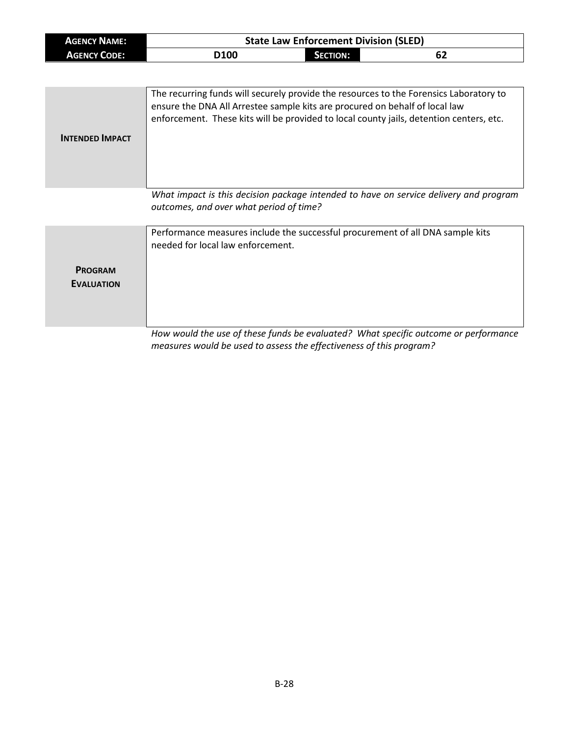| <b>AGENCY NAME:</b> |             |          | <b>State Law Enforcement Division (SLED)</b> |
|---------------------|-------------|----------|----------------------------------------------|
| <b>AGENCY CODE:</b> | <b>D100</b> | SECTION: | 62                                           |

| <b>INTENDED IMPACT</b> | The recurring funds will securely provide the resources to the Forensics Laboratory to<br>ensure the DNA All Arrestee sample kits are procured on behalf of local law<br>enforcement. These kits will be provided to local county jails, detention centers, etc. |
|------------------------|------------------------------------------------------------------------------------------------------------------------------------------------------------------------------------------------------------------------------------------------------------------|
|                        | What impact is this decision package intended to have on service delivery and program                                                                                                                                                                            |

*What impact is this decision package intended to have on service delivery and program outcomes, and over what period of time?*

|                                     | Performance measures include the successful procurement of all DNA sample kits<br>needed for local law enforcement. |
|-------------------------------------|---------------------------------------------------------------------------------------------------------------------|
| <b>PROGRAM</b><br><b>EVALUATION</b> |                                                                                                                     |
|                                     | How would the use of these funds he evaluated? What specific outcome or performance                                 |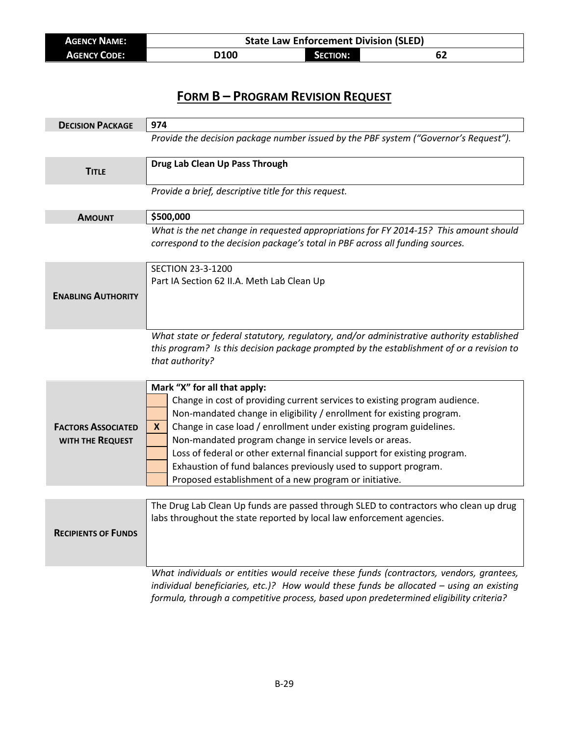| <b>AGENCY NAME:</b> | <b>State Law Enforcement Division (SLED)</b> |                     |  |
|---------------------|----------------------------------------------|---------------------|--|
| <b>AGENCY CODE:</b> | D100                                         | <b>CTION:</b><br>ЛΟ |  |

| <b>DECISION PACKAGE</b>    | 974                                                                                                                                                                                  |  |
|----------------------------|--------------------------------------------------------------------------------------------------------------------------------------------------------------------------------------|--|
|                            | Provide the decision package number issued by the PBF system ("Governor's Request").                                                                                                 |  |
|                            | Drug Lab Clean Up Pass Through                                                                                                                                                       |  |
| <b>TITLE</b>               |                                                                                                                                                                                      |  |
|                            | Provide a brief, descriptive title for this request.                                                                                                                                 |  |
| <b>AMOUNT</b>              | \$500,000                                                                                                                                                                            |  |
|                            | What is the net change in requested appropriations for FY 2014-15? This amount should                                                                                                |  |
|                            | correspond to the decision package's total in PBF across all funding sources.                                                                                                        |  |
|                            | <b>SECTION 23-3-1200</b>                                                                                                                                                             |  |
|                            | Part IA Section 62 II.A. Meth Lab Clean Up                                                                                                                                           |  |
| <b>ENABLING AUTHORITY</b>  |                                                                                                                                                                                      |  |
|                            |                                                                                                                                                                                      |  |
|                            |                                                                                                                                                                                      |  |
|                            | What state or federal statutory, regulatory, and/or administrative authority established<br>this program? Is this decision package prompted by the establishment of or a revision to |  |
|                            | that authority?                                                                                                                                                                      |  |
|                            |                                                                                                                                                                                      |  |
|                            | Mark "X" for all that apply:                                                                                                                                                         |  |
|                            | Change in cost of providing current services to existing program audience.                                                                                                           |  |
|                            | Non-mandated change in eligibility / enrollment for existing program.                                                                                                                |  |
| <b>FACTORS ASSOCIATED</b>  | Change in case load / enrollment under existing program guidelines.<br><b>X</b>                                                                                                      |  |
| WITH THE REQUEST           | Non-mandated program change in service levels or areas.                                                                                                                              |  |
|                            | Loss of federal or other external financial support for existing program.                                                                                                            |  |
|                            | Exhaustion of fund balances previously used to support program.                                                                                                                      |  |
|                            | Proposed establishment of a new program or initiative.                                                                                                                               |  |
|                            | The Drug Lab Clean Up funds are passed through SLED to contractors who clean up drug                                                                                                 |  |
|                            | labs throughout the state reported by local law enforcement agencies.                                                                                                                |  |
| <b>RECIPIENTS OF FUNDS</b> |                                                                                                                                                                                      |  |
|                            |                                                                                                                                                                                      |  |
|                            |                                                                                                                                                                                      |  |
|                            | What individuals or entities would receive these funds (contractors, vendors, grantees,                                                                                              |  |
|                            | individual beneficiaries, etc.)? How would these funds be allocated $-$ using an existing                                                                                            |  |
|                            | formula, through a competitive process, based upon predetermined eligibility criteria?                                                                                               |  |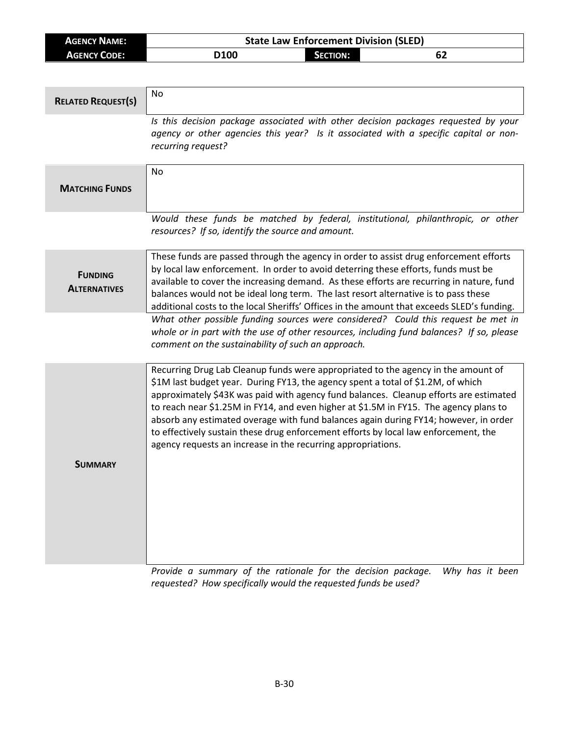| <b>AGENCY NAME:</b> | <b>State Law Enforcement Division (SLED)</b> |          |  |
|---------------------|----------------------------------------------|----------|--|
| <b>AGENCY CODE:</b> | D <sub>100</sub>                             | SECTION: |  |

| <b>RELATED REQUEST(S)</b>             | No                                                                                                                                                                                                                                                                                                                                                                                                                                                                                                                                                                                                     |
|---------------------------------------|--------------------------------------------------------------------------------------------------------------------------------------------------------------------------------------------------------------------------------------------------------------------------------------------------------------------------------------------------------------------------------------------------------------------------------------------------------------------------------------------------------------------------------------------------------------------------------------------------------|
|                                       | Is this decision package associated with other decision packages requested by your<br>agency or other agencies this year? Is it associated with a specific capital or non-<br>recurring request?                                                                                                                                                                                                                                                                                                                                                                                                       |
| <b>MATCHING FUNDS</b>                 | No                                                                                                                                                                                                                                                                                                                                                                                                                                                                                                                                                                                                     |
|                                       | Would these funds be matched by federal, institutional, philanthropic, or other<br>resources? If so, identify the source and amount.                                                                                                                                                                                                                                                                                                                                                                                                                                                                   |
| <b>FUNDING</b><br><b>ALTERNATIVES</b> | These funds are passed through the agency in order to assist drug enforcement efforts<br>by local law enforcement. In order to avoid deterring these efforts, funds must be<br>available to cover the increasing demand. As these efforts are recurring in nature, fund<br>balances would not be ideal long term. The last resort alternative is to pass these<br>additional costs to the local Sheriffs' Offices in the amount that exceeds SLED's funding.                                                                                                                                           |
|                                       | What other possible funding sources were considered? Could this request be met in<br>whole or in part with the use of other resources, including fund balances? If so, please<br>comment on the sustainability of such an approach.                                                                                                                                                                                                                                                                                                                                                                    |
| <b>SUMMARY</b>                        | Recurring Drug Lab Cleanup funds were appropriated to the agency in the amount of<br>\$1M last budget year. During FY13, the agency spent a total of \$1.2M, of which<br>approximately \$43K was paid with agency fund balances. Cleanup efforts are estimated<br>to reach near \$1.25M in FY14, and even higher at \$1.5M in FY15. The agency plans to<br>absorb any estimated overage with fund balances again during FY14; however, in order<br>to effectively sustain these drug enforcement efforts by local law enforcement, the<br>agency requests an increase in the recurring appropriations. |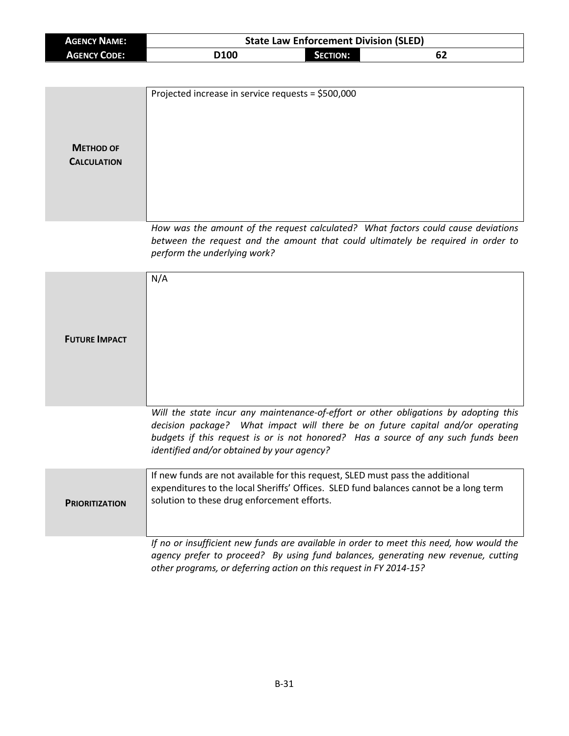| <b>AGENCY NAME:</b> | <b>State Law Enforcement Division (SLED)</b> |                 |    |  |
|---------------------|----------------------------------------------|-----------------|----|--|
| AGENCY CODE:        | D <sub>100</sub>                             | <b>SECTION:</b> | 62 |  |

| <b>METHOD OF</b><br><b>CALCULATION</b> | Projected increase in service requests = \$500,000                                                                                                                                                                                                                                                        |
|----------------------------------------|-----------------------------------------------------------------------------------------------------------------------------------------------------------------------------------------------------------------------------------------------------------------------------------------------------------|
|                                        | How was the amount of the request calculated? What factors could cause deviations<br>between the request and the amount that could ultimately be required in order to<br>perform the underlying work?                                                                                                     |
| <b>FUTURE IMPACT</b>                   | N/A                                                                                                                                                                                                                                                                                                       |
|                                        | Will the state incur any maintenance-of-effort or other obligations by adopting this<br>decision package? What impact will there be on future capital and/or operating<br>budgets if this request is or is not honored? Has a source of any such funds been<br>identified and/or obtained by your agency? |
| <b>PRIORITIZATION</b>                  | If new funds are not available for this request, SLED must pass the additional<br>expenditures to the local Sheriffs' Offices. SLED fund balances cannot be a long term<br>solution to these drug enforcement efforts.                                                                                    |
|                                        | If no or insufficient new funds are available in order to meet this need, how would the                                                                                                                                                                                                                   |

*agency prefer to proceed? By using fund balances, generating new revenue, cutting other programs, or deferring action on this request in FY 2014-15?*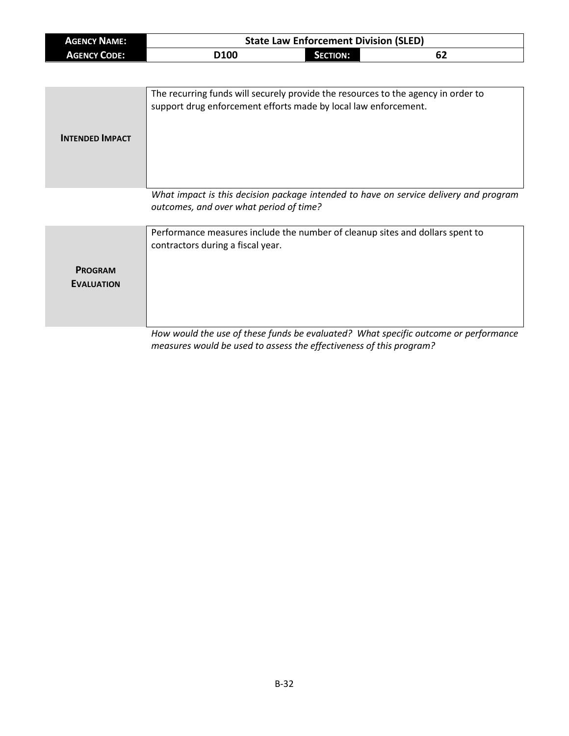| <b>AGENCY NAME:</b> | <b>State Law Enforcement Division (SLED)</b> |          |    |  |
|---------------------|----------------------------------------------|----------|----|--|
| <b>AGENCY CODE:</b> | D <sub>100</sub>                             | SECTION: | 62 |  |

| <b>INTENDED IMPACT</b> | The recurring funds will securely provide the resources to the agency in order to<br>support drug enforcement efforts made by local law enforcement. |
|------------------------|------------------------------------------------------------------------------------------------------------------------------------------------------|
|                        | What impact is this decision package intended to have on service delivery and program<br>outcomes, and over what period of time?                     |

| <b>PROGRAM</b><br><b>EVALUATION</b> | Performance measures include the number of cleanup sites and dollars spent to<br>contractors during a fiscal year. |
|-------------------------------------|--------------------------------------------------------------------------------------------------------------------|
|                                     |                                                                                                                    |
|                                     | How would the use of these funds he evaluated? What specific outcome or performance                                |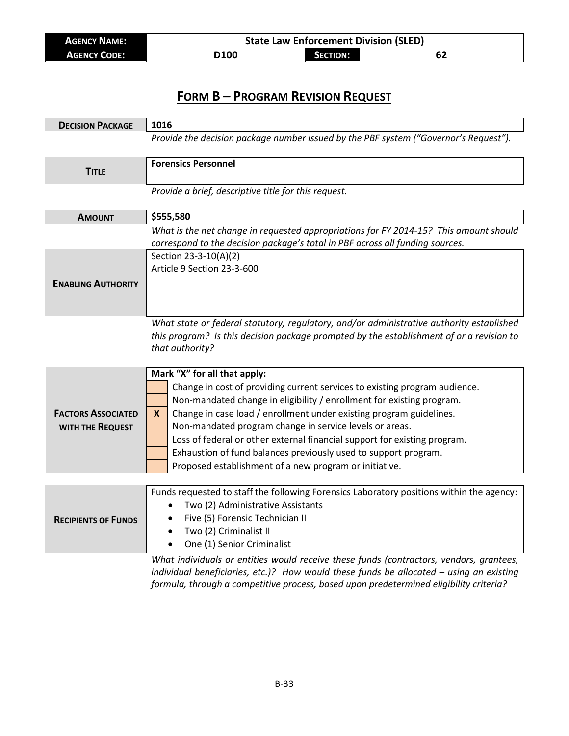| <b>AGENCY NAME:</b> | <b>State Law Enforcement Division (SLED)</b> |          |    |
|---------------------|----------------------------------------------|----------|----|
| <b>AGENCY CODE:</b> | D100                                         | SECTION: | 62 |

| <b>DECISION PACKAGE</b>    | 1016                                                                                                                                                                               |  |  |
|----------------------------|------------------------------------------------------------------------------------------------------------------------------------------------------------------------------------|--|--|
|                            | Provide the decision package number issued by the PBF system ("Governor's Request").                                                                                               |  |  |
|                            |                                                                                                                                                                                    |  |  |
| <b>TITLE</b>               | <b>Forensics Personnel</b>                                                                                                                                                         |  |  |
|                            | Provide a brief, descriptive title for this request.                                                                                                                               |  |  |
|                            |                                                                                                                                                                                    |  |  |
| <b>AMOUNT</b>              | \$555,580                                                                                                                                                                          |  |  |
|                            | What is the net change in requested appropriations for FY 2014-15? This amount should                                                                                              |  |  |
|                            | correspond to the decision package's total in PBF across all funding sources.                                                                                                      |  |  |
|                            | Section 23-3-10(A)(2)                                                                                                                                                              |  |  |
|                            | Article 9 Section 23-3-600                                                                                                                                                         |  |  |
| <b>ENABLING AUTHORITY</b>  |                                                                                                                                                                                    |  |  |
|                            |                                                                                                                                                                                    |  |  |
|                            |                                                                                                                                                                                    |  |  |
|                            | What state or federal statutory, regulatory, and/or administrative authority established                                                                                           |  |  |
|                            | this program? Is this decision package prompted by the establishment of or a revision to<br>that authority?                                                                        |  |  |
|                            |                                                                                                                                                                                    |  |  |
|                            | Mark "X" for all that apply:                                                                                                                                                       |  |  |
|                            | Change in cost of providing current services to existing program audience.                                                                                                         |  |  |
|                            | Non-mandated change in eligibility / enrollment for existing program.                                                                                                              |  |  |
| <b>FACTORS ASSOCIATED</b>  | Change in case load / enrollment under existing program guidelines.<br>X.                                                                                                          |  |  |
| WITH THE REQUEST           | Non-mandated program change in service levels or areas.                                                                                                                            |  |  |
|                            | Loss of federal or other external financial support for existing program.                                                                                                          |  |  |
|                            | Exhaustion of fund balances previously used to support program.                                                                                                                    |  |  |
|                            | Proposed establishment of a new program or initiative.                                                                                                                             |  |  |
|                            |                                                                                                                                                                                    |  |  |
|                            | Funds requested to staff the following Forensics Laboratory positions within the agency:                                                                                           |  |  |
|                            | Two (2) Administrative Assistants<br>$\bullet$                                                                                                                                     |  |  |
| <b>RECIPIENTS OF FUNDS</b> | Five (5) Forensic Technician II<br>$\bullet$                                                                                                                                       |  |  |
|                            | Two (2) Criminalist II<br>$\bullet$                                                                                                                                                |  |  |
|                            |                                                                                                                                                                                    |  |  |
|                            | One (1) Senior Criminalist<br>$\bullet$                                                                                                                                            |  |  |
|                            | What individuals or entities would receive these funds (contractors, vendors, grantees,<br>individual beneficiaries, etc.)? How would these funds be allocated - using an existing |  |  |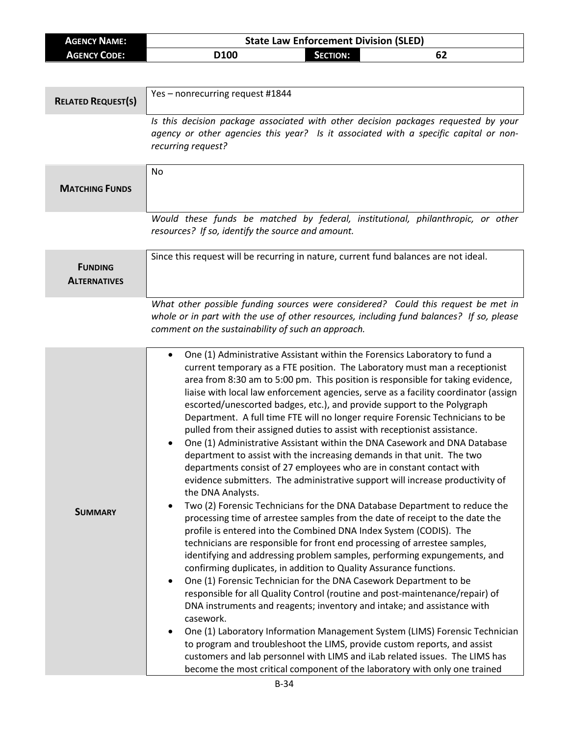| <b>AGENCY NAME:</b> | <b>State Law Enforcement Division (SLED)</b> |                 |  |  |
|---------------------|----------------------------------------------|-----------------|--|--|
| <b>AGENCY CODE:</b> | D100                                         | <b>SECTION:</b> |  |  |
|                     |                                              |                 |  |  |

| <b>RELATED REQUEST(S)</b>             | Yes - nonrecurring request #1844                                                                                                                                                                                                                                                                                                                                                                                                                                                                                                                                                                                                                                                                                                                                                                                                                                                                                                                                                                                                                                                                                                                                                                                                                                                                                                                                                                                                                                                                                                                                                                                                                                                                                                                                                                                                                                                                                                                                                                 |  |  |
|---------------------------------------|--------------------------------------------------------------------------------------------------------------------------------------------------------------------------------------------------------------------------------------------------------------------------------------------------------------------------------------------------------------------------------------------------------------------------------------------------------------------------------------------------------------------------------------------------------------------------------------------------------------------------------------------------------------------------------------------------------------------------------------------------------------------------------------------------------------------------------------------------------------------------------------------------------------------------------------------------------------------------------------------------------------------------------------------------------------------------------------------------------------------------------------------------------------------------------------------------------------------------------------------------------------------------------------------------------------------------------------------------------------------------------------------------------------------------------------------------------------------------------------------------------------------------------------------------------------------------------------------------------------------------------------------------------------------------------------------------------------------------------------------------------------------------------------------------------------------------------------------------------------------------------------------------------------------------------------------------------------------------------------------------|--|--|
|                                       | Is this decision package associated with other decision packages requested by your<br>agency or other agencies this year? Is it associated with a specific capital or non-<br>recurring request?                                                                                                                                                                                                                                                                                                                                                                                                                                                                                                                                                                                                                                                                                                                                                                                                                                                                                                                                                                                                                                                                                                                                                                                                                                                                                                                                                                                                                                                                                                                                                                                                                                                                                                                                                                                                 |  |  |
| <b>MATCHING FUNDS</b>                 | No                                                                                                                                                                                                                                                                                                                                                                                                                                                                                                                                                                                                                                                                                                                                                                                                                                                                                                                                                                                                                                                                                                                                                                                                                                                                                                                                                                                                                                                                                                                                                                                                                                                                                                                                                                                                                                                                                                                                                                                               |  |  |
|                                       | Would these funds be matched by federal, institutional, philanthropic, or other<br>resources? If so, identify the source and amount.                                                                                                                                                                                                                                                                                                                                                                                                                                                                                                                                                                                                                                                                                                                                                                                                                                                                                                                                                                                                                                                                                                                                                                                                                                                                                                                                                                                                                                                                                                                                                                                                                                                                                                                                                                                                                                                             |  |  |
| <b>FUNDING</b><br><b>ALTERNATIVES</b> | Since this request will be recurring in nature, current fund balances are not ideal.                                                                                                                                                                                                                                                                                                                                                                                                                                                                                                                                                                                                                                                                                                                                                                                                                                                                                                                                                                                                                                                                                                                                                                                                                                                                                                                                                                                                                                                                                                                                                                                                                                                                                                                                                                                                                                                                                                             |  |  |
|                                       | What other possible funding sources were considered? Could this request be met in<br>whole or in part with the use of other resources, including fund balances? If so, please<br>comment on the sustainability of such an approach.                                                                                                                                                                                                                                                                                                                                                                                                                                                                                                                                                                                                                                                                                                                                                                                                                                                                                                                                                                                                                                                                                                                                                                                                                                                                                                                                                                                                                                                                                                                                                                                                                                                                                                                                                              |  |  |
| <b>SUMMARY</b>                        | One (1) Administrative Assistant within the Forensics Laboratory to fund a<br>$\bullet$<br>current temporary as a FTE position. The Laboratory must man a receptionist<br>area from 8:30 am to 5:00 pm. This position is responsible for taking evidence,<br>liaise with local law enforcement agencies, serve as a facility coordinator (assign<br>escorted/unescorted badges, etc.), and provide support to the Polygraph<br>Department. A full time FTE will no longer require Forensic Technicians to be<br>pulled from their assigned duties to assist with receptionist assistance.<br>One (1) Administrative Assistant within the DNA Casework and DNA Database<br>$\bullet$<br>department to assist with the increasing demands in that unit. The two<br>departments consist of 27 employees who are in constant contact with<br>evidence submitters. The administrative support will increase productivity of<br>the DNA Analysts.<br>Two (2) Forensic Technicians for the DNA Database Department to reduce the<br>processing time of arrestee samples from the date of receipt to the date the<br>profile is entered into the Combined DNA Index System (CODIS). The<br>technicians are responsible for front end processing of arrestee samples,<br>identifying and addressing problem samples, performing expungements, and<br>confirming duplicates, in addition to Quality Assurance functions.<br>One (1) Forensic Technician for the DNA Casework Department to be<br>$\bullet$<br>responsible for all Quality Control (routine and post-maintenance/repair) of<br>DNA instruments and reagents; inventory and intake; and assistance with<br>casework.<br>One (1) Laboratory Information Management System (LIMS) Forensic Technician<br>to program and troubleshoot the LIMS, provide custom reports, and assist<br>customers and lab personnel with LIMS and iLab related issues. The LIMS has<br>become the most critical component of the laboratory with only one trained |  |  |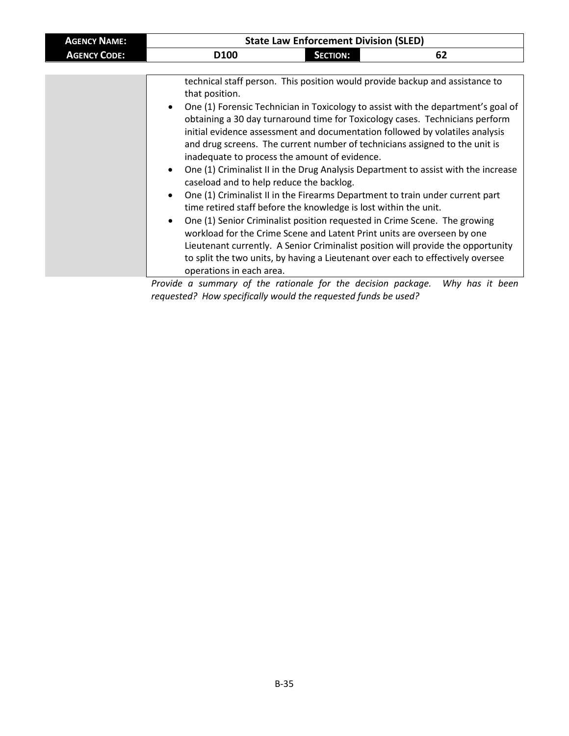| <b>AGENCY NAME:</b> | <b>State Law Enforcement Division (SLED)</b>                                                                                                                                                                                                                                                                                                                                                                                                                                                                                                                                                                                                                                                                                                                                                                                                                                                                                                                                                                                                                                                                                                    |                 |    |  |  |
|---------------------|-------------------------------------------------------------------------------------------------------------------------------------------------------------------------------------------------------------------------------------------------------------------------------------------------------------------------------------------------------------------------------------------------------------------------------------------------------------------------------------------------------------------------------------------------------------------------------------------------------------------------------------------------------------------------------------------------------------------------------------------------------------------------------------------------------------------------------------------------------------------------------------------------------------------------------------------------------------------------------------------------------------------------------------------------------------------------------------------------------------------------------------------------|-----------------|----|--|--|
| <b>AGENCY CODE:</b> | D <sub>100</sub>                                                                                                                                                                                                                                                                                                                                                                                                                                                                                                                                                                                                                                                                                                                                                                                                                                                                                                                                                                                                                                                                                                                                | <b>SECTION:</b> | 62 |  |  |
|                     |                                                                                                                                                                                                                                                                                                                                                                                                                                                                                                                                                                                                                                                                                                                                                                                                                                                                                                                                                                                                                                                                                                                                                 |                 |    |  |  |
|                     | that position.                                                                                                                                                                                                                                                                                                                                                                                                                                                                                                                                                                                                                                                                                                                                                                                                                                                                                                                                                                                                                                                                                                                                  |                 |    |  |  |
|                     | technical staff person. This position would provide backup and assistance to<br>• One (1) Forensic Technician in Toxicology to assist with the department's goal of<br>obtaining a 30 day turnaround time for Toxicology cases. Technicians perform<br>initial evidence assessment and documentation followed by volatiles analysis<br>and drug screens. The current number of technicians assigned to the unit is<br>inadequate to process the amount of evidence.<br>One (1) Criminalist II in the Drug Analysis Department to assist with the increase<br>$\bullet$<br>caseload and to help reduce the backlog.<br>One (1) Criminalist II in the Firearms Department to train under current part<br>time retired staff before the knowledge is lost within the unit.<br>One (1) Senior Criminalist position requested in Crime Scene. The growing<br>$\bullet$<br>workload for the Crime Scene and Latent Print units are overseen by one<br>Lieutenant currently. A Senior Criminalist position will provide the opportunity<br>to split the two units, by having a Lieutenant over each to effectively oversee<br>operations in each area. |                 |    |  |  |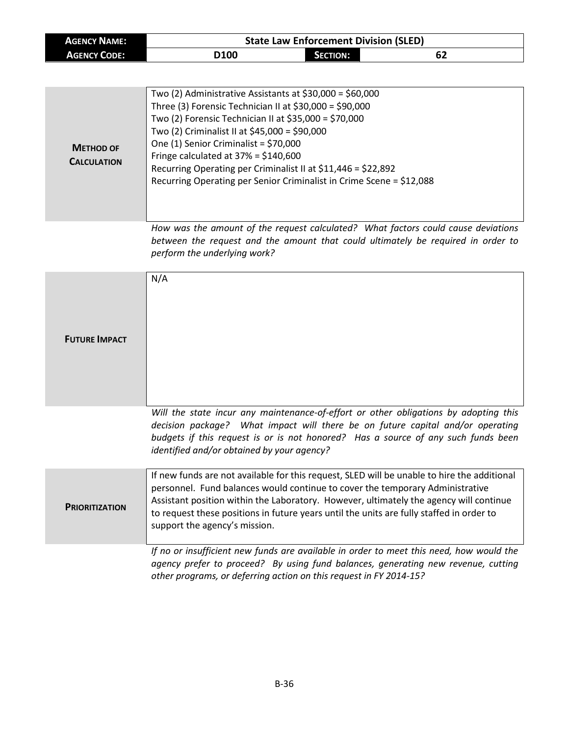| <b>AGENCY NAME:</b> |                  | <b>State Law Enforcement Division (SLED)</b> |    |  |
|---------------------|------------------|----------------------------------------------|----|--|
| <b>AGENCY CODE:</b> | D <sub>100</sub> | Section:                                     | 62 |  |

|                    | Two (2) Administrative Assistants at $$30,000 = $60,000$             |
|--------------------|----------------------------------------------------------------------|
|                    | Three (3) Forensic Technician II at $$30,000 = $90,000$              |
|                    | Two (2) Forensic Technician II at \$35,000 = \$70,000                |
|                    | Two (2) Criminalist II at \$45,000 = \$90,000                        |
| <b>METHOD OF</b>   | One (1) Senior Criminalist = $$70,000$                               |
|                    | Fringe calculated at $37\% = $140,600$                               |
| <b>CALCULATION</b> | Recurring Operating per Criminalist II at \$11,446 = \$22,892        |
|                    | Recurring Operating per Senior Criminalist in Crime Scene = \$12,088 |
|                    |                                                                      |
|                    |                                                                      |
|                    |                                                                      |

*How was the amount of the request calculated? What factors could cause deviations between the request and the amount that could ultimately be required in order to perform the underlying work?*

| <b>FUTURE IMPACT</b>  | N/A                                                                                                                                                                                                                                                                                                                                                                                                 |
|-----------------------|-----------------------------------------------------------------------------------------------------------------------------------------------------------------------------------------------------------------------------------------------------------------------------------------------------------------------------------------------------------------------------------------------------|
|                       | Will the state incur any maintenance-of-effort or other obligations by adopting this<br>decision package? What impact will there be on future capital and/or operating<br>budgets if this request is or is not honored? Has a source of any such funds been<br>identified and/or obtained by your agency?                                                                                           |
| <b>PRIORITIZATION</b> | If new funds are not available for this request, SLED will be unable to hire the additional<br>personnel. Fund balances would continue to cover the temporary Administrative<br>Assistant position within the Laboratory. However, ultimately the agency will continue<br>to request these positions in future years until the units are fully staffed in order to<br>support the agency's mission. |
|                       | If no or insufficient new funds are available in order to meet this need, how would the<br>agency prefer to proceed? By using fund balances, generating new revenue, cutting<br>other programs, or deferring action on this request in FY 2014-15?                                                                                                                                                  |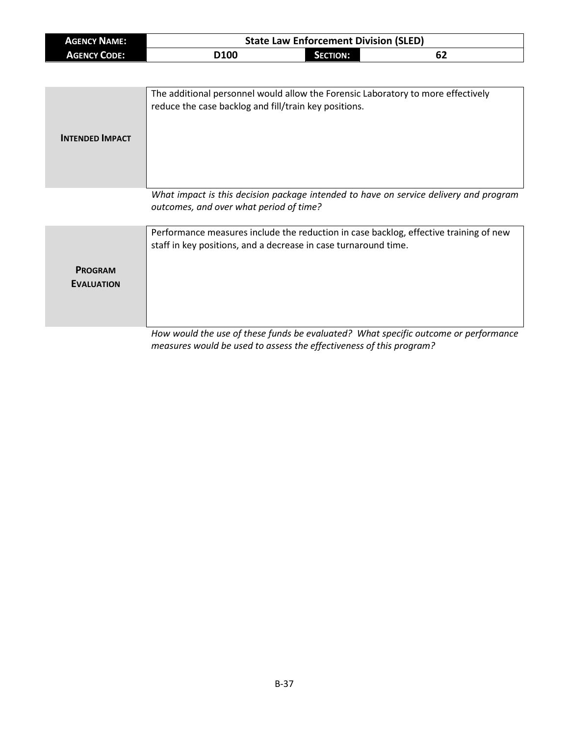| <b>AGENCY NAME:</b> |                  | <b>State Law Enforcement Division (SLED)</b> |    |  |
|---------------------|------------------|----------------------------------------------|----|--|
| <b>AGENCY CODE:</b> | D <sub>100</sub> | SECTION:                                     | 62 |  |

| <b>INTENDED IMPACT</b> | The additional personnel would allow the Forensic Laboratory to more effectively<br>reduce the case backlog and fill/train key positions. |
|------------------------|-------------------------------------------------------------------------------------------------------------------------------------------|
|                        | What impact is this decision package intended to have on service delivery and program<br>outcomes, and over what period of time?          |

|                                     | Performance measures include the reduction in case backlog, effective training of new<br>staff in key positions, and a decrease in case turnaround time. |
|-------------------------------------|----------------------------------------------------------------------------------------------------------------------------------------------------------|
| <b>PROGRAM</b><br><b>EVALUATION</b> |                                                                                                                                                          |
|                                     | How would the use of these funds he evaluated? What specific outcome or performance                                                                      |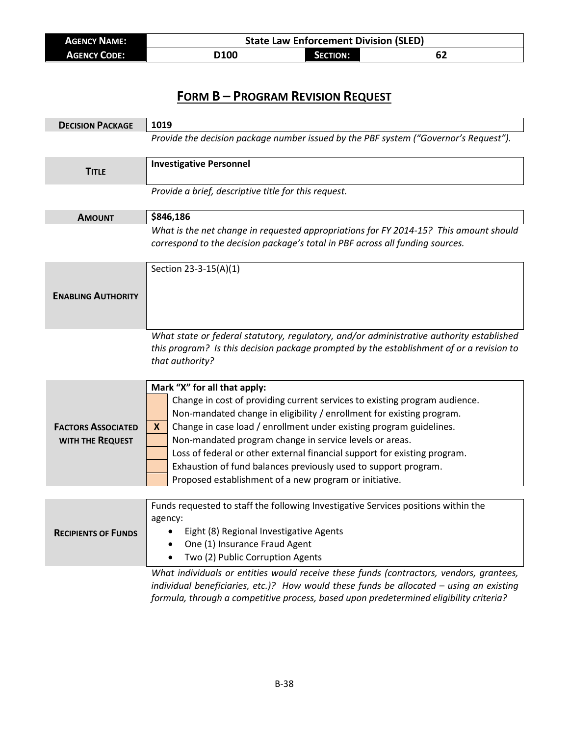| <b>AGENCY NAME:</b> | <b>State Law Enforcement Division (SLED)</b> |                 |    |  |
|---------------------|----------------------------------------------|-----------------|----|--|
| <b>AGENCY CODE:</b> | <b>D100</b>                                  | <b>SECTION:</b> | 62 |  |

| <b>DECISION PACKAGE</b>    | 1019                                                                                     |  |
|----------------------------|------------------------------------------------------------------------------------------|--|
|                            | Provide the decision package number issued by the PBF system ("Governor's Request").     |  |
|                            | <b>Investigative Personnel</b>                                                           |  |
| <b>TITLE</b>               |                                                                                          |  |
|                            | Provide a brief, descriptive title for this request.                                     |  |
| <b>AMOUNT</b>              | \$846,186                                                                                |  |
|                            | What is the net change in requested appropriations for FY 2014-15? This amount should    |  |
|                            | correspond to the decision package's total in PBF across all funding sources.            |  |
|                            |                                                                                          |  |
|                            | Section 23-3-15(A)(1)                                                                    |  |
|                            |                                                                                          |  |
| <b>ENABLING AUTHORITY</b>  |                                                                                          |  |
|                            |                                                                                          |  |
|                            | What state or federal statutory, regulatory, and/or administrative authority established |  |
|                            | this program? Is this decision package prompted by the establishment of or a revision to |  |
|                            | that authority?                                                                          |  |
|                            |                                                                                          |  |
|                            | Mark "X" for all that apply:                                                             |  |
|                            | Change in cost of providing current services to existing program audience.               |  |
|                            | Non-mandated change in eligibility / enrollment for existing program.                    |  |
| <b>FACTORS ASSOCIATED</b>  | Change in case load / enrollment under existing program guidelines.<br>X.                |  |
| WITH THE REQUEST           | Non-mandated program change in service levels or areas.                                  |  |
|                            | Loss of federal or other external financial support for existing program.                |  |
|                            | Exhaustion of fund balances previously used to support program.                          |  |
|                            | Proposed establishment of a new program or initiative.                                   |  |
|                            |                                                                                          |  |
|                            | Funds requested to staff the following Investigative Services positions within the       |  |
|                            | agency:                                                                                  |  |
| <b>RECIPIENTS OF FUNDS</b> | Eight (8) Regional Investigative Agents<br>$\bullet$                                     |  |
|                            | One (1) Insurance Fraud Agent<br>$\bullet$                                               |  |
|                            | Two (2) Public Corruption Agents<br>$\bullet$                                            |  |
|                            | What individuals or entities would receive these funds (contractors, vendors, grantees,  |  |
|                            | individual beneficiaries, etc.)? How would these funds be allocated - using an existing  |  |

*formula, through a competitive process, based upon predetermined eligibility criteria?*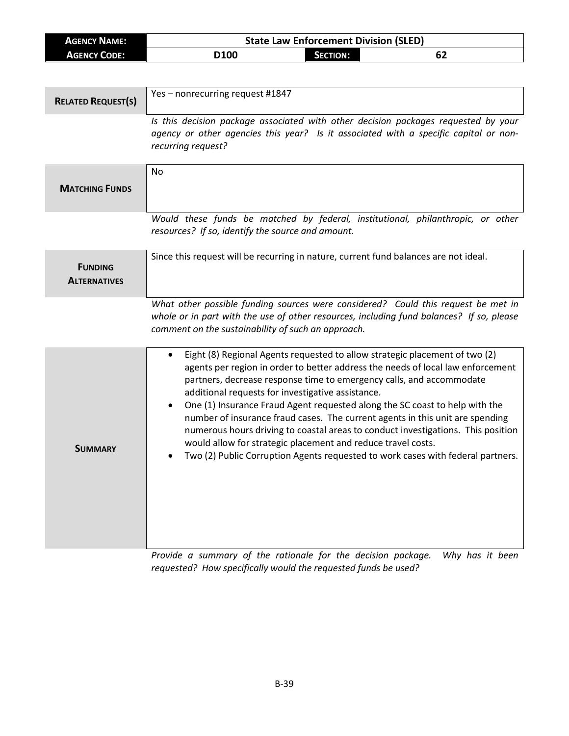| <b>AGENCY NAME:</b>                   | <b>State Law Enforcement Division (SLED)</b>                                                                                                                                                                                                                                                                                                                                                                                                                                                                                                                                                                                                                                                                                 |  |
|---------------------------------------|------------------------------------------------------------------------------------------------------------------------------------------------------------------------------------------------------------------------------------------------------------------------------------------------------------------------------------------------------------------------------------------------------------------------------------------------------------------------------------------------------------------------------------------------------------------------------------------------------------------------------------------------------------------------------------------------------------------------------|--|
| <b>AGENCY CODE:</b>                   | D100<br><b>SECTION:</b><br>62                                                                                                                                                                                                                                                                                                                                                                                                                                                                                                                                                                                                                                                                                                |  |
|                                       |                                                                                                                                                                                                                                                                                                                                                                                                                                                                                                                                                                                                                                                                                                                              |  |
| <b>RELATED REQUEST(S)</b>             | Yes - nonrecurring request #1847                                                                                                                                                                                                                                                                                                                                                                                                                                                                                                                                                                                                                                                                                             |  |
|                                       | Is this decision package associated with other decision packages requested by your<br>agency or other agencies this year? Is it associated with a specific capital or non-<br>recurring request?                                                                                                                                                                                                                                                                                                                                                                                                                                                                                                                             |  |
| <b>MATCHING FUNDS</b>                 | <b>No</b>                                                                                                                                                                                                                                                                                                                                                                                                                                                                                                                                                                                                                                                                                                                    |  |
|                                       | Would these funds be matched by federal, institutional, philanthropic, or other<br>resources? If so, identify the source and amount.                                                                                                                                                                                                                                                                                                                                                                                                                                                                                                                                                                                         |  |
| <b>FUNDING</b><br><b>ALTERNATIVES</b> | Since this request will be recurring in nature, current fund balances are not ideal.                                                                                                                                                                                                                                                                                                                                                                                                                                                                                                                                                                                                                                         |  |
|                                       | What other possible funding sources were considered? Could this request be met in<br>whole or in part with the use of other resources, including fund balances? If so, please<br>comment on the sustainability of such an approach.                                                                                                                                                                                                                                                                                                                                                                                                                                                                                          |  |
| <b>SUMMARY</b>                        | Eight (8) Regional Agents requested to allow strategic placement of two (2)<br>$\bullet$<br>agents per region in order to better address the needs of local law enforcement<br>partners, decrease response time to emergency calls, and accommodate<br>additional requests for investigative assistance.<br>One (1) Insurance Fraud Agent requested along the SC coast to help with the<br>$\bullet$<br>number of insurance fraud cases. The current agents in this unit are spending<br>numerous hours driving to coastal areas to conduct investigations. This position<br>would allow for strategic placement and reduce travel costs.<br>Two (2) Public Corruption Agents requested to work cases with federal partners. |  |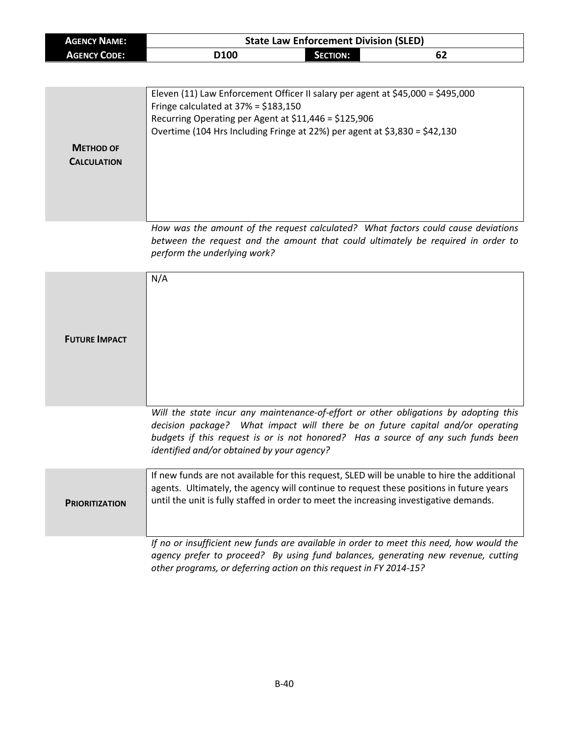| <b>AGENCY NAME:</b> |      | <b>State Law Enforcement Division (SLED)</b> |    |  |
|---------------------|------|----------------------------------------------|----|--|
| <b>AGENCY CODE:</b> | D100 | Section: .                                   | 62 |  |

| <b>METHOD OF</b><br><b>CALCULATION</b> | Eleven (11) Law Enforcement Officer II salary per agent at $$45,000 = $495,000$<br>Fringe calculated at $37% = $183,150$<br>Recurring Operating per Agent at \$11,446 = \$125,906<br>Overtime (104 Hrs Including Fringe at 22%) per agent at \$3,830 = \$42,130 |
|----------------------------------------|-----------------------------------------------------------------------------------------------------------------------------------------------------------------------------------------------------------------------------------------------------------------|
|                                        | How was the amount of the request calculated? What factors could cause deviations<br>between the request and the amount that could ultimately be required in order to<br>perform the underlying work?                                                           |

| <b>FUTURE IMPACT</b>  | N/A                                                                                                                                                                                                                                                                                                       |
|-----------------------|-----------------------------------------------------------------------------------------------------------------------------------------------------------------------------------------------------------------------------------------------------------------------------------------------------------|
|                       | Will the state incur any maintenance-of-effort or other obligations by adopting this<br>decision package? What impact will there be on future capital and/or operating<br>budgets if this request is or is not honored? Has a source of any such funds been<br>identified and/or obtained by your agency? |
| <b>PRIORITIZATION</b> | If new funds are not available for this request, SLED will be unable to hire the additional<br>agents. Ultimately, the agency will continue to request these positions in future years<br>until the unit is fully staffed in order to meet the increasing investigative demands.                          |
|                       | If no or insufficient new funds are available in order to meet this need, how would the<br>agency prefer to proceed? By using fund balances, generating new revenue, cutting<br>other programs, or deferring action on this request in FY 2014-15?                                                        |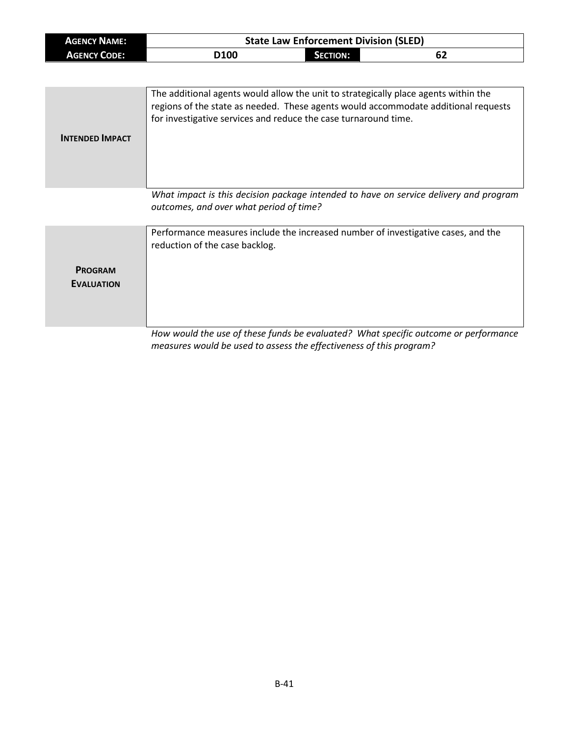| <b>AGENCY NAME:</b> |                  | <b>State Law Enforcement Division (SLED)</b> |    |
|---------------------|------------------|----------------------------------------------|----|
| <b>AGENCY CODE:</b> | D <sub>100</sub> | SECTION:                                     | 62 |

| <b>INTENDED IMPACT</b> | The additional agents would allow the unit to strategically place agents within the<br>regions of the state as needed. These agents would accommodate additional requests<br>for investigative services and reduce the case turnaround time. |
|------------------------|----------------------------------------------------------------------------------------------------------------------------------------------------------------------------------------------------------------------------------------------|
|                        | What impact is this decision package intended to have on service delivery and program                                                                                                                                                        |

*What impact is this decision package intended to have on service delivery and program outcomes, and over what period of time?*

|                                     | Performance measures include the increased number of investigative cases, and the<br>reduction of the case backlog. |
|-------------------------------------|---------------------------------------------------------------------------------------------------------------------|
| <b>PROGRAM</b><br><b>EVALUATION</b> |                                                                                                                     |
|                                     | How would the use of these funds he evaluated? What specific outcome or performance                                 |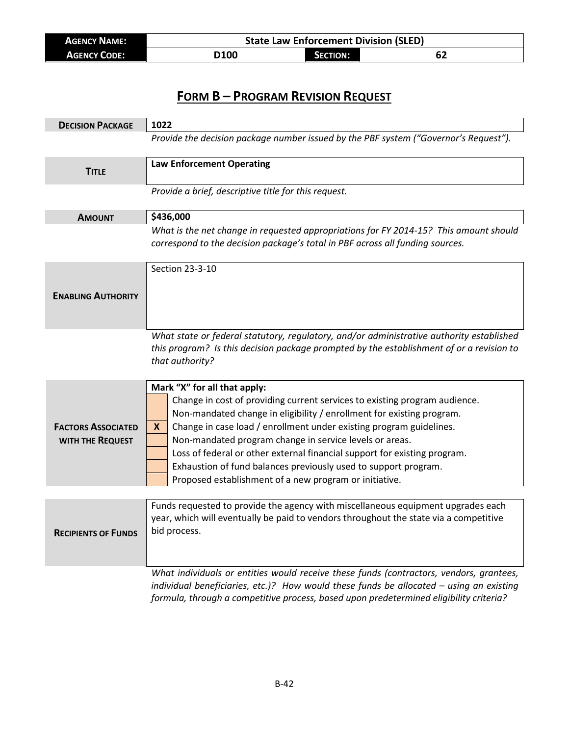| <b>AGENCY NAME:</b> | <b>State Law Enforcement Division (SLED)</b> |                 |    |  |
|---------------------|----------------------------------------------|-----------------|----|--|
| <b>AGENCY CODE:</b> | D100                                         | <b>SECTION:</b> | 62 |  |

| <b>DECISION PACKAGE</b>                       | 1022                                                                                                                                                                                                                                                                                                                                                                                                                                                                                                                                 |  |
|-----------------------------------------------|--------------------------------------------------------------------------------------------------------------------------------------------------------------------------------------------------------------------------------------------------------------------------------------------------------------------------------------------------------------------------------------------------------------------------------------------------------------------------------------------------------------------------------------|--|
|                                               | Provide the decision package number issued by the PBF system ("Governor's Request").                                                                                                                                                                                                                                                                                                                                                                                                                                                 |  |
| <b>TITLE</b>                                  | <b>Law Enforcement Operating</b>                                                                                                                                                                                                                                                                                                                                                                                                                                                                                                     |  |
|                                               | Provide a brief, descriptive title for this request.                                                                                                                                                                                                                                                                                                                                                                                                                                                                                 |  |
| <b>AMOUNT</b>                                 | \$436,000                                                                                                                                                                                                                                                                                                                                                                                                                                                                                                                            |  |
|                                               | What is the net change in requested appropriations for FY 2014-15? This amount should<br>correspond to the decision package's total in PBF across all funding sources.                                                                                                                                                                                                                                                                                                                                                               |  |
| <b>ENABLING AUTHORITY</b>                     | Section 23-3-10                                                                                                                                                                                                                                                                                                                                                                                                                                                                                                                      |  |
|                                               | What state or federal statutory, regulatory, and/or administrative authority established<br>this program? Is this decision package prompted by the establishment of or a revision to<br>that authority?                                                                                                                                                                                                                                                                                                                              |  |
| <b>FACTORS ASSOCIATED</b><br>WITH THE REQUEST | Mark "X" for all that apply:<br>Change in cost of providing current services to existing program audience.<br>Non-mandated change in eligibility / enrollment for existing program.<br>Change in case load / enrollment under existing program guidelines.<br>X<br>Non-mandated program change in service levels or areas.<br>Loss of federal or other external financial support for existing program.<br>Exhaustion of fund balances previously used to support program.<br>Proposed establishment of a new program or initiative. |  |
|                                               |                                                                                                                                                                                                                                                                                                                                                                                                                                                                                                                                      |  |
| <b>KELIPIENIS OF FUNDS</b>                    | Funds requested to provide the agency with miscellaneous equipment upgrades each<br>year, which will eventually be paid to vendors throughout the state via a competitive<br>bid process.                                                                                                                                                                                                                                                                                                                                            |  |
|                                               | What individuals or entities would receive these funds (contractors, vendors, grantees,<br>individual beneficiaries, etc.)? How would these funds be allocated - using an existing<br>formula, through a competitive process, based upon predetermined eligibility criteria?                                                                                                                                                                                                                                                         |  |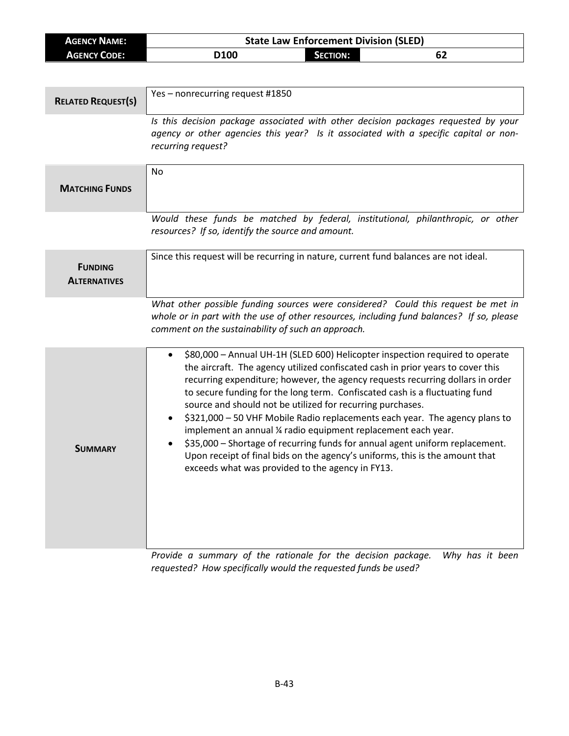| <b>AGENCY NAME:</b>       | <b>State Law Enforcement Division (SLED)</b>                                                                                                                                  |
|---------------------------|-------------------------------------------------------------------------------------------------------------------------------------------------------------------------------|
| <b>AGENCY CODE:</b>       | D100<br><b>SECTION:</b><br>62                                                                                                                                                 |
|                           |                                                                                                                                                                               |
|                           |                                                                                                                                                                               |
| <b>RELATED REQUEST(S)</b> | Yes - nonrecurring request #1850                                                                                                                                              |
|                           | Is this decision package associated with other decision packages requested by your                                                                                            |
|                           | agency or other agencies this year? Is it associated with a specific capital or non-                                                                                          |
|                           | recurring request?                                                                                                                                                            |
|                           |                                                                                                                                                                               |
|                           | No                                                                                                                                                                            |
| <b>MATCHING FUNDS</b>     |                                                                                                                                                                               |
|                           |                                                                                                                                                                               |
|                           | Would these funds be matched by federal, institutional, philanthropic, or other                                                                                               |
|                           | resources? If so, identify the source and amount.                                                                                                                             |
|                           |                                                                                                                                                                               |
| <b>FUNDING</b>            | Since this request will be recurring in nature, current fund balances are not ideal.                                                                                          |
| <b>ALTERNATIVES</b>       |                                                                                                                                                                               |
|                           |                                                                                                                                                                               |
|                           | What other possible funding sources were considered? Could this request be met in<br>whole or in part with the use of other resources, including fund balances? If so, please |
|                           | comment on the sustainability of such an approach.                                                                                                                            |
|                           |                                                                                                                                                                               |
|                           | \$80,000 - Annual UH-1H (SLED 600) Helicopter inspection required to operate                                                                                                  |
|                           | the aircraft. The agency utilized confiscated cash in prior years to cover this                                                                                               |
|                           | recurring expenditure; however, the agency requests recurring dollars in order                                                                                                |
|                           | to secure funding for the long term. Confiscated cash is a fluctuating fund<br>source and should not be utilized for recurring purchases.                                     |
|                           | \$321,000 - 50 VHF Mobile Radio replacements each year. The agency plans to                                                                                                   |
|                           | implement an annual ¼ radio equipment replacement each year.                                                                                                                  |
| Summary                   | \$35,000 - Shortage of recurring funds for annual agent uniform replacement.                                                                                                  |
|                           | Upon receipt of final bids on the agency's uniforms, this is the amount that                                                                                                  |
|                           | exceeds what was provided to the agency in FY13.                                                                                                                              |
|                           |                                                                                                                                                                               |
|                           |                                                                                                                                                                               |
|                           |                                                                                                                                                                               |
|                           |                                                                                                                                                                               |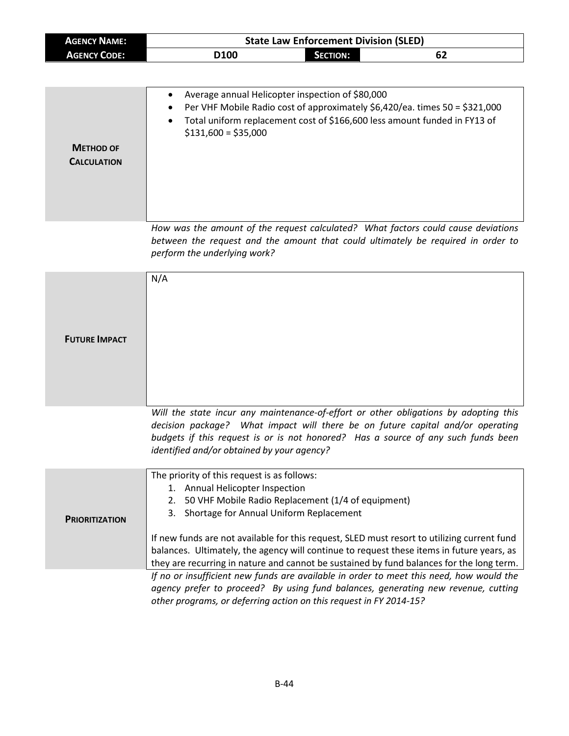| <b>AGENCY NAME:</b>                    | <b>State Law Enforcement Division (SLED)</b>                                                                                                                                                                                                                                                                                                                                                                                                                                  |  |  |
|----------------------------------------|-------------------------------------------------------------------------------------------------------------------------------------------------------------------------------------------------------------------------------------------------------------------------------------------------------------------------------------------------------------------------------------------------------------------------------------------------------------------------------|--|--|
| <b>AGENCY CODE:</b>                    | D100<br><b>SECTION:</b><br>62                                                                                                                                                                                                                                                                                                                                                                                                                                                 |  |  |
|                                        |                                                                                                                                                                                                                                                                                                                                                                                                                                                                               |  |  |
| <b>METHOD OF</b><br><b>CALCULATION</b> | Average annual Helicopter inspection of \$80,000<br>٠<br>Per VHF Mobile Radio cost of approximately \$6,420/ea. times 50 = \$321,000<br>Total uniform replacement cost of \$166,600 less amount funded in FY13 of<br>$$131,600 = $35,000$                                                                                                                                                                                                                                     |  |  |
|                                        | How was the amount of the request calculated? What factors could cause deviations<br>between the request and the amount that could ultimately be required in order to<br>perform the underlying work?                                                                                                                                                                                                                                                                         |  |  |
| <b>FUTURE IMPACT</b>                   | N/A                                                                                                                                                                                                                                                                                                                                                                                                                                                                           |  |  |
|                                        | Will the state incur any maintenance-of-effort or other obligations by adopting this<br>decision package? What impact will there be on future capital and/or operating<br>budgets if this request is or is not honored? Has a source of any such funds been<br>identified and/or obtained by your agency?                                                                                                                                                                     |  |  |
| <b>PRIORITIZATION</b>                  | The priority of this request is as follows:<br>1. Annual Helicopter Inspection<br>2. 50 VHF Mobile Radio Replacement (1/4 of equipment)<br>3. Shortage for Annual Uniform Replacement<br>If new funds are not available for this request, SLED must resort to utilizing current fund<br>balances. Ultimately, the agency will continue to request these items in future years, as<br>they are recurring in nature and cannot be sustained by fund balances for the long term. |  |  |
|                                        | If no or insufficient new funds are available in order to meet this need, how would the<br>agency prefer to proceed? By using fund balances, generating new revenue, cutting<br>other programs, or deferring action on this request in FY 2014-15?                                                                                                                                                                                                                            |  |  |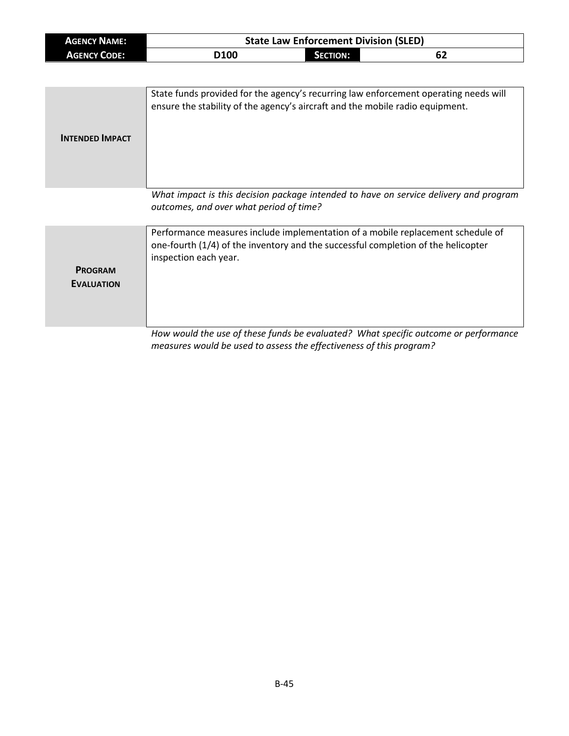| <b>AGENCY NAME:</b> |                  |            | <b>State Law Enforcement Division (SLED)</b> |
|---------------------|------------------|------------|----------------------------------------------|
| <b>AGENCY CODE:</b> | D <sub>100</sub> | Section: I | 62                                           |

| <b>INTENDED IMPACT</b> | State funds provided for the agency's recurring law enforcement operating needs will<br>ensure the stability of the agency's aircraft and the mobile radio equipment. |
|------------------------|-----------------------------------------------------------------------------------------------------------------------------------------------------------------------|
|                        | What impact is this decision package intended to have on service delivery and program<br>outcomes, and over what period of time?                                      |
|                        | .                                                                                                                                                                     |

|                                     | Performance measures include implementation of a mobile replacement schedule of<br>one-fourth (1/4) of the inventory and the successful completion of the helicopter<br>inspection each year. |
|-------------------------------------|-----------------------------------------------------------------------------------------------------------------------------------------------------------------------------------------------|
| <b>PROGRAM</b><br><b>EVALUATION</b> |                                                                                                                                                                                               |
|                                     | How would the use of these funds he evaluated? What specific outcome or performance                                                                                                           |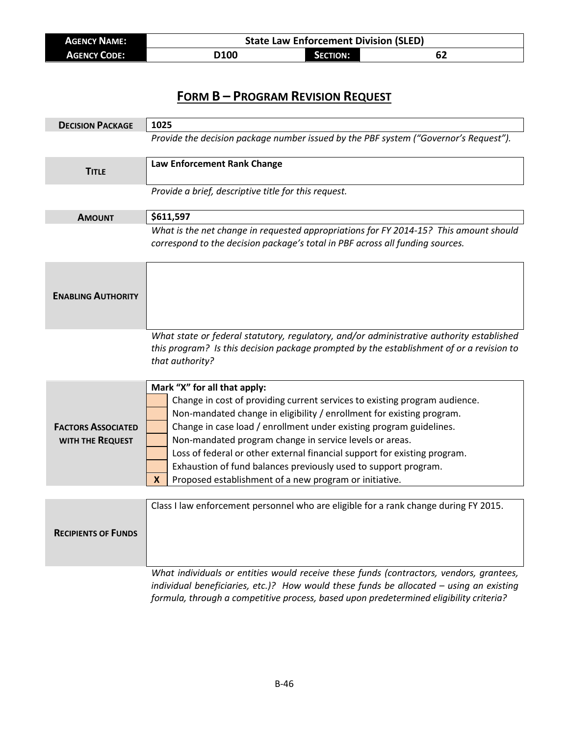| <b>AGENCY NAME:</b> | <b>State Law Enforcement Division (SLED)</b> |                 |    |  |
|---------------------|----------------------------------------------|-----------------|----|--|
| <b>AGENCY CODE:</b> | <b>D100</b>                                  | <b>SECTION:</b> | 62 |  |

| <b>DECISION PACKAGE</b>                       | 1025                                                                                                                                                                                                                                                                                                                                                                                                                                                                                                                                 |
|-----------------------------------------------|--------------------------------------------------------------------------------------------------------------------------------------------------------------------------------------------------------------------------------------------------------------------------------------------------------------------------------------------------------------------------------------------------------------------------------------------------------------------------------------------------------------------------------------|
|                                               | Provide the decision package number issued by the PBF system ("Governor's Request").                                                                                                                                                                                                                                                                                                                                                                                                                                                 |
| <b>TITLE</b>                                  | Law Enforcement Rank Change                                                                                                                                                                                                                                                                                                                                                                                                                                                                                                          |
|                                               | Provide a brief, descriptive title for this request.                                                                                                                                                                                                                                                                                                                                                                                                                                                                                 |
| <b>AMOUNT</b>                                 | \$611,597                                                                                                                                                                                                                                                                                                                                                                                                                                                                                                                            |
|                                               | What is the net change in requested appropriations for FY 2014-15? This amount should<br>correspond to the decision package's total in PBF across all funding sources.                                                                                                                                                                                                                                                                                                                                                               |
| <b>ENABLING AUTHORITY</b>                     |                                                                                                                                                                                                                                                                                                                                                                                                                                                                                                                                      |
|                                               | What state or federal statutory, regulatory, and/or administrative authority established<br>this program? Is this decision package prompted by the establishment of or a revision to<br>that authority?                                                                                                                                                                                                                                                                                                                              |
| <b>FACTORS ASSOCIATED</b><br>WITH THE REQUEST | Mark "X" for all that apply:<br>Change in cost of providing current services to existing program audience.<br>Non-mandated change in eligibility / enrollment for existing program.<br>Change in case load / enrollment under existing program guidelines.<br>Non-mandated program change in service levels or areas.<br>Loss of federal or other external financial support for existing program.<br>Exhaustion of fund balances previously used to support program.<br>Proposed establishment of a new program or initiative.<br>X |
| <b>RECIPIENTS OF FUNDS</b>                    | Class I law enforcement personnel who are eligible for a rank change during FY 2015.                                                                                                                                                                                                                                                                                                                                                                                                                                                 |
|                                               | What individuals or entities would receive these funds (contractors, vendors, grantees,<br>individual beneficiaries, etc.)? How would these funds be allocated - using an existing                                                                                                                                                                                                                                                                                                                                                   |

*formula, through a competitive process, based upon predetermined eligibility criteria?*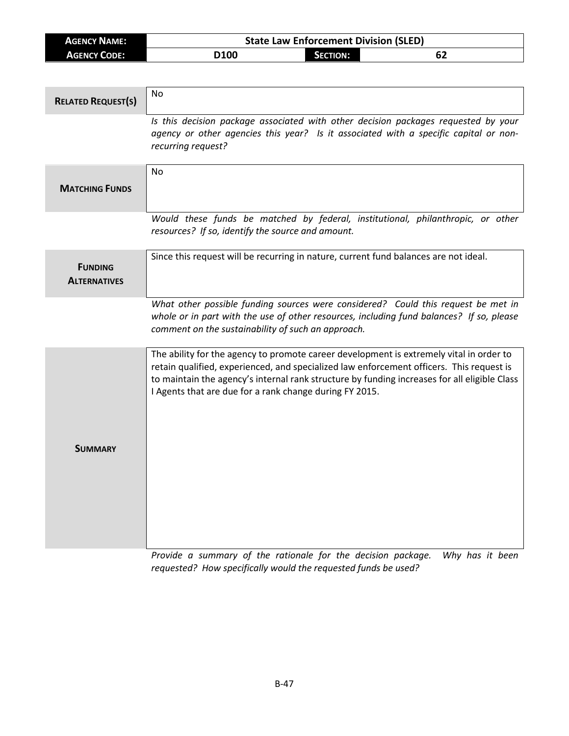| <b>AGENCY NAME:</b> | <b>State Law Enforcement Division (SLED)</b> |                 |    |
|---------------------|----------------------------------------------|-----------------|----|
| <b>AGENCY CODE:</b> | D <sub>100</sub>                             | <b>SECTION:</b> | 62 |

| <b>RELATED REQUEST(S)</b>             | <b>No</b>                                                                                                                                                                                                                                                                                                                                      |
|---------------------------------------|------------------------------------------------------------------------------------------------------------------------------------------------------------------------------------------------------------------------------------------------------------------------------------------------------------------------------------------------|
|                                       | Is this decision package associated with other decision packages requested by your<br>agency or other agencies this year? Is it associated with a specific capital or non-<br>recurring request?                                                                                                                                               |
| <b>MATCHING FUNDS</b>                 | N <sub>0</sub>                                                                                                                                                                                                                                                                                                                                 |
|                                       | Would these funds be matched by federal, institutional, philanthropic, or other<br>resources? If so, identify the source and amount.                                                                                                                                                                                                           |
| <b>FUNDING</b><br><b>ALTERNATIVES</b> | Since this request will be recurring in nature, current fund balances are not ideal.                                                                                                                                                                                                                                                           |
|                                       | What other possible funding sources were considered? Could this request be met in<br>whole or in part with the use of other resources, including fund balances? If so, please<br>comment on the sustainability of such an approach.                                                                                                            |
| <b>SUMMARY</b>                        | The ability for the agency to promote career development is extremely vital in order to<br>retain qualified, experienced, and specialized law enforcement officers. This request is<br>to maintain the agency's internal rank structure by funding increases for all eligible Class<br>I Agents that are due for a rank change during FY 2015. |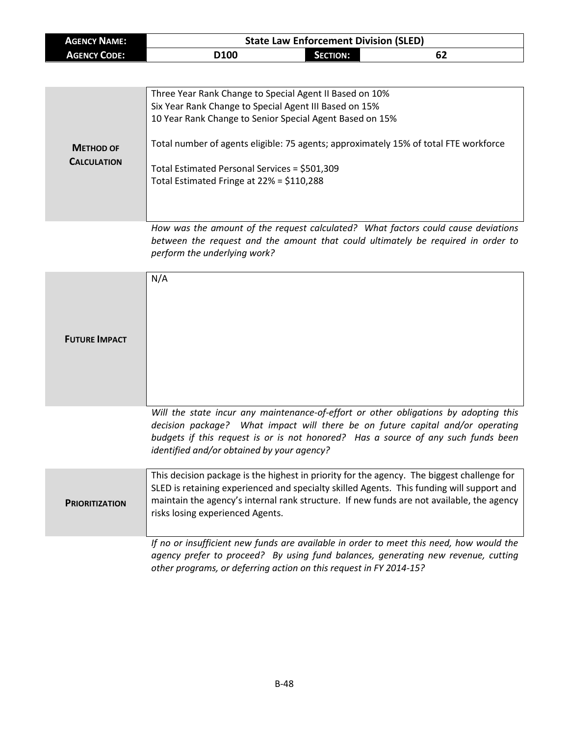| <b>AGENCY NAME:</b> | <b>State Law Enforcement Division (SLED)</b> |                 |    |  |
|---------------------|----------------------------------------------|-----------------|----|--|
| <b>AGENCY CODE:</b> | D <sub>100</sub>                             | <b>SECTION:</b> | 62 |  |

| <b>METHOD OF</b><br><b>CALCULATION</b> | Three Year Rank Change to Special Agent II Based on 10%<br>Six Year Rank Change to Special Agent III Based on 15%<br>10 Year Rank Change to Senior Special Agent Based on 15%<br>Total number of agents eligible: 75 agents; approximately 15% of total FTE workforce<br>Total Estimated Personal Services = \$501,309<br>Total Estimated Fringe at 22% = \$110,288 |
|----------------------------------------|---------------------------------------------------------------------------------------------------------------------------------------------------------------------------------------------------------------------------------------------------------------------------------------------------------------------------------------------------------------------|
|                                        | How was the amount of the request calculated? What factors could cause deviations                                                                                                                                                                                                                                                                                   |

*How was the amount of the request calculated? What factors could cause deviations between the request and the amount that could ultimately be required in order to perform the underlying work?*

| <b>FUTURE IMPACT</b>  | N/A                                                                                                                                                                                                                                                                                                                      |
|-----------------------|--------------------------------------------------------------------------------------------------------------------------------------------------------------------------------------------------------------------------------------------------------------------------------------------------------------------------|
|                       | Will the state incur any maintenance-of-effort or other obligations by adopting this<br>decision package? What impact will there be on future capital and/or operating<br>budgets if this request is or is not honored? Has a source of any such funds been<br>identified and/or obtained by your agency?                |
| <b>PRIORITIZATION</b> | This decision package is the highest in priority for the agency. The biggest challenge for<br>SLED is retaining experienced and specialty skilled Agents. This funding will support and<br>maintain the agency's internal rank structure. If new funds are not available, the agency<br>risks losing experienced Agents. |
|                       | If no or insufficient new funds are available in order to meet this need, how would the<br>agency prefer to proceed? By using fund balances, generating new revenue, cutting<br>other programs, or deferring action on this request in FY 2014-15?                                                                       |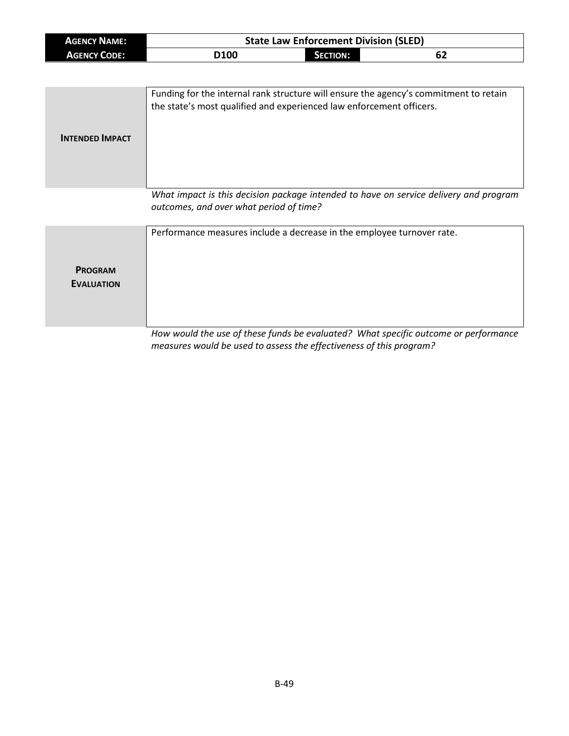| <b>AGENCY NAME:</b> | <b>State Law Enforcement Division (SLED)</b> |          |    |  |
|---------------------|----------------------------------------------|----------|----|--|
| <b>AGENCY CODE:</b> | D <sub>100</sub>                             | SECTION: | 62 |  |

| <b>INTENDED IMPACT</b> | Funding for the internal rank structure will ensure the agency's commitment to retain<br>the state's most qualified and experienced law enforcement officers. |
|------------------------|---------------------------------------------------------------------------------------------------------------------------------------------------------------|
|                        | What impact is this desision package intended to have an senice delivery and program                                                                          |

*What impact is this decision package intended to have on service delivery and program outcomes, and over what period of time?*

|                                     | Performance measures include a decrease in the employee turnover rate.              |
|-------------------------------------|-------------------------------------------------------------------------------------|
| <b>PROGRAM</b><br><b>EVALUATION</b> |                                                                                     |
|                                     | How would the use of these funds be evaluated? What specific outcome or performance |

*measures would be used to assess the effectiveness of this program?*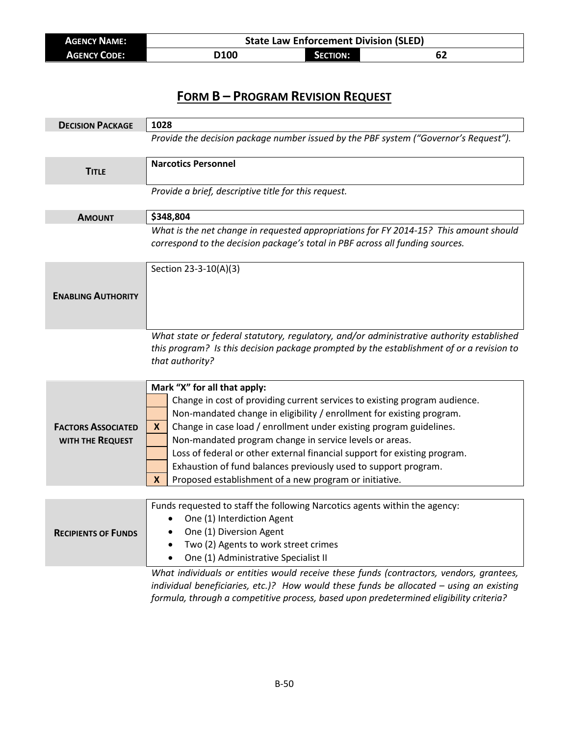| <b>AGENCY NAME:</b> | <b>State Law Enforcement Division (SLED)</b> |                 |    |  |
|---------------------|----------------------------------------------|-----------------|----|--|
| <b>AGENCY CODE:</b> | <b>D100</b>                                  | <b>SECTION:</b> | 62 |  |

| <b>DECISION PACKAGE</b>    | 1028                                                                                                           |  |  |
|----------------------------|----------------------------------------------------------------------------------------------------------------|--|--|
|                            | Provide the decision package number issued by the PBF system ("Governor's Request").                           |  |  |
| <b>TITLE</b>               | <b>Narcotics Personnel</b>                                                                                     |  |  |
|                            | Provide a brief, descriptive title for this request.                                                           |  |  |
| <b>AMOUNT</b>              | \$348,804                                                                                                      |  |  |
|                            | What is the net change in requested appropriations for FY 2014-15? This amount should                          |  |  |
|                            | correspond to the decision package's total in PBF across all funding sources.                                  |  |  |
|                            | Section 23-3-10(A)(3)                                                                                          |  |  |
|                            |                                                                                                                |  |  |
| <b>ENABLING AUTHORITY</b>  |                                                                                                                |  |  |
|                            |                                                                                                                |  |  |
|                            |                                                                                                                |  |  |
|                            | What state or federal statutory, regulatory, and/or administrative authority established                       |  |  |
|                            | this program? Is this decision package prompted by the establishment of or a revision to                       |  |  |
|                            | that authority?                                                                                                |  |  |
|                            |                                                                                                                |  |  |
|                            | Mark "X" for all that apply:                                                                                   |  |  |
|                            | Change in cost of providing current services to existing program audience.                                     |  |  |
|                            | Non-mandated change in eligibility / enrollment for existing program.                                          |  |  |
| <b>FACTORS ASSOCIATED</b>  | Change in case load / enrollment under existing program guidelines.<br>X                                       |  |  |
| WITH THE REQUEST           | Non-mandated program change in service levels or areas.                                                        |  |  |
|                            | Loss of federal or other external financial support for existing program.                                      |  |  |
|                            | Exhaustion of fund balances previously used to support program.                                                |  |  |
|                            | Proposed establishment of a new program or initiative.<br>X                                                    |  |  |
|                            |                                                                                                                |  |  |
|                            | Funds requested to staff the following Narcotics agents within the agency:                                     |  |  |
|                            | One (1) Interdiction Agent<br>$\bullet$                                                                        |  |  |
| <b>RECIPIENTS OF FUNDS</b> | One (1) Diversion Agent                                                                                        |  |  |
|                            | Two (2) Agents to work street crimes<br>$\bullet$                                                              |  |  |
|                            | One (1) Administrative Specialist II                                                                           |  |  |
|                            | What individuals or entities would receive these funds (contractors, vendors, grantees,                        |  |  |
|                            | interest in the control of the control of the second change to the second the second control of the second con |  |  |

*individual beneficiaries, etc.)? How would these funds be allocated – using an existing formula, through a competitive process, based upon predetermined eligibility criteria?*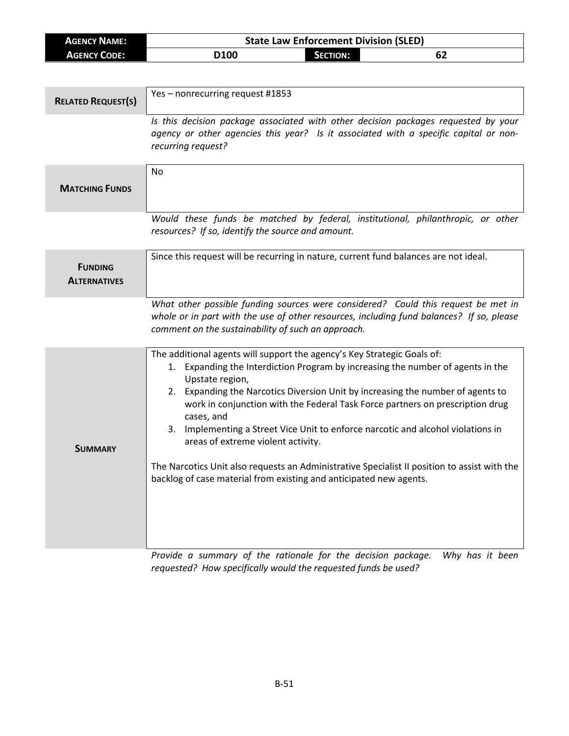| <b>AGENCY NAME:</b>                   | <b>State Law Enforcement Division (SLED)</b>                                                                                                                                                                                                                                                                                                                                                                                                                                                                                                                                                                                                                          |  |  |
|---------------------------------------|-----------------------------------------------------------------------------------------------------------------------------------------------------------------------------------------------------------------------------------------------------------------------------------------------------------------------------------------------------------------------------------------------------------------------------------------------------------------------------------------------------------------------------------------------------------------------------------------------------------------------------------------------------------------------|--|--|
| <b>AGENCY CODE:</b>                   | <b>SECTION:</b><br>D100<br>62                                                                                                                                                                                                                                                                                                                                                                                                                                                                                                                                                                                                                                         |  |  |
|                                       |                                                                                                                                                                                                                                                                                                                                                                                                                                                                                                                                                                                                                                                                       |  |  |
| <b>RELATED REQUEST(S)</b>             | Yes - nonrecurring request #1853                                                                                                                                                                                                                                                                                                                                                                                                                                                                                                                                                                                                                                      |  |  |
|                                       | Is this decision package associated with other decision packages requested by your<br>agency or other agencies this year? Is it associated with a specific capital or non-<br>recurring request?                                                                                                                                                                                                                                                                                                                                                                                                                                                                      |  |  |
| <b>MATCHING FUNDS</b>                 | No                                                                                                                                                                                                                                                                                                                                                                                                                                                                                                                                                                                                                                                                    |  |  |
|                                       | Would these funds be matched by federal, institutional, philanthropic, or other<br>resources? If so, identify the source and amount.                                                                                                                                                                                                                                                                                                                                                                                                                                                                                                                                  |  |  |
| <b>FUNDING</b><br><b>ALTERNATIVES</b> | Since this request will be recurring in nature, current fund balances are not ideal.                                                                                                                                                                                                                                                                                                                                                                                                                                                                                                                                                                                  |  |  |
|                                       | What other possible funding sources were considered? Could this request be met in<br>whole or in part with the use of other resources, including fund balances? If so, please<br>comment on the sustainability of such an approach.                                                                                                                                                                                                                                                                                                                                                                                                                                   |  |  |
| <b>SUMMARY</b>                        | The additional agents will support the agency's Key Strategic Goals of:<br>Expanding the Interdiction Program by increasing the number of agents in the<br>1.<br>Upstate region,<br>2. Expanding the Narcotics Diversion Unit by increasing the number of agents to<br>work in conjunction with the Federal Task Force partners on prescription drug<br>cases, and<br>Implementing a Street Vice Unit to enforce narcotic and alcohol violations in<br>3.<br>areas of extreme violent activity.<br>The Narcotics Unit also requests an Administrative Specialist II position to assist with the<br>backlog of case material from existing and anticipated new agents. |  |  |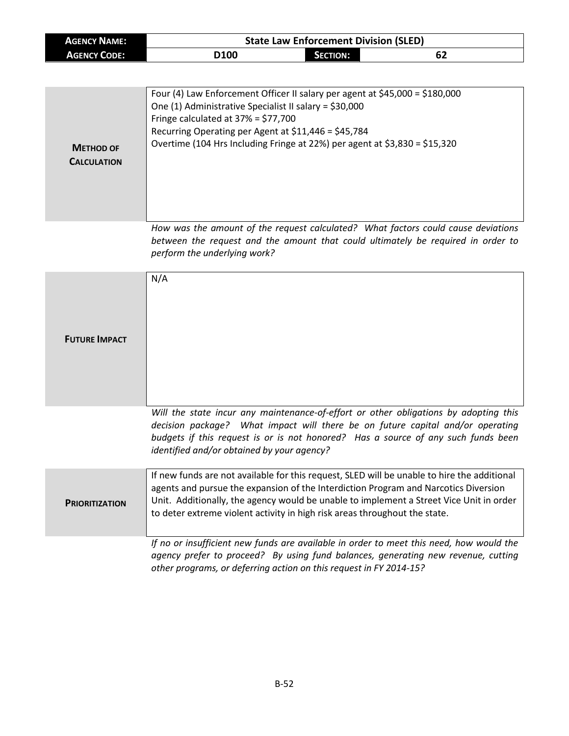| <b>AGENCY NAME:</b> | <b>State Law Enforcement Division (SLED)</b> |                 |    |  |
|---------------------|----------------------------------------------|-----------------|----|--|
| <b>AGENCY CODE:</b> | D <sub>100</sub>                             | <b>SECTION:</b> | 62 |  |

| <b>METHOD OF</b><br><b>CALCULATION</b> | Four (4) Law Enforcement Officer II salary per agent at $$45,000 = $180,000$<br>One (1) Administrative Specialist II salary = \$30,000<br>Fringe calculated at $37\% = $77,700$<br>Recurring Operating per Agent at $$11,446 = $45,784$<br>Overtime (104 Hrs Including Fringe at 22%) per agent at $$3,830 = $15,320$ |
|----------------------------------------|-----------------------------------------------------------------------------------------------------------------------------------------------------------------------------------------------------------------------------------------------------------------------------------------------------------------------|
|                                        | How was the amount of the request calculated? What factors could cause deviations<br>between the request and the amount that could ultimately be required in order to<br>perform the underlying work?                                                                                                                 |
| <b>FUTURE IMPACT</b>                   | N/A                                                                                                                                                                                                                                                                                                                   |

*Will the state incur any maintenance-of-effort or other obligations by adopting this decision package? What impact will there be on future capital and/or operating budgets if this request is or is not honored? Has a source of any such funds been identified and/or obtained by your agency?*

| <b>PRIORITIZATION</b> | If new funds are not available for this request, SLED will be unable to hire the additional<br>agents and pursue the expansion of the Interdiction Program and Narcotics Diversion<br>Unit. Additionally, the agency would be unable to implement a Street Vice Unit in order<br>to deter extreme violent activity in high risk areas throughout the state. |
|-----------------------|-------------------------------------------------------------------------------------------------------------------------------------------------------------------------------------------------------------------------------------------------------------------------------------------------------------------------------------------------------------|
|                       | If no or insufficient new funds are available in order to meet this need, how would the                                                                                                                                                                                                                                                                     |

*agency prefer to proceed? By using fund balances, generating new revenue, cutting other programs, or deferring action on this request in FY 2014-15?*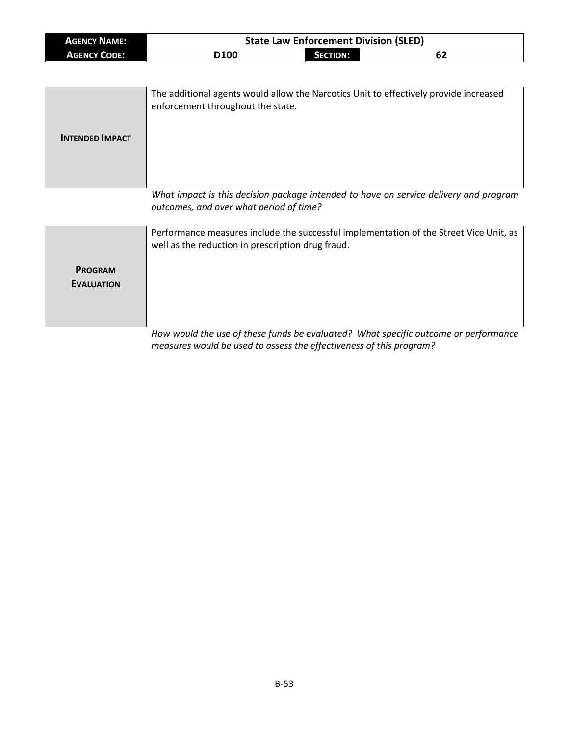| <b>AGENCY NAME:</b> | <b>State Law Enforcement Division (SLED)</b> |          |    |
|---------------------|----------------------------------------------|----------|----|
| <b>AGENCY CODE:</b> | D <sub>100</sub>                             | SECTION: | 62 |

| <b>INTENDED IMPACT</b> | The additional agents would allow the Narcotics Unit to effectively provide increased<br>enforcement throughout the state.       |
|------------------------|----------------------------------------------------------------------------------------------------------------------------------|
|                        | What impact is this decision package intended to have on service delivery and program<br>outcomes, and over what period of time? |

| <b>PROGRAM</b>    | Performance measures include the successful implementation of the Street Vice Unit, as |
|-------------------|----------------------------------------------------------------------------------------|
| <b>EVALUATION</b> | well as the reduction in prescription drug fraud.                                      |
|                   | How would the use of these funds he evaluated? What specific outcome or performance    |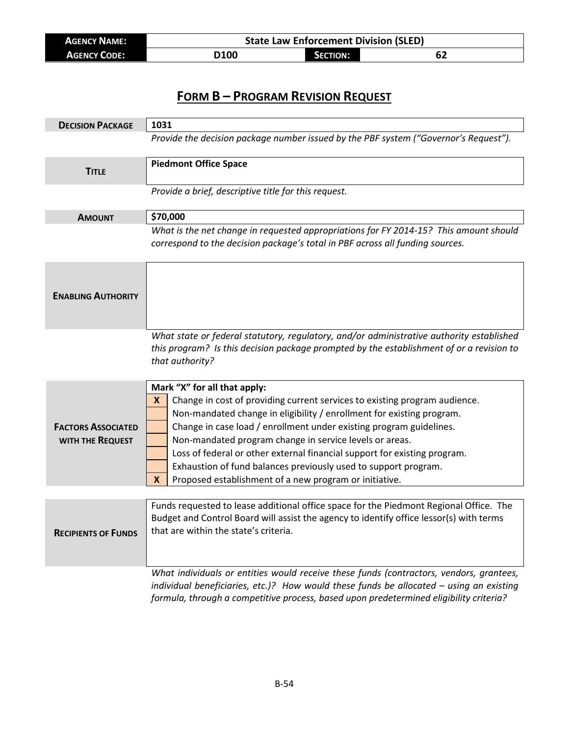| AGENCY NAME:        | <b>State Law Enforcement Division (SLED)</b> |                 |      |
|---------------------|----------------------------------------------|-----------------|------|
| <b>AGENCY CODE:</b> | 100                                          | <b>SECTION:</b> | . DŁ |

| <b>DECISION PACKAGE</b>    | 1031                                                                                                                           |
|----------------------------|--------------------------------------------------------------------------------------------------------------------------------|
|                            | Provide the decision package number issued by the PBF system ("Governor's Request").                                           |
| <b>TITLE</b>               | <b>Piedmont Office Space</b>                                                                                                   |
|                            |                                                                                                                                |
|                            | Provide a brief, descriptive title for this request.                                                                           |
| <b>AMOUNT</b>              | \$70,000                                                                                                                       |
|                            | What is the net change in requested appropriations for FY 2014-15? This amount should                                          |
|                            | correspond to the decision package's total in PBF across all funding sources.                                                  |
|                            |                                                                                                                                |
|                            |                                                                                                                                |
| <b>ENABLING AUTHORITY</b>  |                                                                                                                                |
|                            |                                                                                                                                |
|                            | What state or federal statutory, regulatory, and/or administrative authority established                                       |
|                            | this program? Is this decision package prompted by the establishment of or a revision to                                       |
|                            | that authority?                                                                                                                |
|                            |                                                                                                                                |
|                            | Mark "X" for all that apply:                                                                                                   |
|                            | Change in cost of providing current services to existing program audience.<br>X                                                |
|                            | Non-mandated change in eligibility / enrollment for existing program.                                                          |
| <b>FACTORS ASSOCIATED</b>  | Change in case load / enrollment under existing program guidelines.                                                            |
| WITH THE REQUEST           | Non-mandated program change in service levels or areas.                                                                        |
|                            | Loss of federal or other external financial support for existing program.                                                      |
|                            | Exhaustion of fund balances previously used to support program.<br>Proposed establishment of a new program or initiative.<br>X |
|                            |                                                                                                                                |
|                            | Funds requested to lease additional office space for the Piedmont Regional Office. The                                         |
|                            | Budget and Control Board will assist the agency to identify office lessor(s) with terms                                        |
| <b>KECIPIENTS OF FUNDS</b> | that are within the state's criteria.                                                                                          |
|                            |                                                                                                                                |
|                            |                                                                                                                                |
|                            | What individuals or entities would receive these funds (contractors, vendors, grantees,                                        |
|                            | individual beneficiaries, etc.)? How would these funds be allocated - using an existing                                        |
|                            | formula, through a competitive process, based upon predetermined eligibility criteria?                                         |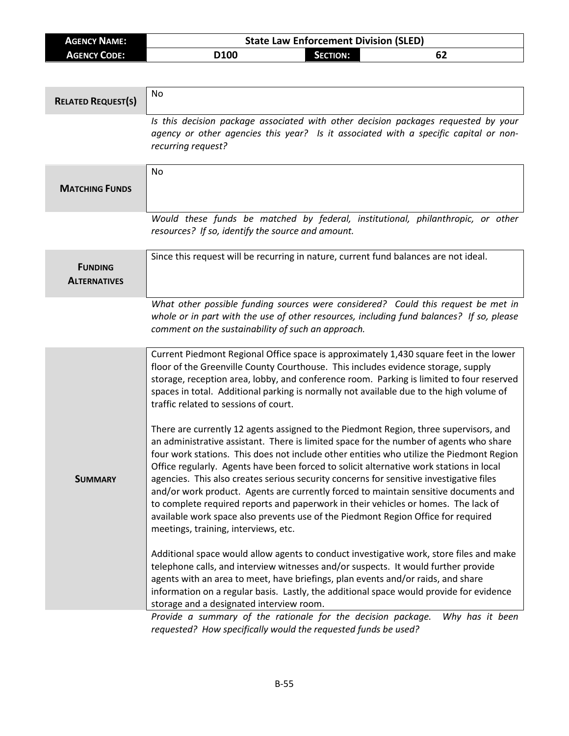| <b>AGENCY NAME:</b> | <b>State Law Enforcement Division (SLED)</b> |                 |    |
|---------------------|----------------------------------------------|-----------------|----|
| <b>AGENCY CODE:</b> | D100                                         | <b>SECTION:</b> | 62 |

| <b>RELATED REQUEST(S)</b>             | No                                                                                                                                                                                                                                                                                                                                                                                                                                                                                                                                                                                                                                                                                                                                                                                                                                                                                                                                                                                                                                                                                                                                                                                                                                                                                                                                                                                                                                                                                                                                                                                                      |
|---------------------------------------|---------------------------------------------------------------------------------------------------------------------------------------------------------------------------------------------------------------------------------------------------------------------------------------------------------------------------------------------------------------------------------------------------------------------------------------------------------------------------------------------------------------------------------------------------------------------------------------------------------------------------------------------------------------------------------------------------------------------------------------------------------------------------------------------------------------------------------------------------------------------------------------------------------------------------------------------------------------------------------------------------------------------------------------------------------------------------------------------------------------------------------------------------------------------------------------------------------------------------------------------------------------------------------------------------------------------------------------------------------------------------------------------------------------------------------------------------------------------------------------------------------------------------------------------------------------------------------------------------------|
|                                       | Is this decision package associated with other decision packages requested by your<br>agency or other agencies this year? Is it associated with a specific capital or non-<br>recurring request?                                                                                                                                                                                                                                                                                                                                                                                                                                                                                                                                                                                                                                                                                                                                                                                                                                                                                                                                                                                                                                                                                                                                                                                                                                                                                                                                                                                                        |
| <b>MATCHING FUNDS</b>                 | No                                                                                                                                                                                                                                                                                                                                                                                                                                                                                                                                                                                                                                                                                                                                                                                                                                                                                                                                                                                                                                                                                                                                                                                                                                                                                                                                                                                                                                                                                                                                                                                                      |
|                                       | Would these funds be matched by federal, institutional, philanthropic, or other<br>resources? If so, identify the source and amount.                                                                                                                                                                                                                                                                                                                                                                                                                                                                                                                                                                                                                                                                                                                                                                                                                                                                                                                                                                                                                                                                                                                                                                                                                                                                                                                                                                                                                                                                    |
| <b>FUNDING</b><br><b>ALTERNATIVES</b> | Since this request will be recurring in nature, current fund balances are not ideal.                                                                                                                                                                                                                                                                                                                                                                                                                                                                                                                                                                                                                                                                                                                                                                                                                                                                                                                                                                                                                                                                                                                                                                                                                                                                                                                                                                                                                                                                                                                    |
|                                       | What other possible funding sources were considered? Could this request be met in<br>whole or in part with the use of other resources, including fund balances? If so, please<br>comment on the sustainability of such an approach.                                                                                                                                                                                                                                                                                                                                                                                                                                                                                                                                                                                                                                                                                                                                                                                                                                                                                                                                                                                                                                                                                                                                                                                                                                                                                                                                                                     |
| <b>SUMMARY</b>                        | Current Piedmont Regional Office space is approximately 1,430 square feet in the lower<br>floor of the Greenville County Courthouse. This includes evidence storage, supply<br>storage, reception area, lobby, and conference room. Parking is limited to four reserved<br>spaces in total. Additional parking is normally not available due to the high volume of<br>traffic related to sessions of court.<br>There are currently 12 agents assigned to the Piedmont Region, three supervisors, and<br>an administrative assistant. There is limited space for the number of agents who share<br>four work stations. This does not include other entities who utilize the Piedmont Region<br>Office regularly. Agents have been forced to solicit alternative work stations in local<br>agencies. This also creates serious security concerns for sensitive investigative files<br>and/or work product. Agents are currently forced to maintain sensitive documents and<br>to complete required reports and paperwork in their vehicles or homes. The lack of<br>available work space also prevents use of the Piedmont Region Office for required<br>meetings, training, interviews, etc.<br>Additional space would allow agents to conduct investigative work, store files and make<br>telephone calls, and interview witnesses and/or suspects. It would further provide<br>agents with an area to meet, have briefings, plan events and/or raids, and share<br>information on a regular basis. Lastly, the additional space would provide for evidence<br>storage and a designated interview room. |
|                                       | Provide a summary of the rationale for the decision package.<br>Why has it been<br>requested? How specifically would the requested funds be used?                                                                                                                                                                                                                                                                                                                                                                                                                                                                                                                                                                                                                                                                                                                                                                                                                                                                                                                                                                                                                                                                                                                                                                                                                                                                                                                                                                                                                                                       |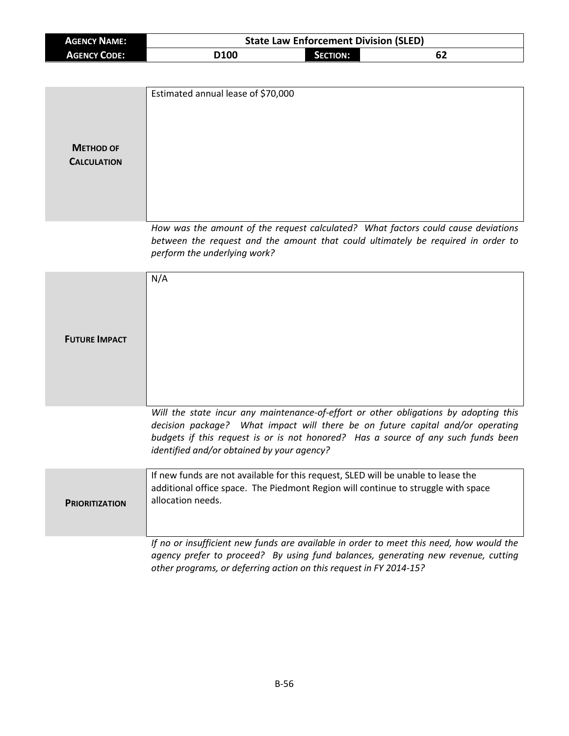| <b>AGENCY NAME:</b> | <b>State Law Enforcement Division (SLED)</b> |                 |    |  |
|---------------------|----------------------------------------------|-----------------|----|--|
| <b>AGENCY CODE:</b> | D100                                         | <b>SECTION:</b> | 62 |  |

| <b>METHOD OF</b><br><b>CALCULATION</b> | Estimated annual lease of \$70,000                                                                                                                                                                                                                                                                        |
|----------------------------------------|-----------------------------------------------------------------------------------------------------------------------------------------------------------------------------------------------------------------------------------------------------------------------------------------------------------|
|                                        | How was the amount of the request calculated? What factors could cause deviations<br>between the request and the amount that could ultimately be required in order to<br>perform the underlying work?                                                                                                     |
| <b>FUTURE IMPACT</b>                   | N/A                                                                                                                                                                                                                                                                                                       |
|                                        | Will the state incur any maintenance-of-effort or other obligations by adopting this<br>decision package? What impact will there be on future capital and/or operating<br>budgets if this request is or is not honored? Has a source of any such funds been<br>identified and/or obtained by your agency? |
| <b>PRIORITIZATION</b>                  | If new funds are not available for this request, SLED will be unable to lease the<br>additional office space. The Piedmont Region will continue to struggle with space<br>allocation needs.                                                                                                               |
|                                        | If no or insufficient new funds are available in order to meet this need, how would the<br>agency prefer to proceed? By using fund balances, generating new revenue, cutting<br>other programs, or deferring action on this request in FY 2014-15?                                                        |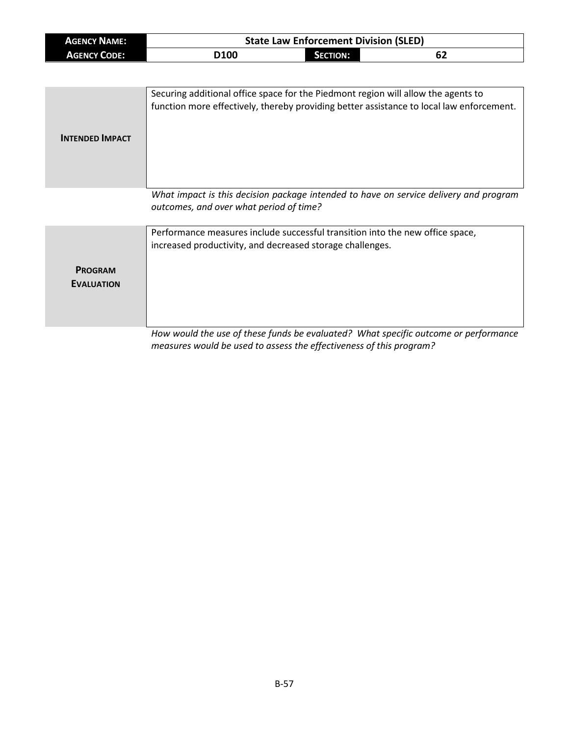| <b>AGENCY NAME:</b> | <b>State Law Enforcement Division (SLED)</b> |          |    |  |
|---------------------|----------------------------------------------|----------|----|--|
| <b>AGENCY CODE:</b> | D100                                         | Section: | 62 |  |

| <b>INTENDED IMPACT</b> | Securing additional office space for the Piedmont region will allow the agents to<br>function more effectively, thereby providing better assistance to local law enforcement. |
|------------------------|-------------------------------------------------------------------------------------------------------------------------------------------------------------------------------|
|                        | What impact is this decision package intended to have on service delivery and program<br>outcomes, and over what period of time?                                              |

|                                     | Performance measures include successful transition into the new office space,<br>increased productivity, and decreased storage challenges. |
|-------------------------------------|--------------------------------------------------------------------------------------------------------------------------------------------|
| <b>PROGRAM</b><br><b>EVALUATION</b> |                                                                                                                                            |
|                                     | Usuwuquld the use of these funds he qualusted? What specific outcome as norfermance                                                        |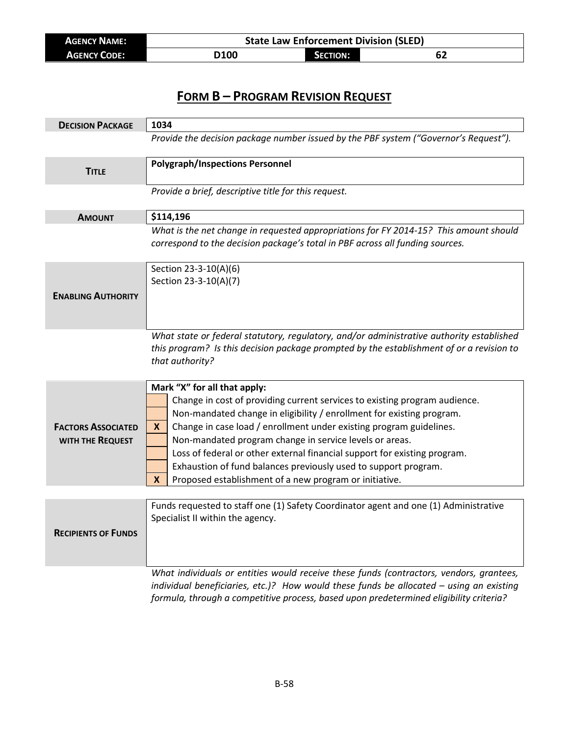| <b>AGENCY NAME:</b> | <b>State Law Enforcement Division (SLED)</b> |                 |    |  |
|---------------------|----------------------------------------------|-----------------|----|--|
| <b>AGENCY CODE:</b> | D100                                         | <b>SECTION:</b> | 62 |  |

| <b>DECISION PACKAGE</b>                       | 1034                                                                                                                                                                                                                                                                                                                                                                                                                                                                                                                                      |  |  |
|-----------------------------------------------|-------------------------------------------------------------------------------------------------------------------------------------------------------------------------------------------------------------------------------------------------------------------------------------------------------------------------------------------------------------------------------------------------------------------------------------------------------------------------------------------------------------------------------------------|--|--|
|                                               | Provide the decision package number issued by the PBF system ("Governor's Request").                                                                                                                                                                                                                                                                                                                                                                                                                                                      |  |  |
| <b>TITLE</b>                                  | <b>Polygraph/Inspections Personnel</b>                                                                                                                                                                                                                                                                                                                                                                                                                                                                                                    |  |  |
|                                               | Provide a brief, descriptive title for this request.                                                                                                                                                                                                                                                                                                                                                                                                                                                                                      |  |  |
| <b>AMOUNT</b>                                 | \$114,196                                                                                                                                                                                                                                                                                                                                                                                                                                                                                                                                 |  |  |
|                                               | What is the net change in requested appropriations for FY 2014-15? This amount should<br>correspond to the decision package's total in PBF across all funding sources.                                                                                                                                                                                                                                                                                                                                                                    |  |  |
| <b>ENABLING AUTHORITY</b>                     | Section 23-3-10(A)(6)<br>Section 23-3-10(A)(7)                                                                                                                                                                                                                                                                                                                                                                                                                                                                                            |  |  |
|                                               | What state or federal statutory, regulatory, and/or administrative authority established<br>this program? Is this decision package prompted by the establishment of or a revision to<br>that authority?                                                                                                                                                                                                                                                                                                                                   |  |  |
| <b>FACTORS ASSOCIATED</b><br>WITH THE REQUEST | Mark "X" for all that apply:<br>Change in cost of providing current services to existing program audience.<br>Non-mandated change in eligibility / enrollment for existing program.<br>Change in case load / enrollment under existing program guidelines.<br>X<br>Non-mandated program change in service levels or areas.<br>Loss of federal or other external financial support for existing program.<br>Exhaustion of fund balances previously used to support program.<br>Proposed establishment of a new program or initiative.<br>X |  |  |
|                                               |                                                                                                                                                                                                                                                                                                                                                                                                                                                                                                                                           |  |  |
| <b>KECIPIENTS OF FUNDS</b>                    | Funds requested to staff one (1) Safety Coordinator agent and one (1) Administrative<br>Specialist II within the agency.                                                                                                                                                                                                                                                                                                                                                                                                                  |  |  |
|                                               | What individuals or entities would receive these funds (contractors, vendors, grantees,<br>individual beneficiaries, etc.)? How would these funds be allocated $-$ using an existing<br>formula, through a competitive process, based upon predetermined eligibility criteria?                                                                                                                                                                                                                                                            |  |  |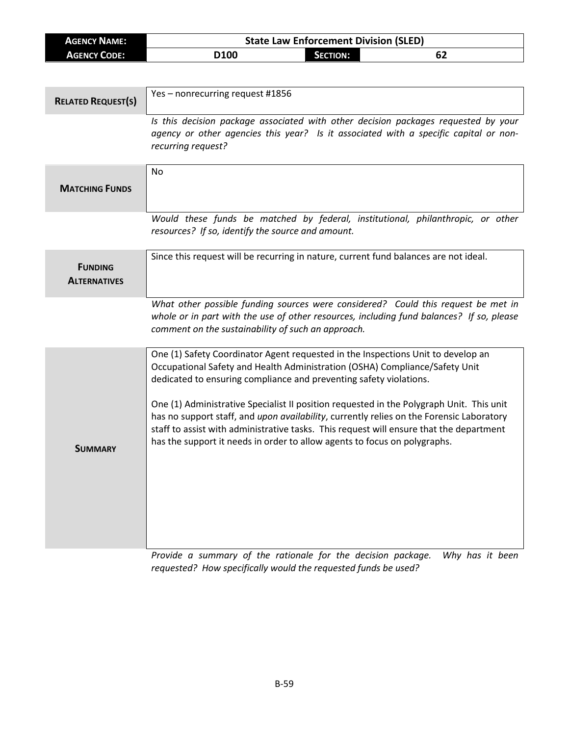| <b>AGENCY NAME:</b>                   | <b>State Law Enforcement Division (SLED)</b>                                                                                                                                                                                                                                                                                                                 |  |  |
|---------------------------------------|--------------------------------------------------------------------------------------------------------------------------------------------------------------------------------------------------------------------------------------------------------------------------------------------------------------------------------------------------------------|--|--|
| <b>AGENCY CODE:</b>                   | D100<br><b>SECTION:</b><br>62                                                                                                                                                                                                                                                                                                                                |  |  |
|                                       |                                                                                                                                                                                                                                                                                                                                                              |  |  |
| <b>RELATED REQUEST(S)</b>             | Yes-nonrecurring request #1856                                                                                                                                                                                                                                                                                                                               |  |  |
|                                       | Is this decision package associated with other decision packages requested by your<br>agency or other agencies this year? Is it associated with a specific capital or non-<br>recurring request?                                                                                                                                                             |  |  |
| <b>MATCHING FUNDS</b>                 | <b>No</b>                                                                                                                                                                                                                                                                                                                                                    |  |  |
|                                       | Would these funds be matched by federal, institutional, philanthropic, or other<br>resources? If so, identify the source and amount.                                                                                                                                                                                                                         |  |  |
| <b>FUNDING</b><br><b>ALTERNATIVES</b> | Since this request will be recurring in nature, current fund balances are not ideal.                                                                                                                                                                                                                                                                         |  |  |
|                                       | What other possible funding sources were considered? Could this request be met in<br>whole or in part with the use of other resources, including fund balances? If so, please<br>comment on the sustainability of such an approach.                                                                                                                          |  |  |
|                                       | One (1) Safety Coordinator Agent requested in the Inspections Unit to develop an<br>Occupational Safety and Health Administration (OSHA) Compliance/Safety Unit<br>dedicated to ensuring compliance and preventing safety violations.                                                                                                                        |  |  |
|                                       | One (1) Administrative Specialist II position requested in the Polygraph Unit. This unit<br>has no support staff, and upon availability, currently relies on the Forensic Laboratory<br>staff to assist with administrative tasks. This request will ensure that the department<br>has the support it needs in order to allow agents to focus on polygraphs. |  |  |

**SUMMARY**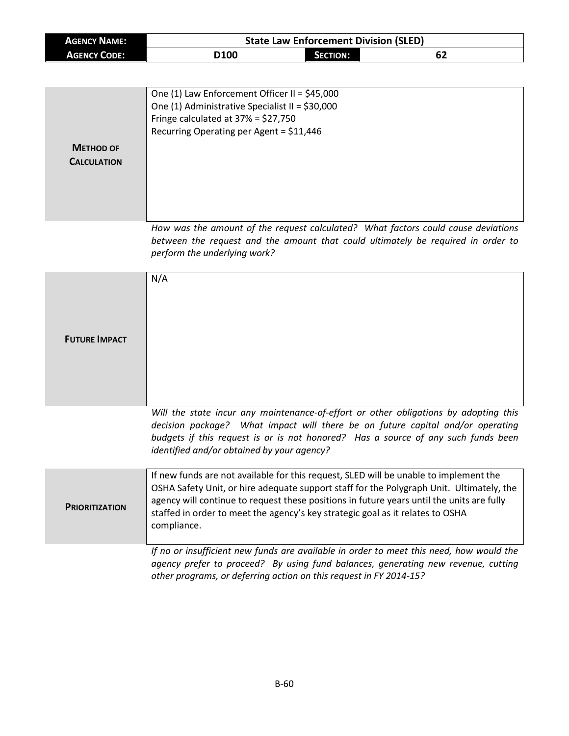| <b>AGENCY NAME:</b>                    | <b>State Law Enforcement Division (SLED)</b>                                                                                                                                                                                                                                                                                                                                    |                 |    |
|----------------------------------------|---------------------------------------------------------------------------------------------------------------------------------------------------------------------------------------------------------------------------------------------------------------------------------------------------------------------------------------------------------------------------------|-----------------|----|
| <b>AGENCY CODE:</b>                    | D100                                                                                                                                                                                                                                                                                                                                                                            | <b>SECTION:</b> | 62 |
|                                        |                                                                                                                                                                                                                                                                                                                                                                                 |                 |    |
| <b>METHOD OF</b><br><b>CALCULATION</b> | One (1) Law Enforcement Officer II = \$45,000<br>One (1) Administrative Specialist II = \$30,000<br>Fringe calculated at $37\% = $27,750$<br>Recurring Operating per Agent = \$11,446                                                                                                                                                                                           |                 |    |
|                                        | How was the amount of the request calculated? What factors could cause deviations<br>between the request and the amount that could ultimately be required in order to<br>perform the underlying work?                                                                                                                                                                           |                 |    |
| <b>FUTURE IMPACT</b>                   | N/A                                                                                                                                                                                                                                                                                                                                                                             |                 |    |
|                                        | Will the state incur any maintenance-of-effort or other obligations by adopting this<br>decision package? What impact will there be on future capital and/or operating<br>budgets if this request is or is not honored? Has a source of any such funds been<br>identified and/or obtained by your agency?                                                                       |                 |    |
| <b>PRIORITIZATION</b>                  | If new funds are not available for this request, SLED will be unable to implement the<br>OSHA Safety Unit, or hire adequate support staff for the Polygraph Unit. Ultimately, the<br>agency will continue to request these positions in future years until the units are fully<br>staffed in order to meet the agency's key strategic goal as it relates to OSHA<br>compliance. |                 |    |
|                                        | If no or insufficient new funds are available in order to meet this need, how would the<br>agency prefer to proceed? By using fund balances, generating new revenue, cutting<br>other programs, or deferring action on this request in FY 2014-15?                                                                                                                              |                 |    |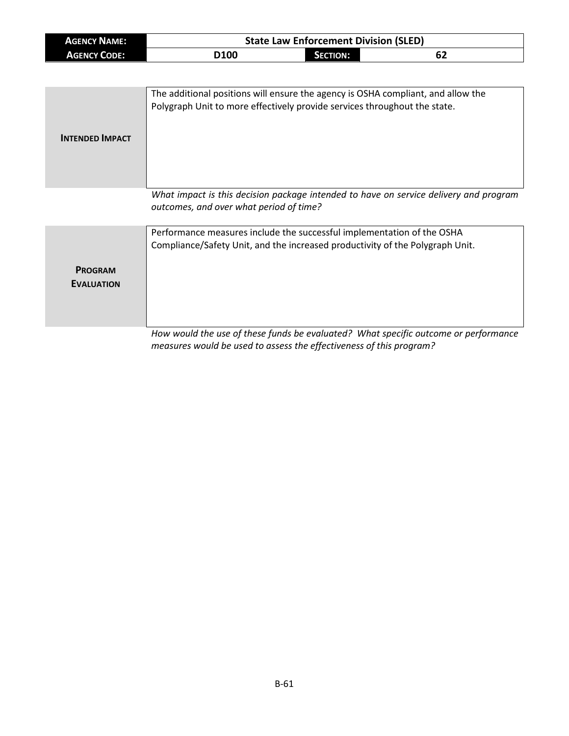| <b>AGENCY NAME:</b> | <b>State Law Enforcement Division (SLED)</b> |          |    |  |
|---------------------|----------------------------------------------|----------|----|--|
| <b>AGENCY CODE:</b> | D <sub>100</sub>                             | SECTION: | 62 |  |

| <b>INTENDED IMPACT</b> | The additional positions will ensure the agency is OSHA compliant, and allow the<br>Polygraph Unit to more effectively provide services throughout the state. |
|------------------------|---------------------------------------------------------------------------------------------------------------------------------------------------------------|
|                        | What impact is this decision package intended to have on service delivery and program<br>outcomes, and over what period of time?                              |

|                                     | Performance measures include the successful implementation of the OSHA<br>Compliance/Safety Unit, and the increased productivity of the Polygraph Unit. |  |  |
|-------------------------------------|---------------------------------------------------------------------------------------------------------------------------------------------------------|--|--|
| <b>PROGRAM</b><br><b>EVALUATION</b> |                                                                                                                                                         |  |  |
|                                     | How would the use of these funds be evaluated? What specific outcome or performance                                                                     |  |  |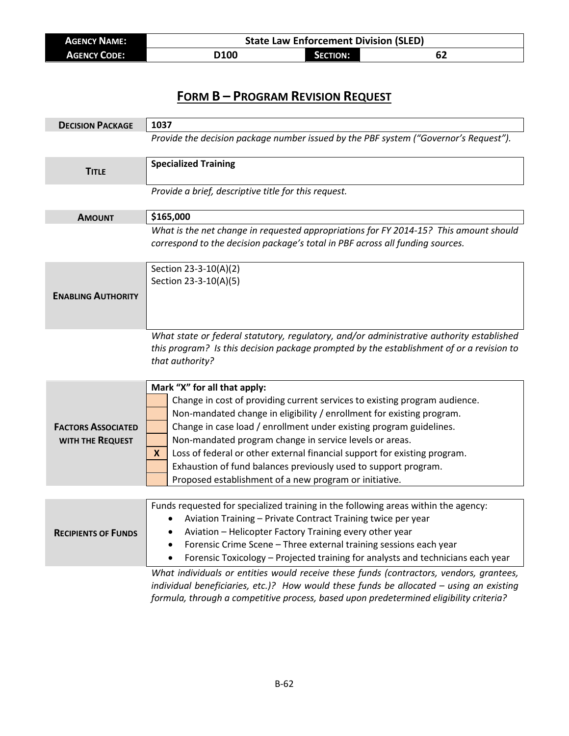| <b>AGENCY NAME:</b> | <b>State Law Enforcement Division (SLED)</b> |                 |    |  |
|---------------------|----------------------------------------------|-----------------|----|--|
| <b>AGENCY CODE:</b> | <b>D100</b>                                  | <b>SECTION:</b> | 62 |  |

| <b>DECISION PACKAGE</b>                       | 1037                                                                                                                                                                                                                                                                                                                                                                                                                                                                                                                                  |  |  |
|-----------------------------------------------|---------------------------------------------------------------------------------------------------------------------------------------------------------------------------------------------------------------------------------------------------------------------------------------------------------------------------------------------------------------------------------------------------------------------------------------------------------------------------------------------------------------------------------------|--|--|
|                                               | Provide the decision package number issued by the PBF system ("Governor's Request").                                                                                                                                                                                                                                                                                                                                                                                                                                                  |  |  |
| <b>TITLE</b>                                  | <b>Specialized Training</b>                                                                                                                                                                                                                                                                                                                                                                                                                                                                                                           |  |  |
|                                               | Provide a brief, descriptive title for this request.                                                                                                                                                                                                                                                                                                                                                                                                                                                                                  |  |  |
| <b>AMOUNT</b>                                 | \$165,000                                                                                                                                                                                                                                                                                                                                                                                                                                                                                                                             |  |  |
|                                               | What is the net change in requested appropriations for FY 2014-15? This amount should<br>correspond to the decision package's total in PBF across all funding sources.                                                                                                                                                                                                                                                                                                                                                                |  |  |
| <b>ENABLING AUTHORITY</b>                     | Section 23-3-10(A)(2)<br>Section 23-3-10(A)(5)                                                                                                                                                                                                                                                                                                                                                                                                                                                                                        |  |  |
|                                               | What state or federal statutory, regulatory, and/or administrative authority established<br>this program? Is this decision package prompted by the establishment of or a revision to<br>that authority?                                                                                                                                                                                                                                                                                                                               |  |  |
| <b>FACTORS ASSOCIATED</b><br>WITH THE REQUEST | Mark "X" for all that apply:<br>Change in cost of providing current services to existing program audience.<br>Non-mandated change in eligibility / enrollment for existing program.<br>Change in case load / enrollment under existing program guidelines.<br>Non-mandated program change in service levels or areas.<br>Loss of federal or other external financial support for existing program.<br>X.<br>Exhaustion of fund balances previously used to support program.<br>Proposed establishment of a new program or initiative. |  |  |
|                                               |                                                                                                                                                                                                                                                                                                                                                                                                                                                                                                                                       |  |  |
| <b>RECIPIENTS OF FUNDS</b>                    | Funds requested for specialized training in the following areas within the agency:<br>Aviation Training - Private Contract Training twice per year<br>Aviation - Helicopter Factory Training every other year<br>Forensic Crime Scene - Three external training sessions each year<br>$\bullet$<br>Forensic Toxicology - Projected training for analysts and technicians each year<br>What individuals or entities would receive these funds (contractors, vendors, grantees,                                                         |  |  |

*individual beneficiaries, etc.)? How would these funds be allocated – using an existing formula, through a competitive process, based upon predetermined eligibility criteria?*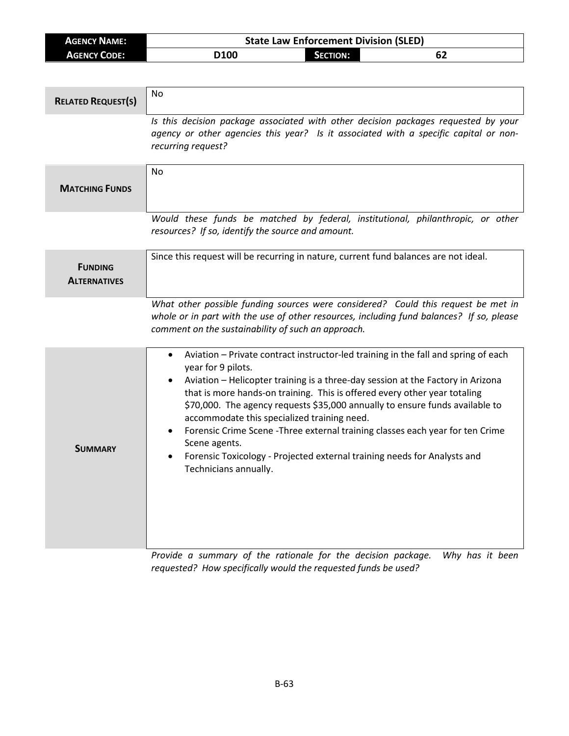| <b>AGENCY NAME:</b> | <b>State Law Enforcement Division (SLED)</b> |                 |    |
|---------------------|----------------------------------------------|-----------------|----|
| <b>AGENCY CODE:</b> | D <sub>100</sub>                             | <b>SECTION:</b> | 62 |

| <b>RELATED REQUEST(S)</b>             | <b>No</b>                                                                                                                                                                                                                                                                                                                                                                                                                                                                                                                                                                                                                    |
|---------------------------------------|------------------------------------------------------------------------------------------------------------------------------------------------------------------------------------------------------------------------------------------------------------------------------------------------------------------------------------------------------------------------------------------------------------------------------------------------------------------------------------------------------------------------------------------------------------------------------------------------------------------------------|
|                                       | Is this decision package associated with other decision packages requested by your<br>agency or other agencies this year? Is it associated with a specific capital or non-<br>recurring request?                                                                                                                                                                                                                                                                                                                                                                                                                             |
| <b>MATCHING FUNDS</b>                 | N <sub>0</sub>                                                                                                                                                                                                                                                                                                                                                                                                                                                                                                                                                                                                               |
|                                       | Would these funds be matched by federal, institutional, philanthropic, or other<br>resources? If so, identify the source and amount.                                                                                                                                                                                                                                                                                                                                                                                                                                                                                         |
| <b>FUNDING</b><br><b>ALTERNATIVES</b> | Since this request will be recurring in nature, current fund balances are not ideal.                                                                                                                                                                                                                                                                                                                                                                                                                                                                                                                                         |
|                                       | What other possible funding sources were considered? Could this request be met in<br>whole or in part with the use of other resources, including fund balances? If so, please<br>comment on the sustainability of such an approach.                                                                                                                                                                                                                                                                                                                                                                                          |
| <b>SUMMARY</b>                        | Aviation - Private contract instructor-led training in the fall and spring of each<br>$\bullet$<br>year for 9 pilots.<br>Aviation - Helicopter training is a three-day session at the Factory in Arizona<br>that is more hands-on training. This is offered every other year totaling<br>\$70,000. The agency requests \$35,000 annually to ensure funds available to<br>accommodate this specialized training need.<br>Forensic Crime Scene - Three external training classes each year for ten Crime<br>Scene agents.<br>Forensic Toxicology - Projected external training needs for Analysts and<br>Technicians annually. |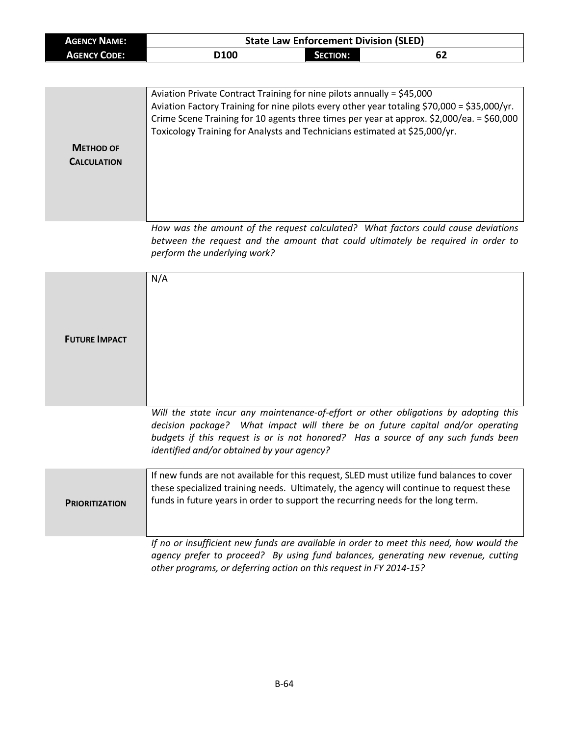| <b>AGENCY NAME:</b> |                  | <b>State Law Enforcement Division (SLED)</b> |    |  |
|---------------------|------------------|----------------------------------------------|----|--|
| <b>AGENCY CODE:</b> | D <sub>100</sub> | <b>SECTION:</b>                              | 62 |  |

|                    | Aviation Private Contract Training for nine pilots annually = \$45,000<br>Aviation Factory Training for nine pilots every other year totaling \$70,000 = \$35,000/yr.<br>Crime Scene Training for 10 agents three times per year at approx. \$2,000/ea. = \$60,000<br>Toxicology Training for Analysts and Technicians estimated at \$25,000/yr. |
|--------------------|--------------------------------------------------------------------------------------------------------------------------------------------------------------------------------------------------------------------------------------------------------------------------------------------------------------------------------------------------|
| <b>METHOD OF</b>   |                                                                                                                                                                                                                                                                                                                                                  |
|                    |                                                                                                                                                                                                                                                                                                                                                  |
| <b>CALCULATION</b> |                                                                                                                                                                                                                                                                                                                                                  |
|                    |                                                                                                                                                                                                                                                                                                                                                  |
|                    | How was the amount of the request calculated? What factors could cause deviations<br>between the request and the amount that could ultimately be required in order to<br>perform the underlying work?                                                                                                                                            |

| <b>FUTURE IMPACT</b>  | N/A                                                                                                                                                                                                                                                                                                       |
|-----------------------|-----------------------------------------------------------------------------------------------------------------------------------------------------------------------------------------------------------------------------------------------------------------------------------------------------------|
|                       | Will the state incur any maintenance-of-effort or other obligations by adopting this<br>decision package? What impact will there be on future capital and/or operating<br>budgets if this request is or is not honored? Has a source of any such funds been<br>identified and/or obtained by your agency? |
| <b>PRIORITIZATION</b> | If new funds are not available for this request, SLED must utilize fund balances to cover<br>these specialized training needs. Ultimately, the agency will continue to request these<br>funds in future years in order to support the recurring needs for the long term.                                  |
|                       | If no or insufficient new funds are available in order to meet this need, how would the<br>agency prefer to proceed? By using fund balances, generating new revenue, cutting<br>other programs, or deferring action on this request in FY 2014-15?                                                        |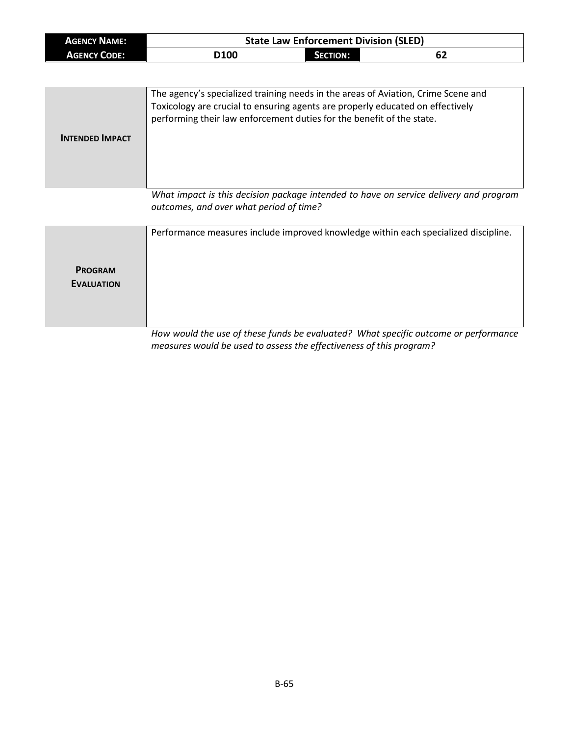| <b>AGENCY NAME:</b> |                  | <b>State Law Enforcement Division (SLED)</b> |    |
|---------------------|------------------|----------------------------------------------|----|
| <b>AGENCY CODE:</b> | D <sub>100</sub> | SECTION:                                     | 62 |

| <b>INTENDED IMPACT</b> | performing their law enforcement duties for the benefit of the state. |
|------------------------|-----------------------------------------------------------------------|
|                        |                                                                       |

*What impact is this decision package intended to have on service delivery and program outcomes, and over what period of time?*

|                   | Performance measures include improved knowledge within each specialized discipline. |
|-------------------|-------------------------------------------------------------------------------------|
| <b>PROGRAM</b>    |                                                                                     |
| <b>EVALUATION</b> |                                                                                     |
|                   |                                                                                     |
|                   | How would the use of these funds he evaluated? What specific outcome or performance |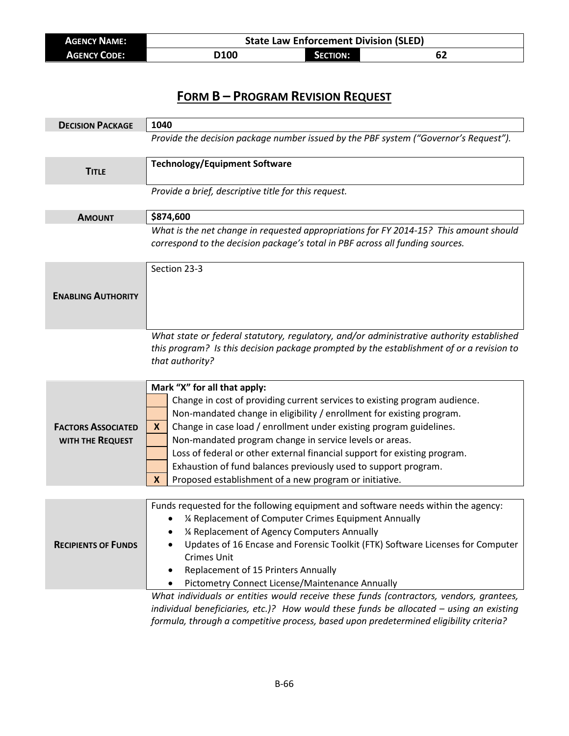| AGENCY NAME:        |     | <b>State Law Enforcement Division (SLED)</b> |      |
|---------------------|-----|----------------------------------------------|------|
| <b>AGENCY CODE:</b> | 100 | <b>SECTION:</b>                              | . DŁ |

| <b>DECISION PACKAGE</b>    | 1040                                                                                                                                                                                                                                                                                                                                                                                                           |
|----------------------------|----------------------------------------------------------------------------------------------------------------------------------------------------------------------------------------------------------------------------------------------------------------------------------------------------------------------------------------------------------------------------------------------------------------|
|                            | Provide the decision package number issued by the PBF system ("Governor's Request").                                                                                                                                                                                                                                                                                                                           |
| <b>TITLE</b>               | <b>Technology/Equipment Software</b>                                                                                                                                                                                                                                                                                                                                                                           |
|                            | Provide a brief, descriptive title for this request.                                                                                                                                                                                                                                                                                                                                                           |
| <b>AMOUNT</b>              | \$874,600                                                                                                                                                                                                                                                                                                                                                                                                      |
|                            | What is the net change in requested appropriations for FY 2014-15? This amount should<br>correspond to the decision package's total in PBF across all funding sources.                                                                                                                                                                                                                                         |
| <b>ENABLING AUTHORITY</b>  | Section 23-3                                                                                                                                                                                                                                                                                                                                                                                                   |
|                            | What state or federal statutory, regulatory, and/or administrative authority established<br>this program? Is this decision package prompted by the establishment of or a revision to<br>that authority?                                                                                                                                                                                                        |
|                            | Mark "X" for all that apply:                                                                                                                                                                                                                                                                                                                                                                                   |
|                            | Change in cost of providing current services to existing program audience.                                                                                                                                                                                                                                                                                                                                     |
|                            | Non-mandated change in eligibility / enrollment for existing program.                                                                                                                                                                                                                                                                                                                                          |
| <b>FACTORS ASSOCIATED</b>  | Change in case load / enrollment under existing program guidelines.<br>X                                                                                                                                                                                                                                                                                                                                       |
| WITH THE REQUEST           | Non-mandated program change in service levels or areas.                                                                                                                                                                                                                                                                                                                                                        |
|                            | Loss of federal or other external financial support for existing program.<br>Exhaustion of fund balances previously used to support program.                                                                                                                                                                                                                                                                   |
|                            | Proposed establishment of a new program or initiative.<br>X                                                                                                                                                                                                                                                                                                                                                    |
|                            |                                                                                                                                                                                                                                                                                                                                                                                                                |
| <b>RECIPIENTS OF FUNDS</b> | Funds requested for the following equipment and software needs within the agency:<br>1⁄4 Replacement of Computer Crimes Equipment Annually<br>1⁄4 Replacement of Agency Computers Annually<br>Updates of 16 Encase and Forensic Toolkit (FTK) Software Licenses for Computer<br><b>Crimes Unit</b><br>Replacement of 15 Printers Annually<br>٠<br>Pictometry Connect License/Maintenance Annually<br>$\bullet$ |
|                            | What individuals or entities would receive these funds (contractors, vendors, grantees,                                                                                                                                                                                                                                                                                                                        |
|                            | individual beneficiaries, etc.)? How would these funds be allocated $-$ using an existing                                                                                                                                                                                                                                                                                                                      |

*formula, through a competitive process, based upon predetermined eligibility criteria?*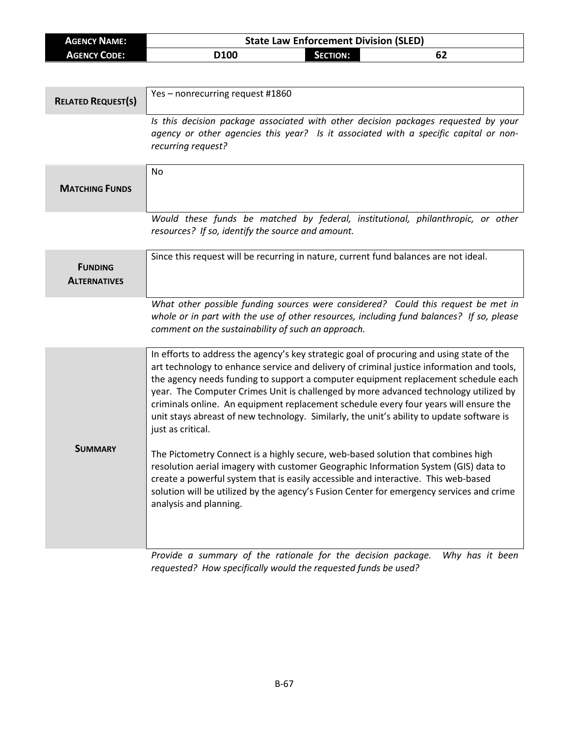| <b>AGENCY NAME:</b> |      |            | <b>State Law Enforcement Division (SLED)</b> |
|---------------------|------|------------|----------------------------------------------|
| <b>AGENCY CODE:</b> | 0100 | Section: I |                                              |
|                     |      |            |                                              |

| <b>RELATED REQUEST(S)</b>             | Yes - nonrecurring request #1860                                                                                                                                                                                                                                                                                                                                                                                                                                                                                                                                               |
|---------------------------------------|--------------------------------------------------------------------------------------------------------------------------------------------------------------------------------------------------------------------------------------------------------------------------------------------------------------------------------------------------------------------------------------------------------------------------------------------------------------------------------------------------------------------------------------------------------------------------------|
|                                       | Is this decision package associated with other decision packages requested by your<br>agency or other agencies this year? Is it associated with a specific capital or non-<br>recurring request?                                                                                                                                                                                                                                                                                                                                                                               |
| <b>MATCHING FUNDS</b>                 | No                                                                                                                                                                                                                                                                                                                                                                                                                                                                                                                                                                             |
|                                       | Would these funds be matched by federal, institutional, philanthropic, or other<br>resources? If so, identify the source and amount.                                                                                                                                                                                                                                                                                                                                                                                                                                           |
| <b>FUNDING</b><br><b>ALTERNATIVES</b> | Since this request will be recurring in nature, current fund balances are not ideal.                                                                                                                                                                                                                                                                                                                                                                                                                                                                                           |
|                                       | What other possible funding sources were considered? Could this request be met in<br>whole or in part with the use of other resources, including fund balances? If so, please<br>comment on the sustainability of such an approach.                                                                                                                                                                                                                                                                                                                                            |
|                                       | In efforts to address the agency's key strategic goal of procuring and using state of the<br>art technology to enhance service and delivery of criminal justice information and tools,<br>the agency needs funding to support a computer equipment replacement schedule each<br>year. The Computer Crimes Unit is challenged by more advanced technology utilized by<br>criminals online. An equipment replacement schedule every four years will ensure the<br>unit stays abreast of new technology. Similarly, the unit's ability to update software is<br>just as critical. |
| <b>SUMMARY</b>                        | The Pictometry Connect is a highly secure, web-based solution that combines high<br>resolution aerial imagery with customer Geographic Information System (GIS) data to<br>create a powerful system that is easily accessible and interactive. This web-based<br>solution will be utilized by the agency's Fusion Center for emergency services and crime<br>analysis and planning.<br>Provide a summary of the rationale for the decision package<br>Why has it hoon                                                                                                          |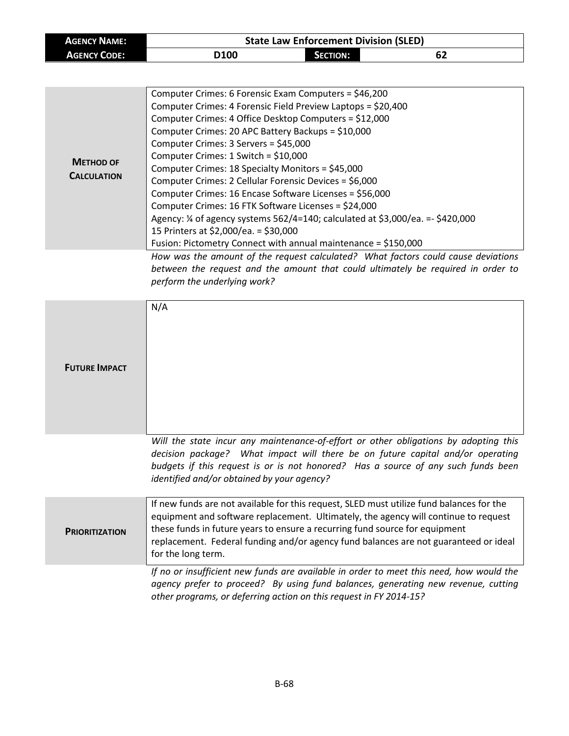| <b>AGENCY NAME:</b> |      | <b>State Law Enforcement Division (SLED)</b> |    |  |
|---------------------|------|----------------------------------------------|----|--|
| <b>AGENCY CODE:</b> | D100 | <b>SECTION:</b>                              | 62 |  |

| <b>METHOD OF</b><br><b>CALCULATION</b> | Computer Crimes: 6 Forensic Exam Computers = \$46,200<br>Computer Crimes: 4 Forensic Field Preview Laptops = \$20,400<br>Computer Crimes: 4 Office Desktop Computers = \$12,000<br>Computer Crimes: 20 APC Battery Backups = \$10,000<br>Computer Crimes: 3 Servers = \$45,000<br>Computer Crimes: $1$ Switch = \$10,000<br>Computer Crimes: 18 Specialty Monitors = \$45,000<br>Computer Crimes: 2 Cellular Forensic Devices = \$6,000<br>Computer Crimes: 16 Encase Software Licenses = \$56,000<br>Computer Crimes: 16 FTK Software Licenses = \$24,000<br>Agency: 1/4 of agency systems 562/4=140; calculated at \$3,000/ea. = - \$420,000<br>15 Printers at \$2,000/ea. = \$30,000<br>Fusion: Pictometry Connect with annual maintenance = \$150,000 |
|----------------------------------------|-----------------------------------------------------------------------------------------------------------------------------------------------------------------------------------------------------------------------------------------------------------------------------------------------------------------------------------------------------------------------------------------------------------------------------------------------------------------------------------------------------------------------------------------------------------------------------------------------------------------------------------------------------------------------------------------------------------------------------------------------------------|
|                                        | How was the amount of the request calculated? What factors could cause deviations                                                                                                                                                                                                                                                                                                                                                                                                                                                                                                                                                                                                                                                                         |
|                                        |                                                                                                                                                                                                                                                                                                                                                                                                                                                                                                                                                                                                                                                                                                                                                           |

*between the request and the amount that could ultimately be required in order to perform the underlying work?*

| <b>FUTURE IMPACT</b>  | N/A                                                                                                                                                                                                                                                                                                                                                                          |
|-----------------------|------------------------------------------------------------------------------------------------------------------------------------------------------------------------------------------------------------------------------------------------------------------------------------------------------------------------------------------------------------------------------|
|                       | Will the state incur any maintenance-of-effort or other obligations by adopting this<br>decision package? What impact will there be on future capital and/or operating<br>budgets if this request is or is not honored? Has a source of any such funds been<br>identified and/or obtained by your agency?                                                                    |
| <b>PRIORITIZATION</b> | If new funds are not available for this request, SLED must utilize fund balances for the<br>equipment and software replacement. Ultimately, the agency will continue to request<br>these funds in future years to ensure a recurring fund source for equipment<br>replacement. Federal funding and/or agency fund balances are not guaranteed or ideal<br>for the long term. |
|                       | If no or insufficient new funds are available in order to meet this need, how would the<br>agency prefer to proceed? By using fund balances, generating new revenue, cutting<br>other programs, or deferring action on this request in FY 2014-15?                                                                                                                           |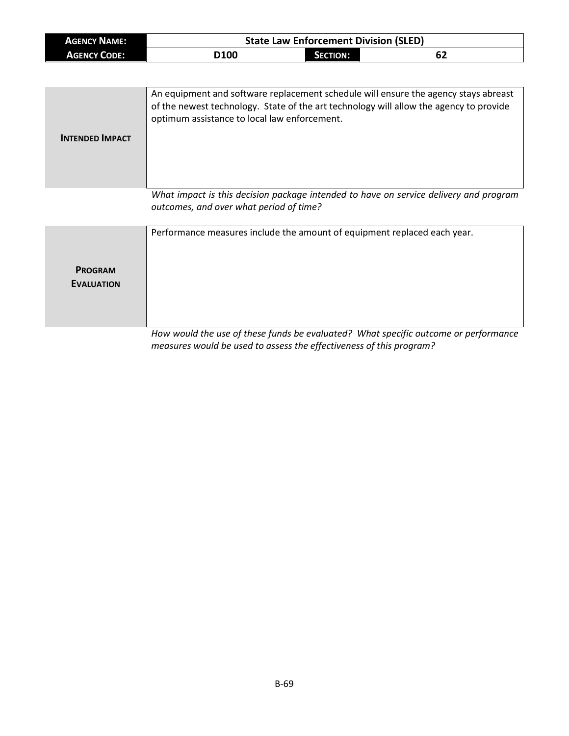| <b>AGENCY NAME:</b> | <b>State Law Enforcement Division (SLED)</b> |          |    |
|---------------------|----------------------------------------------|----------|----|
| <b>AGENCY CODE:</b> | D <sub>100</sub>                             | Section: | ხ∠ |

| <b>INTENDED IMPACT</b> | An equipment and software replacement schedule will ensure the agency stays abreast<br>of the newest technology. State of the art technology will allow the agency to provide<br>optimum assistance to local law enforcement.  |
|------------------------|--------------------------------------------------------------------------------------------------------------------------------------------------------------------------------------------------------------------------------|
|                        | Angles and the second angles of the contract of the second of the first second of the second of the second second second second second second second second second second second second second second second second second sec |

*What impact is this decision package intended to have on service delivery and program outcomes, and over what period of time?*

|                   | Performance measures include the amount of equipment replaced each year.            |
|-------------------|-------------------------------------------------------------------------------------|
| <b>PROGRAM</b>    |                                                                                     |
| <b>EVALUATION</b> |                                                                                     |
|                   |                                                                                     |
|                   | How would the use of these funds he evaluated? What specific outcome or performance |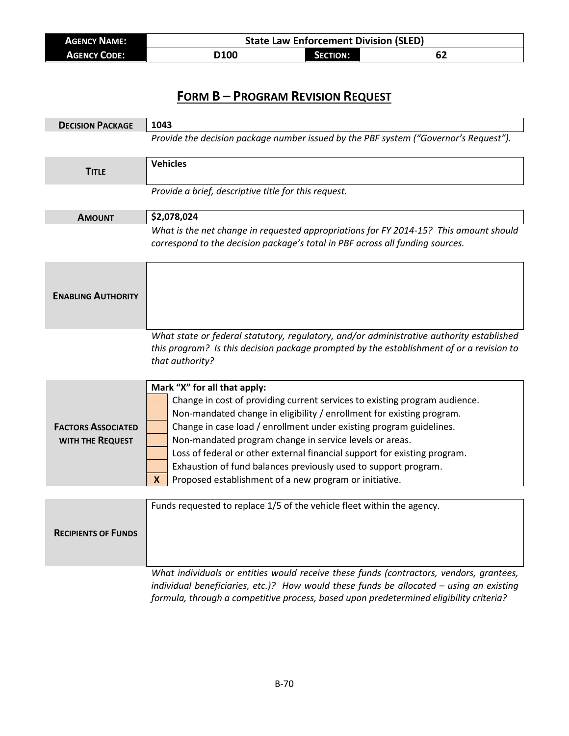| <b>AGENCY NAME:</b> | <b>State Law Enforcement Division (SLED)</b> |                 |    |
|---------------------|----------------------------------------------|-----------------|----|
| <b>AGENCY CODE:</b> | D100                                         | <b>SECTION:</b> | ОZ |

| <b>DECISION PACKAGE</b>                       | 1043                                                                                                                                                                                                                                                                                                                                                                                                                                                                                                                                 |  |  |
|-----------------------------------------------|--------------------------------------------------------------------------------------------------------------------------------------------------------------------------------------------------------------------------------------------------------------------------------------------------------------------------------------------------------------------------------------------------------------------------------------------------------------------------------------------------------------------------------------|--|--|
|                                               | Provide the decision package number issued by the PBF system ("Governor's Request").                                                                                                                                                                                                                                                                                                                                                                                                                                                 |  |  |
| <b>TITLE</b>                                  | <b>Vehicles</b>                                                                                                                                                                                                                                                                                                                                                                                                                                                                                                                      |  |  |
|                                               | Provide a brief, descriptive title for this request.                                                                                                                                                                                                                                                                                                                                                                                                                                                                                 |  |  |
| <b>AMOUNT</b>                                 | \$2,078,024                                                                                                                                                                                                                                                                                                                                                                                                                                                                                                                          |  |  |
|                                               | What is the net change in requested appropriations for FY 2014-15? This amount should<br>correspond to the decision package's total in PBF across all funding sources.                                                                                                                                                                                                                                                                                                                                                               |  |  |
| <b>ENABLING AUTHORITY</b>                     |                                                                                                                                                                                                                                                                                                                                                                                                                                                                                                                                      |  |  |
|                                               | What state or federal statutory, regulatory, and/or administrative authority established<br>this program? Is this decision package prompted by the establishment of or a revision to<br>that authority?                                                                                                                                                                                                                                                                                                                              |  |  |
| <b>FACTORS ASSOCIATED</b><br>WITH THE REQUEST | Mark "X" for all that apply:<br>Change in cost of providing current services to existing program audience.<br>Non-mandated change in eligibility / enrollment for existing program.<br>Change in case load / enrollment under existing program guidelines.<br>Non-mandated program change in service levels or areas.<br>Loss of federal or other external financial support for existing program.<br>Exhaustion of fund balances previously used to support program.<br>Proposed establishment of a new program or initiative.<br>X |  |  |
| <b>RECIPIENTS OF FUNDS</b>                    | Funds requested to replace 1/5 of the vehicle fleet within the agency.                                                                                                                                                                                                                                                                                                                                                                                                                                                               |  |  |
|                                               | What individuals or entities would receive these funds (contractors, vendors, grantees,<br>individual beneficiaries, etc.)? How would these funds be allocated - using an existing                                                                                                                                                                                                                                                                                                                                                   |  |  |

*formula, through a competitive process, based upon predetermined eligibility criteria?*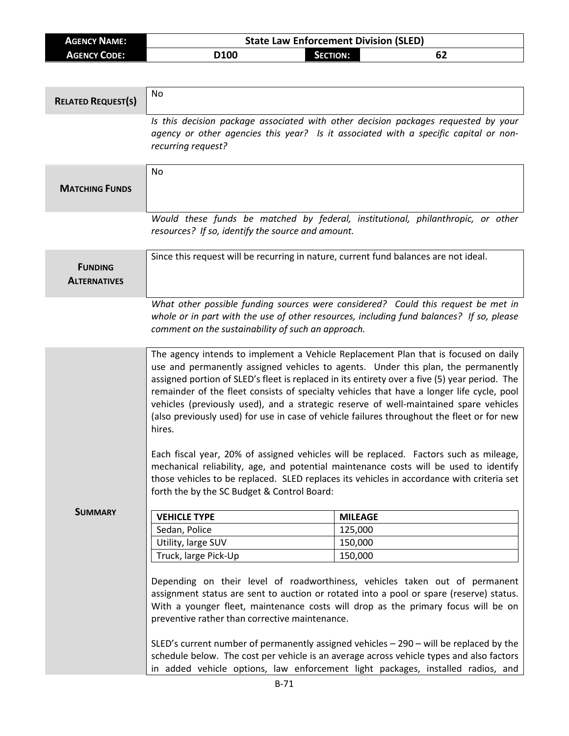| <b>AGENCY NAME:</b> | <b>State Law Enforcement Division (SLED)</b> |                 |    |
|---------------------|----------------------------------------------|-----------------|----|
| <b>AGENCY CODE:</b> | D100                                         | <b>SECTION:</b> | 62 |

| <b>RELATED REQUEST(S)</b>             | <b>No</b>                                                                                                                                                                                                                                                                                                                                                                                                                                                                                                                                                                                                                                                                                                                                                                                                                                                                                             |                                                                                 |  |
|---------------------------------------|-------------------------------------------------------------------------------------------------------------------------------------------------------------------------------------------------------------------------------------------------------------------------------------------------------------------------------------------------------------------------------------------------------------------------------------------------------------------------------------------------------------------------------------------------------------------------------------------------------------------------------------------------------------------------------------------------------------------------------------------------------------------------------------------------------------------------------------------------------------------------------------------------------|---------------------------------------------------------------------------------|--|
|                                       | Is this decision package associated with other decision packages requested by your<br>agency or other agencies this year? Is it associated with a specific capital or non-<br>recurring request?                                                                                                                                                                                                                                                                                                                                                                                                                                                                                                                                                                                                                                                                                                      |                                                                                 |  |
|                                       | <b>No</b>                                                                                                                                                                                                                                                                                                                                                                                                                                                                                                                                                                                                                                                                                                                                                                                                                                                                                             |                                                                                 |  |
| <b>MATCHING FUNDS</b>                 |                                                                                                                                                                                                                                                                                                                                                                                                                                                                                                                                                                                                                                                                                                                                                                                                                                                                                                       |                                                                                 |  |
|                                       | resources? If so, identify the source and amount.                                                                                                                                                                                                                                                                                                                                                                                                                                                                                                                                                                                                                                                                                                                                                                                                                                                     | Would these funds be matched by federal, institutional, philanthropic, or other |  |
| <b>FUNDING</b><br><b>ALTERNATIVES</b> | Since this request will be recurring in nature, current fund balances are not ideal.                                                                                                                                                                                                                                                                                                                                                                                                                                                                                                                                                                                                                                                                                                                                                                                                                  |                                                                                 |  |
|                                       | What other possible funding sources were considered? Could this request be met in<br>whole or in part with the use of other resources, including fund balances? If so, please<br>comment on the sustainability of such an approach.                                                                                                                                                                                                                                                                                                                                                                                                                                                                                                                                                                                                                                                                   |                                                                                 |  |
|                                       | The agency intends to implement a Vehicle Replacement Plan that is focused on daily<br>use and permanently assigned vehicles to agents. Under this plan, the permanently<br>assigned portion of SLED's fleet is replaced in its entirety over a five (5) year period. The<br>remainder of the fleet consists of specialty vehicles that have a longer life cycle, pool<br>vehicles (previously used), and a strategic reserve of well-maintained spare vehicles<br>(also previously used) for use in case of vehicle failures throughout the fleet or for new<br>hires.<br>Each fiscal year, 20% of assigned vehicles will be replaced. Factors such as mileage,<br>mechanical reliability, age, and potential maintenance costs will be used to identify<br>those vehicles to be replaced. SLED replaces its vehicles in accordance with criteria set<br>forth the by the SC Budget & Control Board: |                                                                                 |  |
| <b>SUMMARY</b>                        | <b>VEHICLE TYPE</b>                                                                                                                                                                                                                                                                                                                                                                                                                                                                                                                                                                                                                                                                                                                                                                                                                                                                                   | <b>MILEAGE</b>                                                                  |  |
|                                       | Sedan, Police                                                                                                                                                                                                                                                                                                                                                                                                                                                                                                                                                                                                                                                                                                                                                                                                                                                                                         | 125,000                                                                         |  |
|                                       | Utility, large SUV                                                                                                                                                                                                                                                                                                                                                                                                                                                                                                                                                                                                                                                                                                                                                                                                                                                                                    | 150,000                                                                         |  |
|                                       | Truck, large Pick-Up                                                                                                                                                                                                                                                                                                                                                                                                                                                                                                                                                                                                                                                                                                                                                                                                                                                                                  | 150,000                                                                         |  |
|                                       | Depending on their level of roadworthiness, vehicles taken out of permanent<br>assignment status are sent to auction or rotated into a pool or spare (reserve) status.<br>With a younger fleet, maintenance costs will drop as the primary focus will be on<br>preventive rather than corrective maintenance.<br>SLED's current number of permanently assigned vehicles $-$ 290 $-$ will be replaced by the<br>schedule below. The cost per vehicle is an average across vehicle types and also factors                                                                                                                                                                                                                                                                                                                                                                                               |                                                                                 |  |
|                                       | in added vehicle options, law enforcement light packages, installed radios, and                                                                                                                                                                                                                                                                                                                                                                                                                                                                                                                                                                                                                                                                                                                                                                                                                       |                                                                                 |  |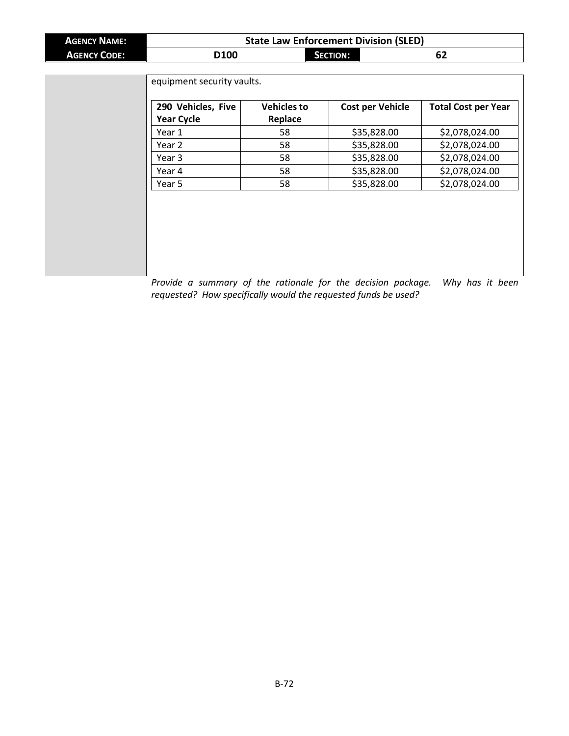| <b>AGENCY NAME:</b> | <b>State Law Enforcement Division (SLED)</b> |                 |    |  |
|---------------------|----------------------------------------------|-----------------|----|--|
| <b>AGENCY CODE:</b> | D <sub>100</sub>                             | <b>SECTION:</b> | ОZ |  |

| 290 Vehicles, Five | <b>Vehicles to</b> | <b>Cost per Vehicle</b> | <b>Total Cost per Year</b> |
|--------------------|--------------------|-------------------------|----------------------------|
| <b>Year Cycle</b>  | Replace            |                         |                            |
| Year 1             | 58                 | \$35,828.00             | \$2,078,024.00             |
| Year 2             | 58                 | \$35,828.00             | \$2,078,024.00             |
| Year 3             | 58                 | \$35,828.00             | \$2,078,024.00             |
| Year 4             | 58                 | \$35,828.00             | \$2,078,024.00             |
| Year 5             | 58                 | \$35,828.00             | \$2,078,024.00             |

*Provide a summary of the rationale for the decision package. Why has it been requested? How specifically would the requested funds be used?*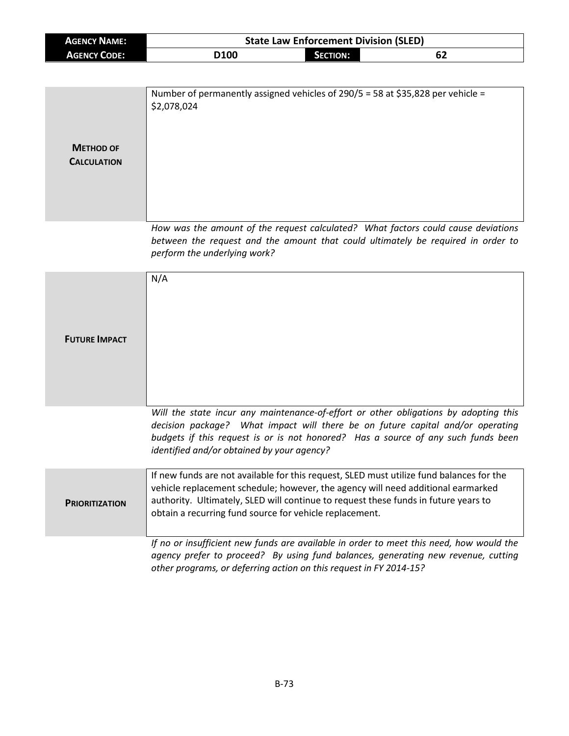| <b>AGENCY NAME:</b>                    |                                                                                                                                                                                                                                                                                                                                | <b>State Law Enforcement Division (SLED)</b> |                                                                                                                                                                                                                                                             |  |
|----------------------------------------|--------------------------------------------------------------------------------------------------------------------------------------------------------------------------------------------------------------------------------------------------------------------------------------------------------------------------------|----------------------------------------------|-------------------------------------------------------------------------------------------------------------------------------------------------------------------------------------------------------------------------------------------------------------|--|
| <b>AGENCY CODE:</b>                    | D100                                                                                                                                                                                                                                                                                                                           | <b>SECTION:</b>                              | 62                                                                                                                                                                                                                                                          |  |
|                                        |                                                                                                                                                                                                                                                                                                                                |                                              |                                                                                                                                                                                                                                                             |  |
| <b>METHOD OF</b><br><b>CALCULATION</b> | Number of permanently assigned vehicles of 290/5 = 58 at \$35,828 per vehicle =<br>\$2,078,024                                                                                                                                                                                                                                 |                                              |                                                                                                                                                                                                                                                             |  |
|                                        | perform the underlying work?                                                                                                                                                                                                                                                                                                   |                                              | How was the amount of the request calculated? What factors could cause deviations<br>between the request and the amount that could ultimately be required in order to                                                                                       |  |
| <b>FUTURE IMPACT</b>                   | N/A                                                                                                                                                                                                                                                                                                                            |                                              |                                                                                                                                                                                                                                                             |  |
|                                        | identified and/or obtained by your agency?                                                                                                                                                                                                                                                                                     |                                              | Will the state incur any maintenance-of-effort or other obligations by adopting this<br>decision package? What impact will there be on future capital and/or operating<br>budgets if this request is or is not honored? Has a source of any such funds been |  |
| <b>PRIORITIZATION</b>                  | If new funds are not available for this request, SLED must utilize fund balances for the<br>vehicle replacement schedule; however, the agency will need additional earmarked<br>authority. Ultimately, SLED will continue to request these funds in future years to<br>obtain a recurring fund source for vehicle replacement. |                                              |                                                                                                                                                                                                                                                             |  |
|                                        | other programs, or deferring action on this request in FY 2014-15?                                                                                                                                                                                                                                                             |                                              | If no or insufficient new funds are available in order to meet this need, how would the<br>agency prefer to proceed? By using fund balances, generating new revenue, cutting                                                                                |  |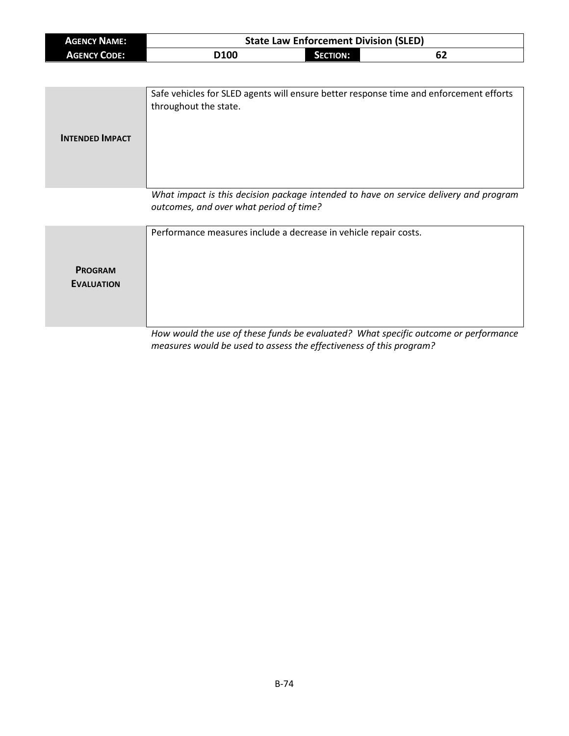| <b>AGENCY NAME:</b> | <b>State Law Enforcement Division (SLED)</b> |          |    |
|---------------------|----------------------------------------------|----------|----|
| <b>AGENCY CODE:</b> | D <sub>100</sub>                             | SECTION: | 62 |

| <b>INTENDED IMPACT</b> | Safe vehicles for SLED agents will ensure better response time and enforcement efforts<br>throughout the state. |
|------------------------|-----------------------------------------------------------------------------------------------------------------|
|                        | What impact is this desigion package intended to have an service delivery and program                           |

*What impact is this decision package intended to have on service delivery and program outcomes, and over what period of time?*

|                   | Performance measures include a decrease in vehicle repair costs.                    |
|-------------------|-------------------------------------------------------------------------------------|
| <b>PROGRAM</b>    |                                                                                     |
| <b>EVALUATION</b> |                                                                                     |
|                   |                                                                                     |
|                   | How would the use of these funds be evaluated? What specific outcome or performance |

*measures would be used to assess the effectiveness of this program?*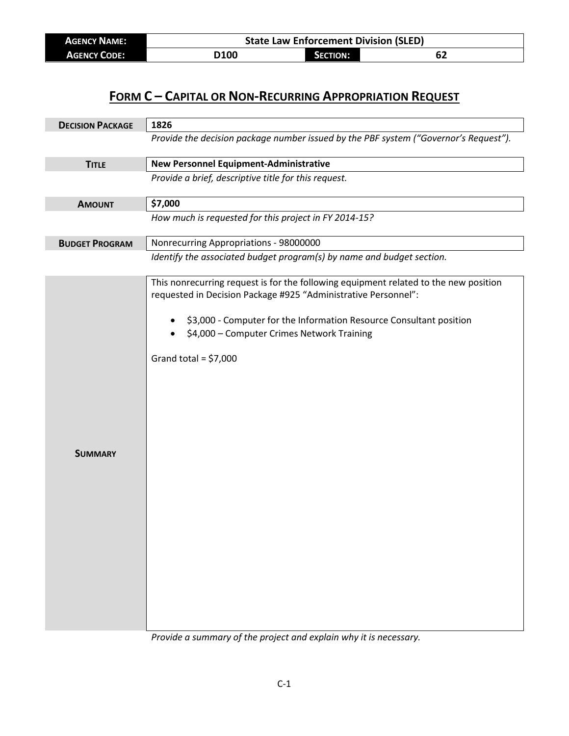| <b>AGENCY NAME:</b> | <b>State Law Enforcement Division (SLED)</b> |                 |    |  |
|---------------------|----------------------------------------------|-----------------|----|--|
| <b>AGENCY CODE:</b> | D100                                         | <b>SECTION:</b> | 62 |  |

| <b>DECISION PACKAGE</b> | 1826                                                                                                                                                                                                                                                                                                  |
|-------------------------|-------------------------------------------------------------------------------------------------------------------------------------------------------------------------------------------------------------------------------------------------------------------------------------------------------|
|                         | Provide the decision package number issued by the PBF system ("Governor's Request").                                                                                                                                                                                                                  |
| <b>TITLE</b>            | <b>New Personnel Equipment-Administrative</b>                                                                                                                                                                                                                                                         |
|                         | Provide a brief, descriptive title for this request.                                                                                                                                                                                                                                                  |
| <b>AMOUNT</b>           | \$7,000                                                                                                                                                                                                                                                                                               |
|                         | How much is requested for this project in FY 2014-15?                                                                                                                                                                                                                                                 |
| <b>BUDGET PROGRAM</b>   | Nonrecurring Appropriations - 98000000                                                                                                                                                                                                                                                                |
|                         | Identify the associated budget program(s) by name and budget section.                                                                                                                                                                                                                                 |
| <b>SUMMARY</b>          | This nonrecurring request is for the following equipment related to the new position<br>requested in Decision Package #925 "Administrative Personnel":<br>\$3,000 - Computer for the Information Resource Consultant position<br>\$4,000 - Computer Crimes Network Training<br>Grand total = $$7,000$ |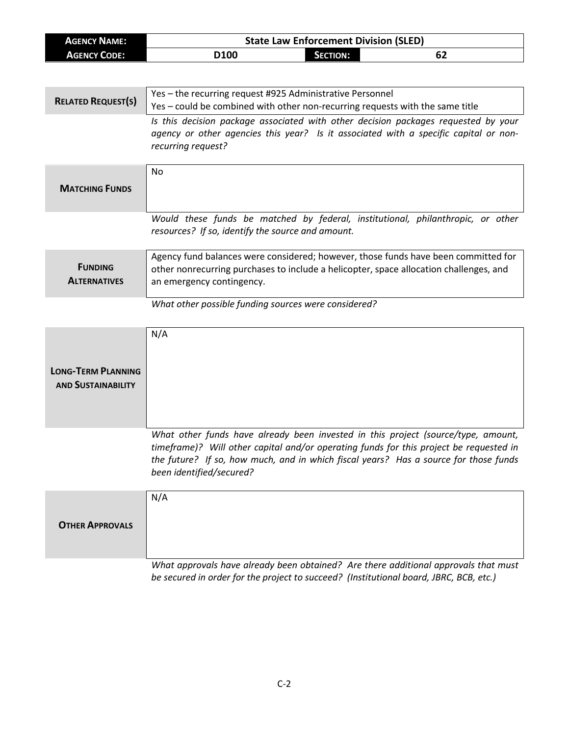| <b>AGENCY NAME:</b>                                    | <b>State Law Enforcement Division (SLED)</b>                                                                                                                                                                                                                                                    |  |  |
|--------------------------------------------------------|-------------------------------------------------------------------------------------------------------------------------------------------------------------------------------------------------------------------------------------------------------------------------------------------------|--|--|
| <b>AGENCY CODE:</b>                                    | D100<br><b>SECTION:</b><br>62                                                                                                                                                                                                                                                                   |  |  |
|                                                        |                                                                                                                                                                                                                                                                                                 |  |  |
| <b>RELATED REQUEST(S)</b>                              | Yes - the recurring request #925 Administrative Personnel<br>Yes - could be combined with other non-recurring requests with the same title                                                                                                                                                      |  |  |
|                                                        | Is this decision package associated with other decision packages requested by your<br>agency or other agencies this year? Is it associated with a specific capital or non-<br>recurring request?                                                                                                |  |  |
| <b>MATCHING FUNDS</b>                                  | <b>No</b>                                                                                                                                                                                                                                                                                       |  |  |
|                                                        | Would these funds be matched by federal, institutional, philanthropic, or other<br>resources? If so, identify the source and amount.                                                                                                                                                            |  |  |
| <b>FUNDING</b><br><b>ALTERNATIVES</b>                  | Agency fund balances were considered; however, those funds have been committed for<br>other nonrecurring purchases to include a helicopter, space allocation challenges, and<br>an emergency contingency.                                                                                       |  |  |
|                                                        | What other possible funding sources were considered?                                                                                                                                                                                                                                            |  |  |
| <b>LONG-TERM PLANNING</b><br><b>AND SUSTAINABILITY</b> | N/A                                                                                                                                                                                                                                                                                             |  |  |
|                                                        | What other funds have already been invested in this project (source/type, amount,<br>timeframe)? Will other capital and/or operating funds for this project be requested in<br>the future? If so, how much, and in which fiscal years? Has a source for those funds<br>been identified/secured? |  |  |
| <b>OTHER APPROVALS</b>                                 | N/A                                                                                                                                                                                                                                                                                             |  |  |
|                                                        | What approvals have already been obtained? Are there additional approvals that must<br>be secured in order for the project to succeed? (Institutional board, JBRC, BCB, etc.)                                                                                                                   |  |  |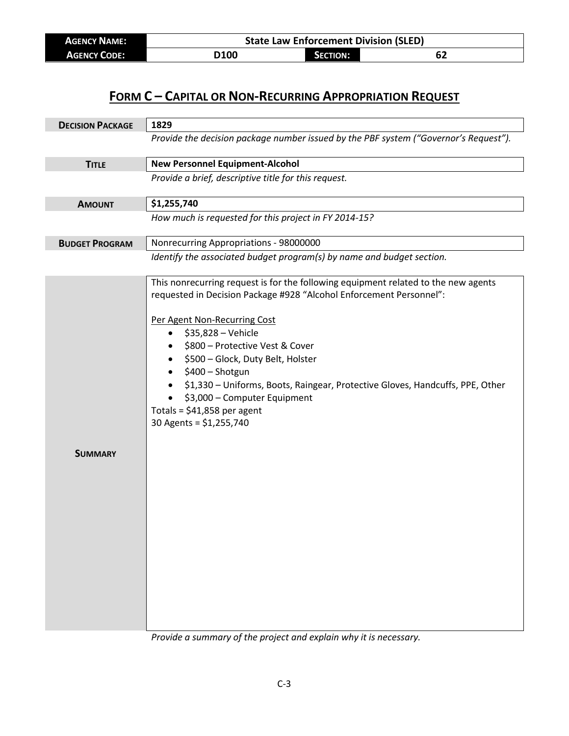| <b>AGENCY NAME:</b> | <b>State Law Enforcement Division (SLED)</b> |                 |    |  |
|---------------------|----------------------------------------------|-----------------|----|--|
| <b>AGENCY CODE:</b> | <b>D100</b>                                  | <b>SECTION:</b> | 62 |  |

| <b>DECISION PACKAGE</b> | 1829                                                                                                                                                                                                                                                                                                                                                                                                                                                                                                |
|-------------------------|-----------------------------------------------------------------------------------------------------------------------------------------------------------------------------------------------------------------------------------------------------------------------------------------------------------------------------------------------------------------------------------------------------------------------------------------------------------------------------------------------------|
|                         | Provide the decision package number issued by the PBF system ("Governor's Request").                                                                                                                                                                                                                                                                                                                                                                                                                |
| <b>TITLE</b>            | <b>New Personnel Equipment-Alcohol</b>                                                                                                                                                                                                                                                                                                                                                                                                                                                              |
|                         | Provide a brief, descriptive title for this request.                                                                                                                                                                                                                                                                                                                                                                                                                                                |
| <b>AMOUNT</b>           | \$1,255,740                                                                                                                                                                                                                                                                                                                                                                                                                                                                                         |
|                         | How much is requested for this project in FY 2014-15?                                                                                                                                                                                                                                                                                                                                                                                                                                               |
| <b>BUDGET PROGRAM</b>   | Nonrecurring Appropriations - 98000000                                                                                                                                                                                                                                                                                                                                                                                                                                                              |
|                         | Identify the associated budget program(s) by name and budget section.                                                                                                                                                                                                                                                                                                                                                                                                                               |
|                         | This nonrecurring request is for the following equipment related to the new agents<br>requested in Decision Package #928 "Alcohol Enforcement Personnel":<br>Per Agent Non-Recurring Cost<br>\$35,828 - Vehicle<br>$\bullet$<br>\$800 - Protective Vest & Cover<br>\$500 - Glock, Duty Belt, Holster<br>\$400 - Shotgun<br>\$1,330 - Uniforms, Boots, Raingear, Protective Gloves, Handcuffs, PPE, Other<br>\$3,000 - Computer Equipment<br>Totals = $$41,858$ per agent<br>30 Agents = \$1,255,740 |
| <b>SUMMARY</b>          |                                                                                                                                                                                                                                                                                                                                                                                                                                                                                                     |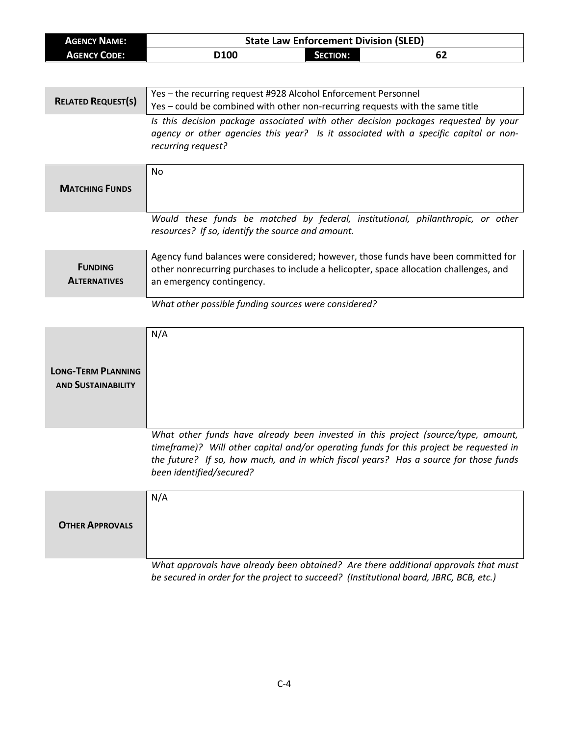| <b>AGENCY NAME:</b>                                    | <b>State Law Enforcement Division (SLED)</b>                                                                                                                                                                                                                                                    |  |  |
|--------------------------------------------------------|-------------------------------------------------------------------------------------------------------------------------------------------------------------------------------------------------------------------------------------------------------------------------------------------------|--|--|
| <b>AGENCY CODE:</b>                                    | D100<br><b>SECTION:</b><br>62                                                                                                                                                                                                                                                                   |  |  |
|                                                        |                                                                                                                                                                                                                                                                                                 |  |  |
| <b>RELATED REQUEST(S)</b>                              | Yes - the recurring request #928 Alcohol Enforcement Personnel<br>Yes - could be combined with other non-recurring requests with the same title                                                                                                                                                 |  |  |
|                                                        | Is this decision package associated with other decision packages requested by your<br>agency or other agencies this year? Is it associated with a specific capital or non-<br>recurring request?                                                                                                |  |  |
| <b>MATCHING FUNDS</b>                                  | <b>No</b>                                                                                                                                                                                                                                                                                       |  |  |
|                                                        | Would these funds be matched by federal, institutional, philanthropic, or other<br>resources? If so, identify the source and amount.                                                                                                                                                            |  |  |
| <b>FUNDING</b><br><b>ALTERNATIVES</b>                  | Agency fund balances were considered; however, those funds have been committed for<br>other nonrecurring purchases to include a helicopter, space allocation challenges, and<br>an emergency contingency.                                                                                       |  |  |
|                                                        | What other possible funding sources were considered?                                                                                                                                                                                                                                            |  |  |
| <b>LONG-TERM PLANNING</b><br><b>AND SUSTAINABILITY</b> | N/A                                                                                                                                                                                                                                                                                             |  |  |
|                                                        | What other funds have already been invested in this project (source/type, amount,<br>timeframe)? Will other capital and/or operating funds for this project be requested in<br>the future? If so, how much, and in which fiscal years? Has a source for those funds<br>been identified/secured? |  |  |
| <b>OTHER APPROVALS</b>                                 | N/A                                                                                                                                                                                                                                                                                             |  |  |
|                                                        | What approvals have already been obtained? Are there additional approvals that must<br>be secured in order for the project to succeed? (Institutional board, JBRC, BCB, etc.)                                                                                                                   |  |  |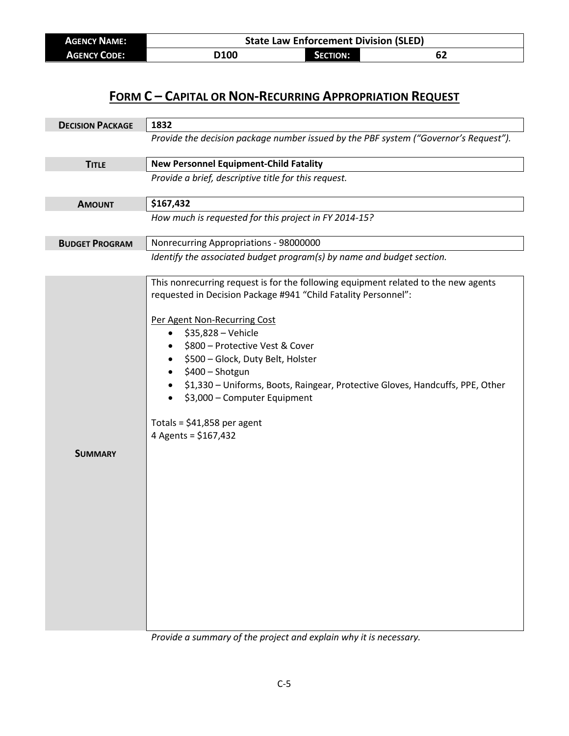| <b>AGENCY NAME:</b> | <b>State Law Enforcement Division (SLED)</b> |                 |    |  |
|---------------------|----------------------------------------------|-----------------|----|--|
| <b>AGENCY CODE:</b> | <b>D100</b>                                  | <b>SECTION:</b> | 62 |  |

| <b>DECISION PACKAGE</b> | 1832                                                                                                                                                                                                                                                                                                                                                                                                                                                                                                     |
|-------------------------|----------------------------------------------------------------------------------------------------------------------------------------------------------------------------------------------------------------------------------------------------------------------------------------------------------------------------------------------------------------------------------------------------------------------------------------------------------------------------------------------------------|
|                         | Provide the decision package number issued by the PBF system ("Governor's Request").                                                                                                                                                                                                                                                                                                                                                                                                                     |
| <b>TITLE</b>            | <b>New Personnel Equipment-Child Fatality</b>                                                                                                                                                                                                                                                                                                                                                                                                                                                            |
|                         | Provide a brief, descriptive title for this request.                                                                                                                                                                                                                                                                                                                                                                                                                                                     |
| <b>AMOUNT</b>           | \$167,432                                                                                                                                                                                                                                                                                                                                                                                                                                                                                                |
|                         | How much is requested for this project in FY 2014-15?                                                                                                                                                                                                                                                                                                                                                                                                                                                    |
| <b>BUDGET PROGRAM</b>   | Nonrecurring Appropriations - 98000000                                                                                                                                                                                                                                                                                                                                                                                                                                                                   |
|                         | Identify the associated budget program(s) by name and budget section.                                                                                                                                                                                                                                                                                                                                                                                                                                    |
| <b>SUMMARY</b>          | This nonrecurring request is for the following equipment related to the new agents<br>requested in Decision Package #941 "Child Fatality Personnel":<br>Per Agent Non-Recurring Cost<br>\$35,828 - Vehicle<br>$\bullet$<br>\$800 - Protective Vest & Cover<br>\$500 - Glock, Duty Belt, Holster<br>$\bullet$<br>\$400 - Shotgun<br>\$1,330 - Uniforms, Boots, Raingear, Protective Gloves, Handcuffs, PPE, Other<br>\$3,000 - Computer Equipment<br>Totals = $$41,858$ per agent<br>4 Agents = \$167,432 |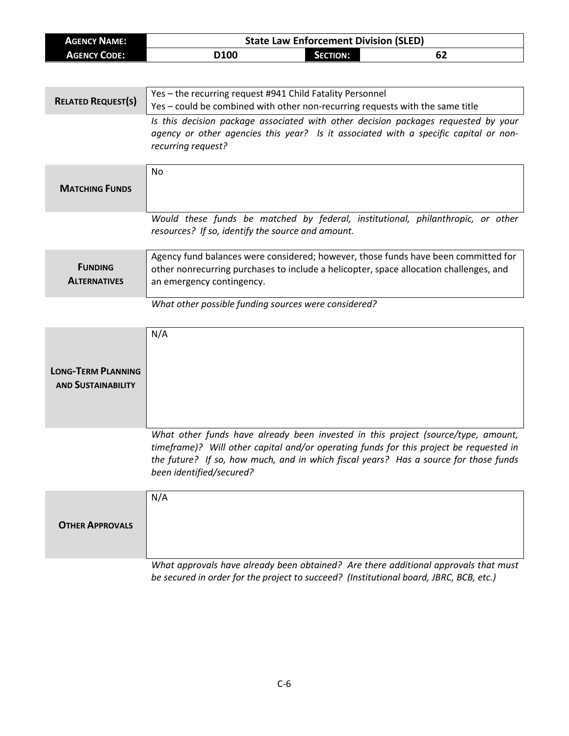| <b>AGENCY NAME:</b>                                    | <b>State Law Enforcement Division (SLED)</b>                                                                                                                                                                                                                                                    |  |  |
|--------------------------------------------------------|-------------------------------------------------------------------------------------------------------------------------------------------------------------------------------------------------------------------------------------------------------------------------------------------------|--|--|
| <b>AGENCY CODE:</b>                                    | D100<br>62<br><b>SECTION:</b>                                                                                                                                                                                                                                                                   |  |  |
|                                                        |                                                                                                                                                                                                                                                                                                 |  |  |
| <b>RELATED REQUEST(S)</b>                              | Yes - the recurring request #941 Child Fatality Personnel<br>Yes - could be combined with other non-recurring requests with the same title                                                                                                                                                      |  |  |
|                                                        | Is this decision package associated with other decision packages requested by your<br>agency or other agencies this year? Is it associated with a specific capital or non-<br>recurring request?                                                                                                |  |  |
| <b>MATCHING FUNDS</b>                                  | No                                                                                                                                                                                                                                                                                              |  |  |
|                                                        | Would these funds be matched by federal, institutional, philanthropic, or other<br>resources? If so, identify the source and amount.                                                                                                                                                            |  |  |
| <b>FUNDING</b><br><b>ALTERNATIVES</b>                  | Agency fund balances were considered; however, those funds have been committed for<br>other nonrecurring purchases to include a helicopter, space allocation challenges, and<br>an emergency contingency.                                                                                       |  |  |
|                                                        | What other possible funding sources were considered?                                                                                                                                                                                                                                            |  |  |
| <b>LONG-TERM PLANNING</b><br><b>AND SUSTAINABILITY</b> | N/A                                                                                                                                                                                                                                                                                             |  |  |
|                                                        | What other funds have already been invested in this project (source/type, amount,<br>timeframe)? Will other capital and/or operating funds for this project be requested in<br>the future? If so, how much, and in which fiscal years? Has a source for those funds<br>been identified/secured? |  |  |
| <b>OTHER APPROVALS</b>                                 | N/A                                                                                                                                                                                                                                                                                             |  |  |
|                                                        | What approvals have already been obtained? Are there additional approvals that must<br>be secured in order for the project to succeed? (Institutional board, JBRC, BCB, etc.)                                                                                                                   |  |  |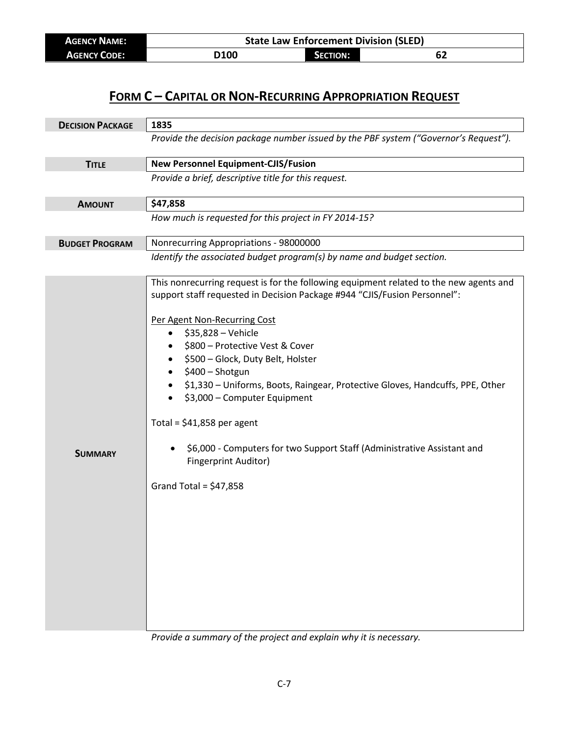| <b>AGENCY NAME:</b> | <b>State Law Enforcement Division (SLED)</b> |                 |    |  |
|---------------------|----------------------------------------------|-----------------|----|--|
| <b>AGENCY CODE:</b> | <b>D100</b>                                  | <b>SECTION:</b> | 62 |  |

| <b>DECISION PACKAGE</b> | 1835                                                                                                                                                                                                                                                                                                                                                                                                                                                                                                                                                                                                            |  |
|-------------------------|-----------------------------------------------------------------------------------------------------------------------------------------------------------------------------------------------------------------------------------------------------------------------------------------------------------------------------------------------------------------------------------------------------------------------------------------------------------------------------------------------------------------------------------------------------------------------------------------------------------------|--|
|                         | Provide the decision package number issued by the PBF system ("Governor's Request").                                                                                                                                                                                                                                                                                                                                                                                                                                                                                                                            |  |
| <b>TITLE</b>            | <b>New Personnel Equipment-CJIS/Fusion</b>                                                                                                                                                                                                                                                                                                                                                                                                                                                                                                                                                                      |  |
|                         | Provide a brief, descriptive title for this request.                                                                                                                                                                                                                                                                                                                                                                                                                                                                                                                                                            |  |
| <b>AMOUNT</b>           | \$47,858                                                                                                                                                                                                                                                                                                                                                                                                                                                                                                                                                                                                        |  |
|                         | How much is requested for this project in FY 2014-15?                                                                                                                                                                                                                                                                                                                                                                                                                                                                                                                                                           |  |
| <b>BUDGET PROGRAM</b>   | Nonrecurring Appropriations - 98000000                                                                                                                                                                                                                                                                                                                                                                                                                                                                                                                                                                          |  |
|                         | Identify the associated budget program(s) by name and budget section.                                                                                                                                                                                                                                                                                                                                                                                                                                                                                                                                           |  |
| <b>SUMMARY</b>          | This nonrecurring request is for the following equipment related to the new agents and<br>support staff requested in Decision Package #944 "CJIS/Fusion Personnel":<br>Per Agent Non-Recurring Cost<br>\$35,828 - Vehicle<br>$\bullet$<br>\$800 - Protective Vest & Cover<br>\$500 - Glock, Duty Belt, Holster<br>\$400 - Shotgun<br>\$1,330 - Uniforms, Boots, Raingear, Protective Gloves, Handcuffs, PPE, Other<br>\$3,000 - Computer Equipment<br>Total = $$41,858$ per agent<br>\$6,000 - Computers for two Support Staff (Administrative Assistant and<br>Fingerprint Auditor)<br>Grand Total = $$47,858$ |  |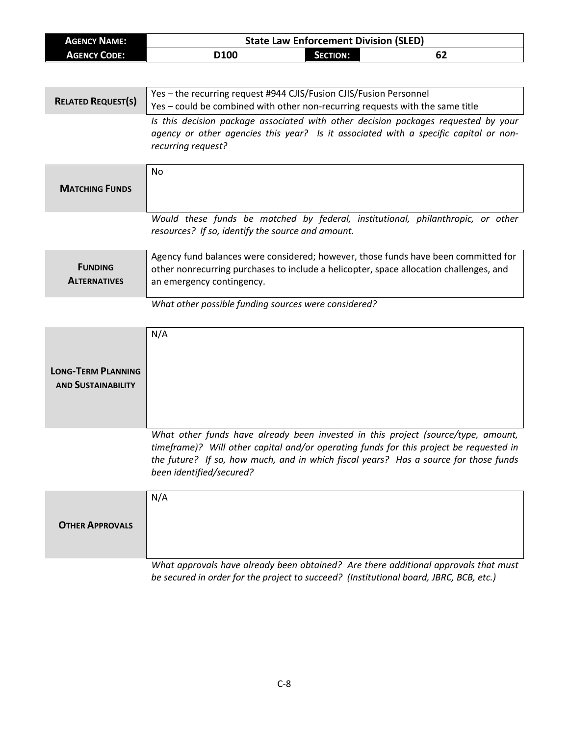| <b>AGENCY NAME:</b>       | <b>State Law Enforcement Division (SLED)</b>                                                                                                                                 |  |  |
|---------------------------|------------------------------------------------------------------------------------------------------------------------------------------------------------------------------|--|--|
| <b>AGENCY CODE:</b>       | D100<br><b>SECTION:</b><br>62                                                                                                                                                |  |  |
|                           |                                                                                                                                                                              |  |  |
|                           | Yes - the recurring request #944 CJIS/Fusion CJIS/Fusion Personnel                                                                                                           |  |  |
| <b>RELATED REQUEST(S)</b> | Yes - could be combined with other non-recurring requests with the same title                                                                                                |  |  |
|                           | Is this decision package associated with other decision packages requested by your                                                                                           |  |  |
|                           | agency or other agencies this year? Is it associated with a specific capital or non-                                                                                         |  |  |
|                           | recurring request?                                                                                                                                                           |  |  |
|                           |                                                                                                                                                                              |  |  |
|                           | <b>No</b>                                                                                                                                                                    |  |  |
| <b>MATCHING FUNDS</b>     |                                                                                                                                                                              |  |  |
|                           |                                                                                                                                                                              |  |  |
|                           | Would these funds be matched by federal, institutional, philanthropic, or other                                                                                              |  |  |
|                           | resources? If so, identify the source and amount.                                                                                                                            |  |  |
|                           |                                                                                                                                                                              |  |  |
| <b>FUNDING</b>            | Agency fund balances were considered; however, those funds have been committed for<br>other nonrecurring purchases to include a helicopter, space allocation challenges, and |  |  |
| <b>ALTERNATIVES</b>       | an emergency contingency.                                                                                                                                                    |  |  |
|                           |                                                                                                                                                                              |  |  |
|                           | What other possible funding sources were considered?                                                                                                                         |  |  |
|                           |                                                                                                                                                                              |  |  |
|                           | N/A                                                                                                                                                                          |  |  |
|                           |                                                                                                                                                                              |  |  |
| <b>LONG-TERM PLANNING</b> |                                                                                                                                                                              |  |  |
| <b>AND SUSTAINABILITY</b> |                                                                                                                                                                              |  |  |
|                           |                                                                                                                                                                              |  |  |
|                           |                                                                                                                                                                              |  |  |
|                           |                                                                                                                                                                              |  |  |
|                           | What other funds have already been invested in this project (source/type, amount,                                                                                            |  |  |
|                           | timeframe)? Will other capital and/or operating funds for this project be requested in                                                                                       |  |  |
|                           | the future? If so, how much, and in which fiscal years? Has a source for those funds<br>been identified/secured?                                                             |  |  |
|                           |                                                                                                                                                                              |  |  |
|                           | N/A                                                                                                                                                                          |  |  |
|                           |                                                                                                                                                                              |  |  |
| <b>OTHER APPROVALS</b>    |                                                                                                                                                                              |  |  |
|                           |                                                                                                                                                                              |  |  |
|                           |                                                                                                                                                                              |  |  |
|                           | What approvals have already been obtained? Are there additional approvals that must                                                                                          |  |  |
|                           | be secured in order for the project to succeed? (Institutional board, JBRC, BCB, etc.)                                                                                       |  |  |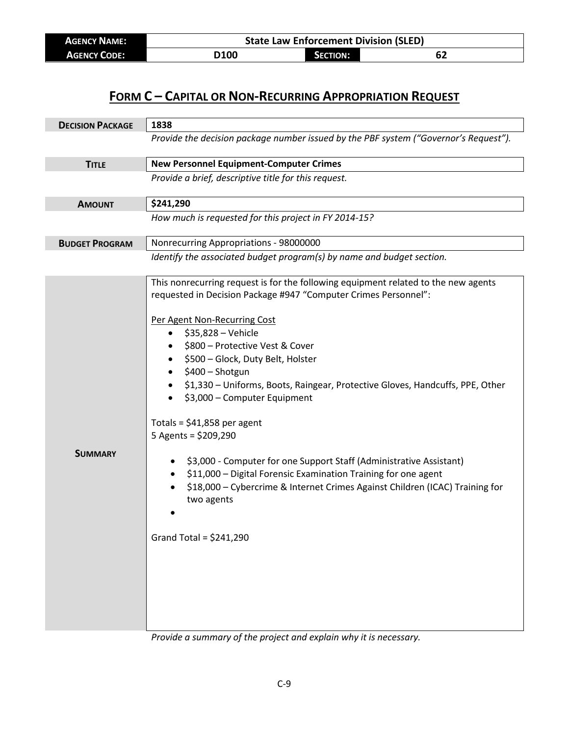| <b>AGENCY NAME:</b> | <b>State Law Enforcement Division (SLED)</b> |                 |    |  |
|---------------------|----------------------------------------------|-----------------|----|--|
| <b>AGENCY CODE:</b> | <b>D100</b>                                  | <b>SECTION:</b> | 62 |  |

| <b>DECISION PACKAGE</b> | 1838                                                                                                                                                                                                                                                                                                                                                                                                                                                                                                                                                                                                                                                                                                                                                                         |  |
|-------------------------|------------------------------------------------------------------------------------------------------------------------------------------------------------------------------------------------------------------------------------------------------------------------------------------------------------------------------------------------------------------------------------------------------------------------------------------------------------------------------------------------------------------------------------------------------------------------------------------------------------------------------------------------------------------------------------------------------------------------------------------------------------------------------|--|
|                         | Provide the decision package number issued by the PBF system ("Governor's Request").                                                                                                                                                                                                                                                                                                                                                                                                                                                                                                                                                                                                                                                                                         |  |
| <b>TITLE</b>            | <b>New Personnel Equipment-Computer Crimes</b>                                                                                                                                                                                                                                                                                                                                                                                                                                                                                                                                                                                                                                                                                                                               |  |
|                         | Provide a brief, descriptive title for this request.                                                                                                                                                                                                                                                                                                                                                                                                                                                                                                                                                                                                                                                                                                                         |  |
| <b>AMOUNT</b>           | \$241,290                                                                                                                                                                                                                                                                                                                                                                                                                                                                                                                                                                                                                                                                                                                                                                    |  |
|                         | How much is requested for this project in FY 2014-15?                                                                                                                                                                                                                                                                                                                                                                                                                                                                                                                                                                                                                                                                                                                        |  |
| <b>BUDGET PROGRAM</b>   | Nonrecurring Appropriations - 98000000                                                                                                                                                                                                                                                                                                                                                                                                                                                                                                                                                                                                                                                                                                                                       |  |
|                         | Identify the associated budget program(s) by name and budget section.                                                                                                                                                                                                                                                                                                                                                                                                                                                                                                                                                                                                                                                                                                        |  |
| <b>SUMMARY</b>          | This nonrecurring request is for the following equipment related to the new agents<br>requested in Decision Package #947 "Computer Crimes Personnel":<br>Per Agent Non-Recurring Cost<br>\$35,828 - Vehicle<br>$\bullet$<br>\$800 - Protective Vest & Cover<br>\$500 - Glock, Duty Belt, Holster<br>$\bullet$<br>\$400 - Shotgun<br>\$1,330 - Uniforms, Boots, Raingear, Protective Gloves, Handcuffs, PPE, Other<br>\$3,000 - Computer Equipment<br>Totals = $$41,858$ per agent<br>5 Agents = \$209,290<br>\$3,000 - Computer for one Support Staff (Administrative Assistant)<br>\$11,000 - Digital Forensic Examination Training for one agent<br>\$18,000 - Cybercrime & Internet Crimes Against Children (ICAC) Training for<br>two agents<br>Grand Total = $$241,290$ |  |

*Provide a summary of the project and explain why it is necessary.*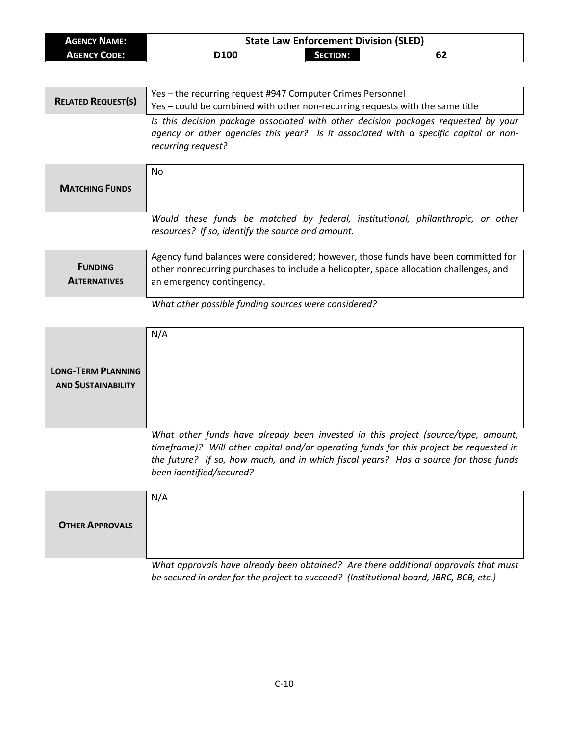| <b>AGENCY NAME:</b>       | <b>State Law Enforcement Division (SLED)</b>                                                                                                                               |  |  |
|---------------------------|----------------------------------------------------------------------------------------------------------------------------------------------------------------------------|--|--|
| <b>AGENCY CODE:</b>       | D100<br><b>SECTION:</b><br>62                                                                                                                                              |  |  |
|                           |                                                                                                                                                                            |  |  |
|                           |                                                                                                                                                                            |  |  |
| <b>RELATED REQUEST(S)</b> | Yes - the recurring request #947 Computer Crimes Personnel<br>Yes - could be combined with other non-recurring requests with the same title                                |  |  |
|                           |                                                                                                                                                                            |  |  |
|                           | Is this decision package associated with other decision packages requested by your<br>agency or other agencies this year? Is it associated with a specific capital or non- |  |  |
|                           | recurring request?                                                                                                                                                         |  |  |
|                           |                                                                                                                                                                            |  |  |
|                           | No                                                                                                                                                                         |  |  |
| <b>MATCHING FUNDS</b>     |                                                                                                                                                                            |  |  |
|                           |                                                                                                                                                                            |  |  |
|                           | Would these funds be matched by federal, institutional, philanthropic, or other                                                                                            |  |  |
|                           | resources? If so, identify the source and amount.                                                                                                                          |  |  |
|                           |                                                                                                                                                                            |  |  |
|                           | Agency fund balances were considered; however, those funds have been committed for                                                                                         |  |  |
| <b>FUNDING</b>            | other nonrecurring purchases to include a helicopter, space allocation challenges, and                                                                                     |  |  |
| <b>ALTERNATIVES</b>       | an emergency contingency.                                                                                                                                                  |  |  |
|                           |                                                                                                                                                                            |  |  |
|                           | What other possible funding sources were considered?                                                                                                                       |  |  |
|                           |                                                                                                                                                                            |  |  |
|                           | N/A                                                                                                                                                                        |  |  |
|                           |                                                                                                                                                                            |  |  |
| <b>LONG-TERM PLANNING</b> |                                                                                                                                                                            |  |  |
| <b>AND SUSTAINABILITY</b> |                                                                                                                                                                            |  |  |
|                           |                                                                                                                                                                            |  |  |
|                           |                                                                                                                                                                            |  |  |
|                           |                                                                                                                                                                            |  |  |
|                           | What other funds have already been invested in this project (source/type, amount,                                                                                          |  |  |
|                           | timeframe)? Will other capital and/or operating funds for this project be requested in                                                                                     |  |  |
|                           | the future? If so, how much, and in which fiscal years? Has a source for those funds                                                                                       |  |  |
|                           | been identified/secured?                                                                                                                                                   |  |  |
|                           | N/A                                                                                                                                                                        |  |  |
|                           |                                                                                                                                                                            |  |  |
| <b>OTHER APPROVALS</b>    |                                                                                                                                                                            |  |  |
|                           |                                                                                                                                                                            |  |  |
|                           |                                                                                                                                                                            |  |  |
|                           | What approvals have already been obtained? Are there additional approvals that must                                                                                        |  |  |
|                           | be secured in order for the project to succeed? (Institutional board, JBRC, BCB, etc.)                                                                                     |  |  |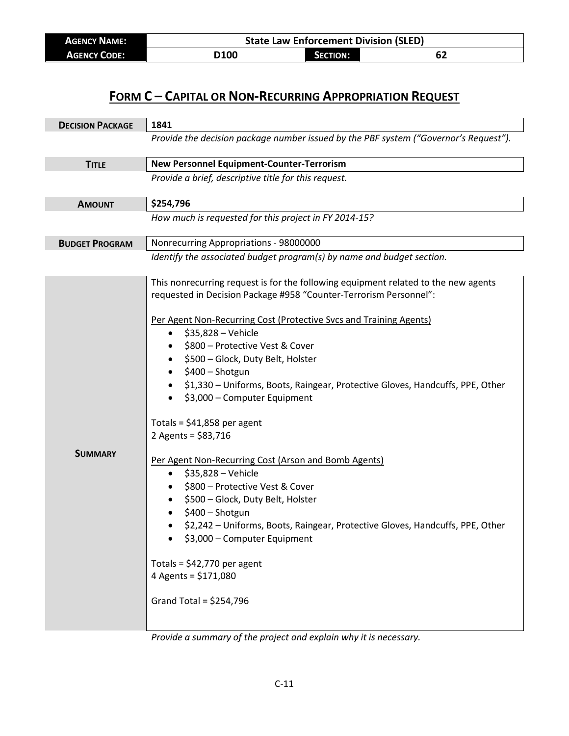| <b>AGENCY NAME:</b> | <b>State Law Enforcement Division (SLED)</b> |                 |    |  |
|---------------------|----------------------------------------------|-----------------|----|--|
| <b>AGENCY CODE:</b> | <b>D100</b>                                  | <b>SECTION:</b> | 62 |  |

| <b>DECISION PACKAGE</b> | 1841                                                                                                                                                                                                                                                                                                                                                                                                                                                                                                                                                                                                                                                                                                                                                                                                                                                                                                                                              |  |
|-------------------------|---------------------------------------------------------------------------------------------------------------------------------------------------------------------------------------------------------------------------------------------------------------------------------------------------------------------------------------------------------------------------------------------------------------------------------------------------------------------------------------------------------------------------------------------------------------------------------------------------------------------------------------------------------------------------------------------------------------------------------------------------------------------------------------------------------------------------------------------------------------------------------------------------------------------------------------------------|--|
|                         | Provide the decision package number issued by the PBF system ("Governor's Request").                                                                                                                                                                                                                                                                                                                                                                                                                                                                                                                                                                                                                                                                                                                                                                                                                                                              |  |
| <b>TITLE</b>            | <b>New Personnel Equipment-Counter-Terrorism</b>                                                                                                                                                                                                                                                                                                                                                                                                                                                                                                                                                                                                                                                                                                                                                                                                                                                                                                  |  |
|                         | Provide a brief, descriptive title for this request.                                                                                                                                                                                                                                                                                                                                                                                                                                                                                                                                                                                                                                                                                                                                                                                                                                                                                              |  |
| <b>AMOUNT</b>           | \$254,796                                                                                                                                                                                                                                                                                                                                                                                                                                                                                                                                                                                                                                                                                                                                                                                                                                                                                                                                         |  |
|                         | How much is requested for this project in FY 2014-15?                                                                                                                                                                                                                                                                                                                                                                                                                                                                                                                                                                                                                                                                                                                                                                                                                                                                                             |  |
| <b>BUDGET PROGRAM</b>   | Nonrecurring Appropriations - 98000000                                                                                                                                                                                                                                                                                                                                                                                                                                                                                                                                                                                                                                                                                                                                                                                                                                                                                                            |  |
|                         | Identify the associated budget program(s) by name and budget section.                                                                                                                                                                                                                                                                                                                                                                                                                                                                                                                                                                                                                                                                                                                                                                                                                                                                             |  |
| <b>SUMMARY</b>          | This nonrecurring request is for the following equipment related to the new agents<br>requested in Decision Package #958 "Counter-Terrorism Personnel":<br>Per Agent Non-Recurring Cost (Protective Svcs and Training Agents)<br>\$35,828 - Vehicle<br>$\bullet$<br>\$800 - Protective Vest & Cover<br>\$500 - Glock, Duty Belt, Holster<br>٠<br>\$400 - Shotgun<br>$\bullet$<br>\$1,330 - Uniforms, Boots, Raingear, Protective Gloves, Handcuffs, PPE, Other<br>\$3,000 - Computer Equipment<br>Totals = $$41,858$ per agent<br>2 Agents = $$83,716$<br>Per Agent Non-Recurring Cost (Arson and Bomb Agents)<br>\$35,828 - Vehicle<br>$\bullet$<br>\$800 - Protective Vest & Cover<br>\$500 - Glock, Duty Belt, Holster<br>\$400 - Shotgun<br>\$2,242 - Uniforms, Boots, Raingear, Protective Gloves, Handcuffs, PPE, Other<br>\$3,000 - Computer Equipment<br>Totals = $$42,770$ per agent<br>4 Agents = \$171,080<br>Grand Total = $$254,796$ |  |

*Provide a summary of the project and explain why it is necessary.*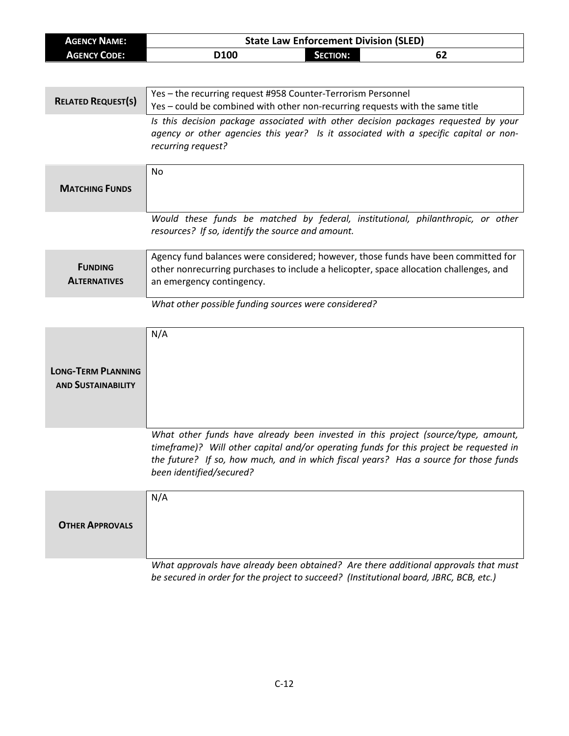| <b>AGENCY NAME:</b>       | <b>State Law Enforcement Division (SLED)</b>                                           |  |  |
|---------------------------|----------------------------------------------------------------------------------------|--|--|
| <b>AGENCY CODE:</b>       | D100<br><b>SECTION:</b><br>62                                                          |  |  |
|                           |                                                                                        |  |  |
|                           | Yes - the recurring request #958 Counter-Terrorism Personnel                           |  |  |
| <b>RELATED REQUEST(S)</b> | Yes - could be combined with other non-recurring requests with the same title          |  |  |
|                           | Is this decision package associated with other decision packages requested by your     |  |  |
|                           | agency or other agencies this year? Is it associated with a specific capital or non-   |  |  |
|                           | recurring request?                                                                     |  |  |
|                           |                                                                                        |  |  |
|                           | No                                                                                     |  |  |
| <b>MATCHING FUNDS</b>     |                                                                                        |  |  |
|                           |                                                                                        |  |  |
|                           | Would these funds be matched by federal, institutional, philanthropic, or other        |  |  |
|                           | resources? If so, identify the source and amount.                                      |  |  |
|                           | Agency fund balances were considered; however, those funds have been committed for     |  |  |
| <b>FUNDING</b>            | other nonrecurring purchases to include a helicopter, space allocation challenges, and |  |  |
| <b>ALTERNATIVES</b>       | an emergency contingency.                                                              |  |  |
|                           | What other possible funding sources were considered?                                   |  |  |
|                           |                                                                                        |  |  |
|                           | N/A                                                                                    |  |  |
|                           |                                                                                        |  |  |
|                           |                                                                                        |  |  |
| <b>LONG-TERM PLANNING</b> |                                                                                        |  |  |
| <b>AND SUSTAINABILITY</b> |                                                                                        |  |  |
|                           |                                                                                        |  |  |
|                           |                                                                                        |  |  |
|                           | What other funds have already been invested in this project (source/type, amount,      |  |  |
|                           | timeframe)? Will other capital and/or operating funds for this project be requested in |  |  |
|                           | the future? If so, how much, and in which fiscal years? Has a source for those funds   |  |  |
|                           | been identified/secured?                                                               |  |  |
|                           | N/A                                                                                    |  |  |
|                           |                                                                                        |  |  |
| <b>OTHER APPROVALS</b>    |                                                                                        |  |  |
|                           |                                                                                        |  |  |
|                           |                                                                                        |  |  |
|                           | What approvals have already been obtained? Are there additional approvals that must    |  |  |
|                           | be secured in order for the project to succeed? (Institutional board, JBRC, BCB, etc.) |  |  |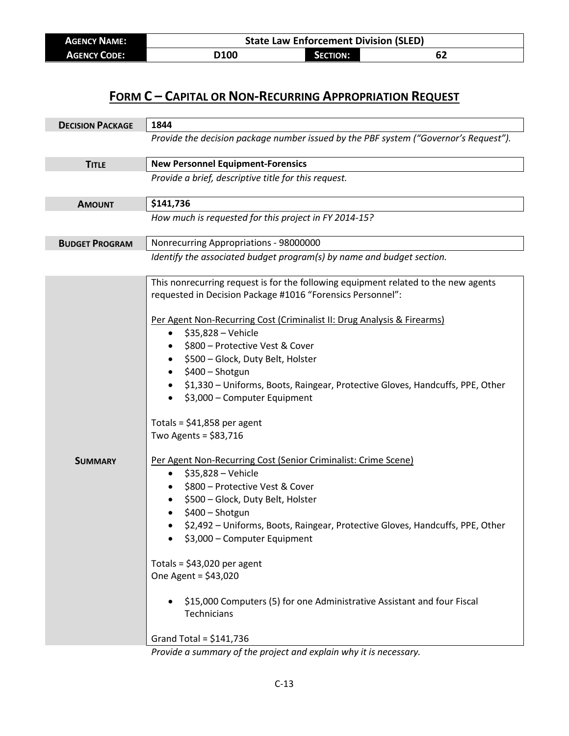| <b>AGENCY NAME:</b> | <b>State Law Enforcement Division (SLED)</b> |                 |    |
|---------------------|----------------------------------------------|-----------------|----|
| <b>AGENCY CODE:</b> | D100                                         | <b>SECTION:</b> | ОZ |

| <b>DECISION PACKAGE</b> | 1844                                                                                                                                                                                                                                                                                                                                                                                                                                                                                                                                                                                                                                                                                                                                                                                                                                                                                                                                                                                                                                              |  |
|-------------------------|---------------------------------------------------------------------------------------------------------------------------------------------------------------------------------------------------------------------------------------------------------------------------------------------------------------------------------------------------------------------------------------------------------------------------------------------------------------------------------------------------------------------------------------------------------------------------------------------------------------------------------------------------------------------------------------------------------------------------------------------------------------------------------------------------------------------------------------------------------------------------------------------------------------------------------------------------------------------------------------------------------------------------------------------------|--|
|                         | Provide the decision package number issued by the PBF system ("Governor's Request").                                                                                                                                                                                                                                                                                                                                                                                                                                                                                                                                                                                                                                                                                                                                                                                                                                                                                                                                                              |  |
| <b>TITLE</b>            | <b>New Personnel Equipment-Forensics</b>                                                                                                                                                                                                                                                                                                                                                                                                                                                                                                                                                                                                                                                                                                                                                                                                                                                                                                                                                                                                          |  |
|                         | Provide a brief, descriptive title for this request.                                                                                                                                                                                                                                                                                                                                                                                                                                                                                                                                                                                                                                                                                                                                                                                                                                                                                                                                                                                              |  |
| <b>AMOUNT</b>           | \$141,736                                                                                                                                                                                                                                                                                                                                                                                                                                                                                                                                                                                                                                                                                                                                                                                                                                                                                                                                                                                                                                         |  |
|                         | How much is requested for this project in FY 2014-15?                                                                                                                                                                                                                                                                                                                                                                                                                                                                                                                                                                                                                                                                                                                                                                                                                                                                                                                                                                                             |  |
| <b>BUDGET PROGRAM</b>   | Nonrecurring Appropriations - 98000000                                                                                                                                                                                                                                                                                                                                                                                                                                                                                                                                                                                                                                                                                                                                                                                                                                                                                                                                                                                                            |  |
|                         | Identify the associated budget program(s) by name and budget section.                                                                                                                                                                                                                                                                                                                                                                                                                                                                                                                                                                                                                                                                                                                                                                                                                                                                                                                                                                             |  |
| <b>SUMMARY</b>          | This nonrecurring request is for the following equipment related to the new agents<br>requested in Decision Package #1016 "Forensics Personnel":<br>Per Agent Non-Recurring Cost (Criminalist II: Drug Analysis & Firearms)<br>\$35,828 - Vehicle<br>$\bullet$<br>\$800 - Protective Vest & Cover<br>\$500 - Glock, Duty Belt, Holster<br>\$400 - Shotgun<br>$\bullet$<br>\$1,330 - Uniforms, Boots, Raingear, Protective Gloves, Handcuffs, PPE, Other<br>\$3,000 - Computer Equipment<br>Totals = $$41,858$ per agent<br>Two Agents = $$83,716$<br>Per Agent Non-Recurring Cost (Senior Criminalist: Crime Scene)<br>\$35,828 - Vehicle<br>$\bullet$<br>\$800 - Protective Vest & Cover<br>\$500 - Glock, Duty Belt, Holster<br>\$400 - Shotgun<br>\$2,492 - Uniforms, Boots, Raingear, Protective Gloves, Handcuffs, PPE, Other<br>\$3,000 - Computer Equipment<br>Totals = $$43,020$ per agent<br>One Agent = $$43,020$<br>\$15,000 Computers (5) for one Administrative Assistant and four Fiscal<br>Technicians<br>Grand Total = $$141,736$ |  |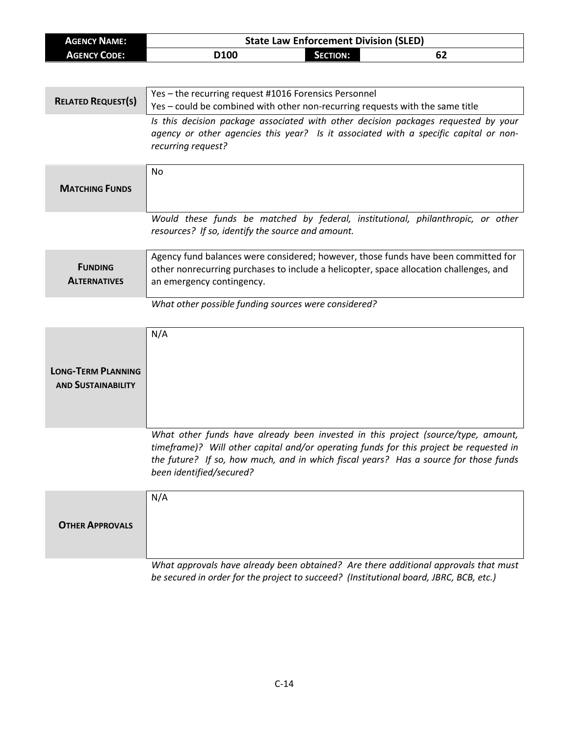| <b>AGENCY NAME:</b>                                    | <b>State Law Enforcement Division (SLED)</b>                                                                                                                                                                                                                                                    |  |  |
|--------------------------------------------------------|-------------------------------------------------------------------------------------------------------------------------------------------------------------------------------------------------------------------------------------------------------------------------------------------------|--|--|
| <b>AGENCY CODE:</b>                                    | D100<br>62<br><b>SECTION:</b>                                                                                                                                                                                                                                                                   |  |  |
|                                                        |                                                                                                                                                                                                                                                                                                 |  |  |
| <b>RELATED REQUEST(S)</b>                              | Yes - the recurring request #1016 Forensics Personnel<br>Yes - could be combined with other non-recurring requests with the same title                                                                                                                                                          |  |  |
|                                                        | Is this decision package associated with other decision packages requested by your<br>agency or other agencies this year? Is it associated with a specific capital or non-<br>recurring request?                                                                                                |  |  |
| <b>MATCHING FUNDS</b>                                  | No                                                                                                                                                                                                                                                                                              |  |  |
|                                                        | Would these funds be matched by federal, institutional, philanthropic, or other<br>resources? If so, identify the source and amount.                                                                                                                                                            |  |  |
| <b>FUNDING</b><br><b>ALTERNATIVES</b>                  | Agency fund balances were considered; however, those funds have been committed for<br>other nonrecurring purchases to include a helicopter, space allocation challenges, and<br>an emergency contingency.                                                                                       |  |  |
|                                                        | What other possible funding sources were considered?                                                                                                                                                                                                                                            |  |  |
| <b>LONG-TERM PLANNING</b><br><b>AND SUSTAINABILITY</b> | N/A                                                                                                                                                                                                                                                                                             |  |  |
|                                                        | What other funds have already been invested in this project (source/type, amount,<br>timeframe)? Will other capital and/or operating funds for this project be requested in<br>the future? If so, how much, and in which fiscal years? Has a source for those funds<br>been identified/secured? |  |  |
| <b>OTHER APPROVALS</b>                                 | N/A                                                                                                                                                                                                                                                                                             |  |  |
|                                                        | What approvals have already been obtained? Are there additional approvals that must<br>be secured in order for the project to succeed? (Institutional board, JBRC, BCB, etc.)                                                                                                                   |  |  |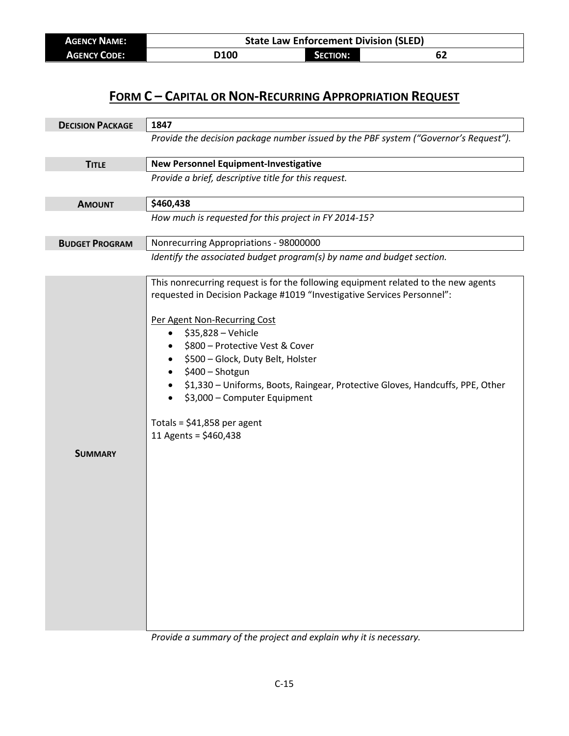| <b>AGENCY NAME:</b> | <b>State Law Enforcement Division (SLED)</b> |                 |    |  |
|---------------------|----------------------------------------------|-----------------|----|--|
| <b>AGENCY CODE:</b> | <b>D100</b>                                  | <b>SECTION:</b> | 62 |  |

| <b>DECISION PACKAGE</b> | 1847                                                                                                                                                                                                                                                                                                                                                                                                                                                                                                  |
|-------------------------|-------------------------------------------------------------------------------------------------------------------------------------------------------------------------------------------------------------------------------------------------------------------------------------------------------------------------------------------------------------------------------------------------------------------------------------------------------------------------------------------------------|
|                         | Provide the decision package number issued by the PBF system ("Governor's Request").                                                                                                                                                                                                                                                                                                                                                                                                                  |
| <b>TITLE</b>            | <b>New Personnel Equipment-Investigative</b>                                                                                                                                                                                                                                                                                                                                                                                                                                                          |
|                         | Provide a brief, descriptive title for this request.                                                                                                                                                                                                                                                                                                                                                                                                                                                  |
| <b>AMOUNT</b>           | \$460,438                                                                                                                                                                                                                                                                                                                                                                                                                                                                                             |
|                         | How much is requested for this project in FY 2014-15?                                                                                                                                                                                                                                                                                                                                                                                                                                                 |
| <b>BUDGET PROGRAM</b>   | Nonrecurring Appropriations - 98000000                                                                                                                                                                                                                                                                                                                                                                                                                                                                |
|                         | Identify the associated budget program(s) by name and budget section.                                                                                                                                                                                                                                                                                                                                                                                                                                 |
| <b>SUMMARY</b>          | This nonrecurring request is for the following equipment related to the new agents<br>requested in Decision Package #1019 "Investigative Services Personnel":<br>Per Agent Non-Recurring Cost<br>\$35,828 - Vehicle<br>$\bullet$<br>\$800 - Protective Vest & Cover<br>\$500 - Glock, Duty Belt, Holster<br>\$400 - Shotgun<br>\$1,330 - Uniforms, Boots, Raingear, Protective Gloves, Handcuffs, PPE, Other<br>\$3,000 - Computer Equipment<br>Totals = $$41,858$ per agent<br>11 Agents = \$460,438 |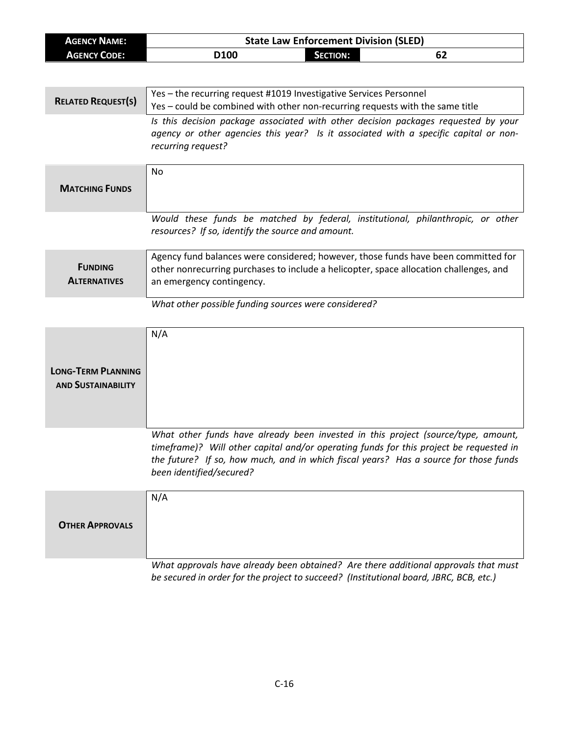| <b>AGENCY NAME:</b>                                    | <b>State Law Enforcement Division (SLED)</b>                                                                                                                                                                                                                                                    |  |  |
|--------------------------------------------------------|-------------------------------------------------------------------------------------------------------------------------------------------------------------------------------------------------------------------------------------------------------------------------------------------------|--|--|
| <b>AGENCY CODE:</b>                                    | D100<br><b>SECTION:</b><br>62                                                                                                                                                                                                                                                                   |  |  |
|                                                        |                                                                                                                                                                                                                                                                                                 |  |  |
| <b>RELATED REQUEST(S)</b>                              | Yes - the recurring request #1019 Investigative Services Personnel<br>Yes - could be combined with other non-recurring requests with the same title                                                                                                                                             |  |  |
|                                                        | Is this decision package associated with other decision packages requested by your<br>agency or other agencies this year? Is it associated with a specific capital or non-<br>recurring request?                                                                                                |  |  |
| <b>MATCHING FUNDS</b>                                  | No                                                                                                                                                                                                                                                                                              |  |  |
|                                                        | Would these funds be matched by federal, institutional, philanthropic, or other<br>resources? If so, identify the source and amount.                                                                                                                                                            |  |  |
| <b>FUNDING</b><br><b>ALTERNATIVES</b>                  | Agency fund balances were considered; however, those funds have been committed for<br>other nonrecurring purchases to include a helicopter, space allocation challenges, and<br>an emergency contingency.                                                                                       |  |  |
|                                                        | What other possible funding sources were considered?                                                                                                                                                                                                                                            |  |  |
| <b>LONG-TERM PLANNING</b><br><b>AND SUSTAINABILITY</b> | N/A                                                                                                                                                                                                                                                                                             |  |  |
|                                                        | What other funds have already been invested in this project (source/type, amount,<br>timeframe)? Will other capital and/or operating funds for this project be requested in<br>the future? If so, how much, and in which fiscal years? Has a source for those funds<br>been identified/secured? |  |  |
| <b>OTHER APPROVALS</b>                                 | N/A                                                                                                                                                                                                                                                                                             |  |  |
|                                                        | What approvals have already been obtained? Are there additional approvals that must<br>be secured in order for the project to succeed? (Institutional board, JBRC, BCB, etc.)                                                                                                                   |  |  |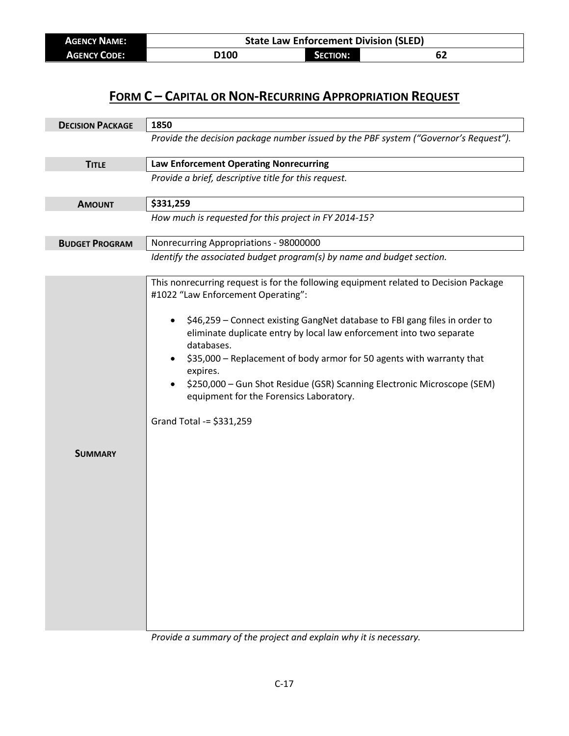| <b>AGENCY NAME:</b> | <b>State Law Enforcement Division (SLED)</b> |                 |    |  |
|---------------------|----------------------------------------------|-----------------|----|--|
| <b>AGENCY CODE:</b> | D100                                         | <b>SECTION:</b> | 62 |  |

| <b>DECISION PACKAGE</b> | 1850                                                                                                                                                                                                                                                                                                                                                                                                                                                                                                                                  |  |
|-------------------------|---------------------------------------------------------------------------------------------------------------------------------------------------------------------------------------------------------------------------------------------------------------------------------------------------------------------------------------------------------------------------------------------------------------------------------------------------------------------------------------------------------------------------------------|--|
|                         | Provide the decision package number issued by the PBF system ("Governor's Request").                                                                                                                                                                                                                                                                                                                                                                                                                                                  |  |
| <b>TITLE</b>            | <b>Law Enforcement Operating Nonrecurring</b>                                                                                                                                                                                                                                                                                                                                                                                                                                                                                         |  |
|                         | Provide a brief, descriptive title for this request.                                                                                                                                                                                                                                                                                                                                                                                                                                                                                  |  |
| <b>AMOUNT</b>           | \$331,259                                                                                                                                                                                                                                                                                                                                                                                                                                                                                                                             |  |
|                         | How much is requested for this project in FY 2014-15?                                                                                                                                                                                                                                                                                                                                                                                                                                                                                 |  |
| <b>BUDGET PROGRAM</b>   | Nonrecurring Appropriations - 98000000                                                                                                                                                                                                                                                                                                                                                                                                                                                                                                |  |
|                         | Identify the associated budget program(s) by name and budget section.                                                                                                                                                                                                                                                                                                                                                                                                                                                                 |  |
|                         | This nonrecurring request is for the following equipment related to Decision Package<br>#1022 "Law Enforcement Operating":<br>\$46,259 - Connect existing GangNet database to FBI gang files in order to<br>eliminate duplicate entry by local law enforcement into two separate<br>databases.<br>\$35,000 - Replacement of body armor for 50 agents with warranty that<br>expires.<br>\$250,000 - Gun Shot Residue (GSR) Scanning Electronic Microscope (SEM)<br>equipment for the Forensics Laboratory.<br>Grand Total -= \$331,259 |  |
| <b>SUMMARY</b>          |                                                                                                                                                                                                                                                                                                                                                                                                                                                                                                                                       |  |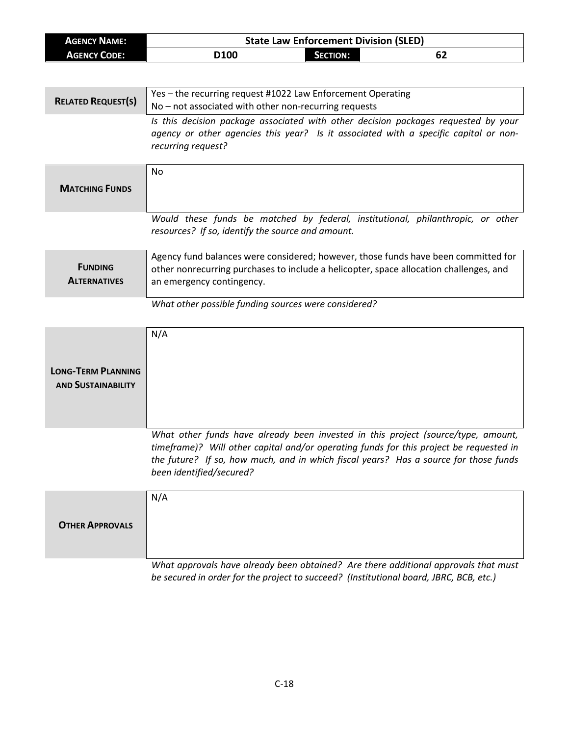| <b>AGENCY NAME:</b>       | <b>State Law Enforcement Division (SLED)</b>                                                                                                                               |  |  |
|---------------------------|----------------------------------------------------------------------------------------------------------------------------------------------------------------------------|--|--|
| <b>AGENCY CODE:</b>       | D100<br><b>SECTION:</b><br>62                                                                                                                                              |  |  |
|                           |                                                                                                                                                                            |  |  |
|                           |                                                                                                                                                                            |  |  |
| <b>RELATED REQUEST(S)</b> | Yes - the recurring request #1022 Law Enforcement Operating                                                                                                                |  |  |
|                           | No - not associated with other non-recurring requests                                                                                                                      |  |  |
|                           | Is this decision package associated with other decision packages requested by your<br>agency or other agencies this year? Is it associated with a specific capital or non- |  |  |
|                           | recurring request?                                                                                                                                                         |  |  |
|                           |                                                                                                                                                                            |  |  |
|                           | No                                                                                                                                                                         |  |  |
| <b>MATCHING FUNDS</b>     |                                                                                                                                                                            |  |  |
|                           |                                                                                                                                                                            |  |  |
|                           |                                                                                                                                                                            |  |  |
|                           | Would these funds be matched by federal, institutional, philanthropic, or other<br>resources? If so, identify the source and amount.                                       |  |  |
|                           |                                                                                                                                                                            |  |  |
|                           | Agency fund balances were considered; however, those funds have been committed for                                                                                         |  |  |
| <b>FUNDING</b>            | other nonrecurring purchases to include a helicopter, space allocation challenges, and                                                                                     |  |  |
| <b>ALTERNATIVES</b>       | an emergency contingency.                                                                                                                                                  |  |  |
|                           |                                                                                                                                                                            |  |  |
|                           | What other possible funding sources were considered?                                                                                                                       |  |  |
|                           |                                                                                                                                                                            |  |  |
|                           | N/A                                                                                                                                                                        |  |  |
|                           |                                                                                                                                                                            |  |  |
| <b>LONG-TERM PLANNING</b> |                                                                                                                                                                            |  |  |
| <b>AND SUSTAINABILITY</b> |                                                                                                                                                                            |  |  |
|                           |                                                                                                                                                                            |  |  |
|                           |                                                                                                                                                                            |  |  |
|                           |                                                                                                                                                                            |  |  |
|                           | What other funds have already been invested in this project (source/type, amount,                                                                                          |  |  |
|                           | timeframe)? Will other capital and/or operating funds for this project be requested in                                                                                     |  |  |
|                           | the future? If so, how much, and in which fiscal years? Has a source for those funds<br>been identified/secured?                                                           |  |  |
|                           |                                                                                                                                                                            |  |  |
|                           | N/A                                                                                                                                                                        |  |  |
|                           |                                                                                                                                                                            |  |  |
| <b>OTHER APPROVALS</b>    |                                                                                                                                                                            |  |  |
|                           |                                                                                                                                                                            |  |  |
|                           |                                                                                                                                                                            |  |  |
|                           | What approvals have already been obtained? Are there additional approvals that must                                                                                        |  |  |
|                           | be secured in order for the project to succeed? (Institutional board, JBRC, BCB, etc.)                                                                                     |  |  |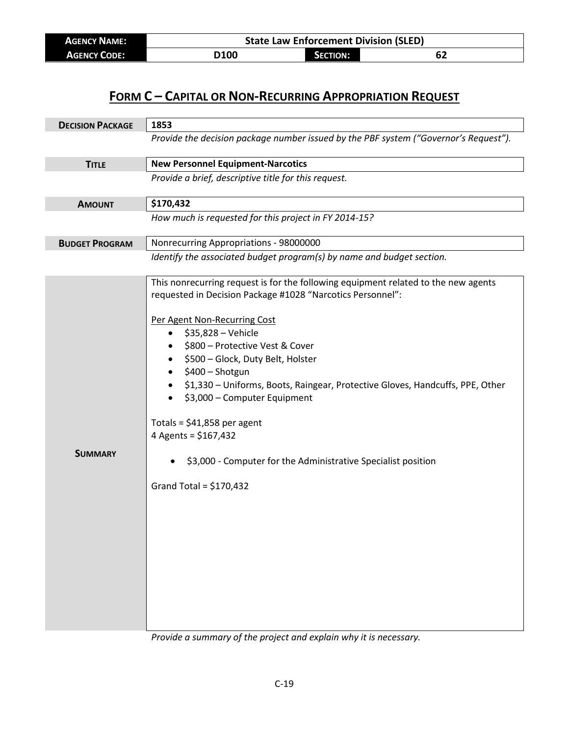| <b>AGENCY NAME:</b> | <b>State Law Enforcement Division (SLED)</b> |          |    |  |
|---------------------|----------------------------------------------|----------|----|--|
| <b>AGENCY CODE:</b> | D100                                         | SECTION: | ОZ |  |

| <b>DECISION PACKAGE</b> | 1853                                                                                                                                                                                                                                                                                                                                                                                                                                                                                                                                                                                 |  |
|-------------------------|--------------------------------------------------------------------------------------------------------------------------------------------------------------------------------------------------------------------------------------------------------------------------------------------------------------------------------------------------------------------------------------------------------------------------------------------------------------------------------------------------------------------------------------------------------------------------------------|--|
|                         | Provide the decision package number issued by the PBF system ("Governor's Request").                                                                                                                                                                                                                                                                                                                                                                                                                                                                                                 |  |
| <b>TITLE</b>            | <b>New Personnel Equipment-Narcotics</b>                                                                                                                                                                                                                                                                                                                                                                                                                                                                                                                                             |  |
|                         | Provide a brief, descriptive title for this request.                                                                                                                                                                                                                                                                                                                                                                                                                                                                                                                                 |  |
| <b>AMOUNT</b>           | \$170,432                                                                                                                                                                                                                                                                                                                                                                                                                                                                                                                                                                            |  |
|                         | How much is requested for this project in FY 2014-15?                                                                                                                                                                                                                                                                                                                                                                                                                                                                                                                                |  |
| <b>BUDGET PROGRAM</b>   | Nonrecurring Appropriations - 98000000                                                                                                                                                                                                                                                                                                                                                                                                                                                                                                                                               |  |
|                         | Identify the associated budget program(s) by name and budget section.                                                                                                                                                                                                                                                                                                                                                                                                                                                                                                                |  |
| <b>SUMMARY</b>          | This nonrecurring request is for the following equipment related to the new agents<br>requested in Decision Package #1028 "Narcotics Personnel":<br>Per Agent Non-Recurring Cost<br>\$35,828 - Vehicle<br>$\bullet$<br>\$800 - Protective Vest & Cover<br>\$500 - Glock, Duty Belt, Holster<br>\$400 - Shotgun<br>\$1,330 - Uniforms, Boots, Raingear, Protective Gloves, Handcuffs, PPE, Other<br>\$3,000 - Computer Equipment<br>Totals = $$41,858$ per agent<br>4 Agents = \$167,432<br>\$3,000 - Computer for the Administrative Specialist position<br>Grand Total = $$170,432$ |  |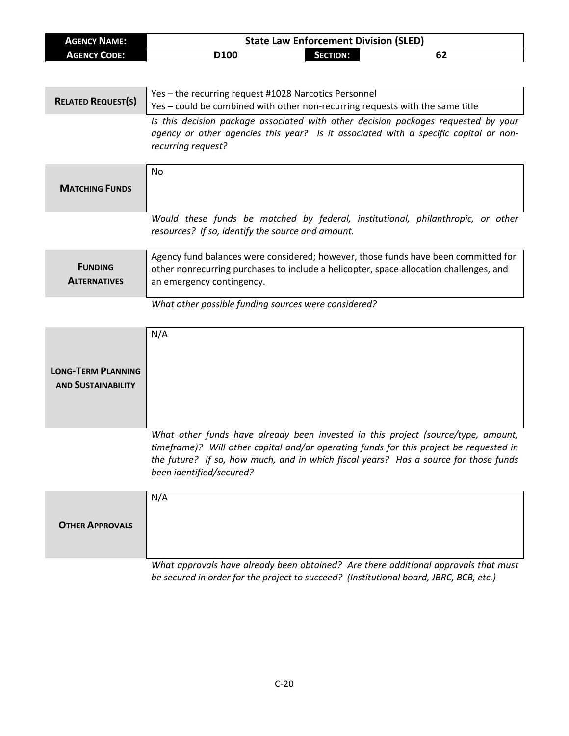| <b>AGENCY NAME:</b>                                    | <b>State Law Enforcement Division (SLED)</b>                                                                                                                                                                                                                                                    |  |  |
|--------------------------------------------------------|-------------------------------------------------------------------------------------------------------------------------------------------------------------------------------------------------------------------------------------------------------------------------------------------------|--|--|
| <b>AGENCY CODE:</b>                                    | D100<br>62<br><b>SECTION:</b>                                                                                                                                                                                                                                                                   |  |  |
|                                                        |                                                                                                                                                                                                                                                                                                 |  |  |
| <b>RELATED REQUEST(S)</b>                              | Yes - the recurring request #1028 Narcotics Personnel<br>Yes - could be combined with other non-recurring requests with the same title                                                                                                                                                          |  |  |
|                                                        | Is this decision package associated with other decision packages requested by your<br>agency or other agencies this year? Is it associated with a specific capital or non-<br>recurring request?                                                                                                |  |  |
| <b>MATCHING FUNDS</b>                                  | No                                                                                                                                                                                                                                                                                              |  |  |
|                                                        | Would these funds be matched by federal, institutional, philanthropic, or other<br>resources? If so, identify the source and amount.                                                                                                                                                            |  |  |
| <b>FUNDING</b><br><b>ALTERNATIVES</b>                  | Agency fund balances were considered; however, those funds have been committed for<br>other nonrecurring purchases to include a helicopter, space allocation challenges, and<br>an emergency contingency.                                                                                       |  |  |
|                                                        | What other possible funding sources were considered?                                                                                                                                                                                                                                            |  |  |
| <b>LONG-TERM PLANNING</b><br><b>AND SUSTAINABILITY</b> | N/A                                                                                                                                                                                                                                                                                             |  |  |
|                                                        | What other funds have already been invested in this project (source/type, amount,<br>timeframe)? Will other capital and/or operating funds for this project be requested in<br>the future? If so, how much, and in which fiscal years? Has a source for those funds<br>been identified/secured? |  |  |
| <b>OTHER APPROVALS</b>                                 | N/A                                                                                                                                                                                                                                                                                             |  |  |
|                                                        | What approvals have already been obtained? Are there additional approvals that must<br>be secured in order for the project to succeed? (Institutional board, JBRC, BCB, etc.)                                                                                                                   |  |  |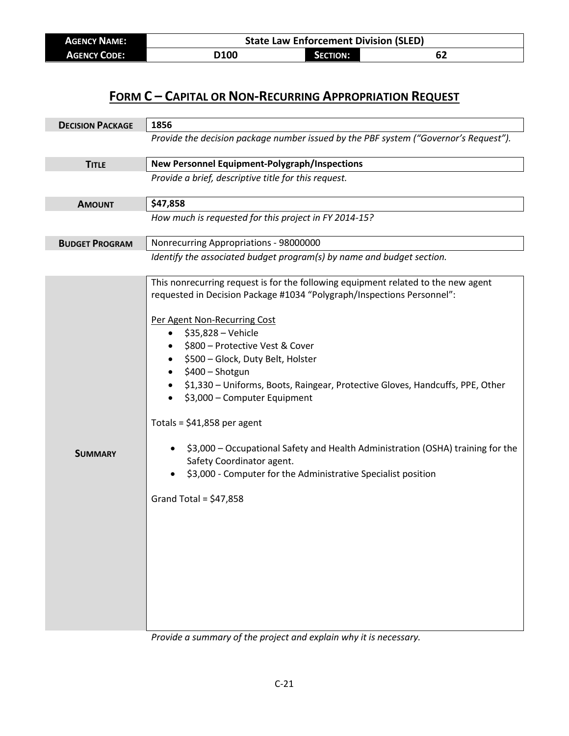| <b>AGENCY NAME:</b> |      | <b>State Law Enforcement Division (SLED)</b> |    |  |
|---------------------|------|----------------------------------------------|----|--|
| <b>AGENCY CODE:</b> | D100 | <b>SECTION:</b>                              | 62 |  |

| <b>DECISION PACKAGE</b> | 1856                                                                                                                                                                                                                                                                                                                                                                                                                                                                                                                                                                                                                                                                                                |  |  |
|-------------------------|-----------------------------------------------------------------------------------------------------------------------------------------------------------------------------------------------------------------------------------------------------------------------------------------------------------------------------------------------------------------------------------------------------------------------------------------------------------------------------------------------------------------------------------------------------------------------------------------------------------------------------------------------------------------------------------------------------|--|--|
|                         | Provide the decision package number issued by the PBF system ("Governor's Request").                                                                                                                                                                                                                                                                                                                                                                                                                                                                                                                                                                                                                |  |  |
| <b>TITLE</b>            | New Personnel Equipment-Polygraph/Inspections                                                                                                                                                                                                                                                                                                                                                                                                                                                                                                                                                                                                                                                       |  |  |
|                         | Provide a brief, descriptive title for this request.                                                                                                                                                                                                                                                                                                                                                                                                                                                                                                                                                                                                                                                |  |  |
| <b>AMOUNT</b>           | \$47,858                                                                                                                                                                                                                                                                                                                                                                                                                                                                                                                                                                                                                                                                                            |  |  |
|                         | How much is requested for this project in FY 2014-15?                                                                                                                                                                                                                                                                                                                                                                                                                                                                                                                                                                                                                                               |  |  |
| <b>BUDGET PROGRAM</b>   | Nonrecurring Appropriations - 98000000                                                                                                                                                                                                                                                                                                                                                                                                                                                                                                                                                                                                                                                              |  |  |
|                         | Identify the associated budget program(s) by name and budget section.                                                                                                                                                                                                                                                                                                                                                                                                                                                                                                                                                                                                                               |  |  |
| <b>SUMMARY</b>          | This nonrecurring request is for the following equipment related to the new agent<br>requested in Decision Package #1034 "Polygraph/Inspections Personnel":<br>Per Agent Non-Recurring Cost<br>\$35,828 - Vehicle<br>$\bullet$<br>\$800 - Protective Vest & Cover<br>\$500 - Glock, Duty Belt, Holster<br>$\bullet$<br>\$400 - Shotgun<br>\$1,330 - Uniforms, Boots, Raingear, Protective Gloves, Handcuffs, PPE, Other<br>\$3,000 - Computer Equipment<br>Totals = $$41,858$ per agent<br>\$3,000 - Occupational Safety and Health Administration (OSHA) training for the<br>Safety Coordinator agent.<br>\$3,000 - Computer for the Administrative Specialist position<br>Grand Total = $$47,858$ |  |  |

*Provide a summary of the project and explain why it is necessary.*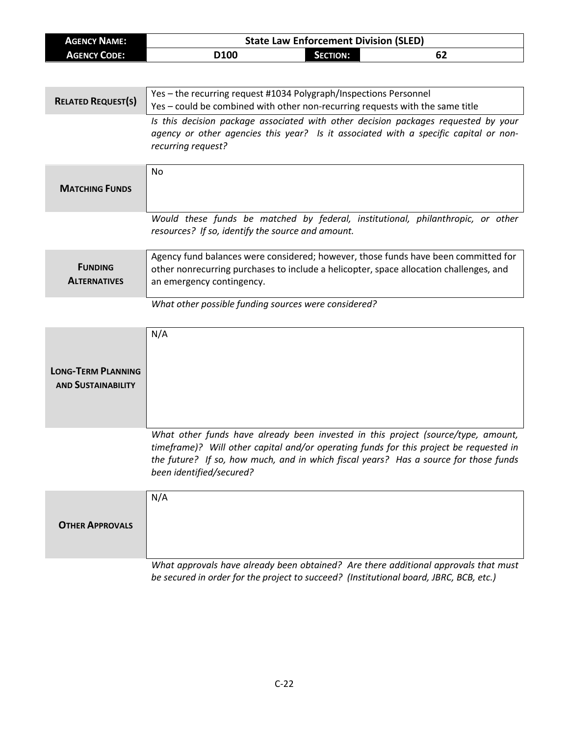| <b>AGENCY NAME:</b>                   | <b>State Law Enforcement Division (SLED)</b>                                                                                                                                                               |  |  |
|---------------------------------------|------------------------------------------------------------------------------------------------------------------------------------------------------------------------------------------------------------|--|--|
| <b>AGENCY CODE:</b>                   | D100<br><b>SECTION:</b><br>62                                                                                                                                                                              |  |  |
|                                       |                                                                                                                                                                                                            |  |  |
|                                       | Yes - the recurring request #1034 Polygraph/Inspections Personnel                                                                                                                                          |  |  |
| <b>RELATED REQUEST(S)</b>             | Yes - could be combined with other non-recurring requests with the same title                                                                                                                              |  |  |
|                                       | Is this decision package associated with other decision packages requested by your<br>agency or other agencies this year? Is it associated with a specific capital or non-<br>recurring request?           |  |  |
|                                       | No                                                                                                                                                                                                         |  |  |
| <b>MATCHING FUNDS</b>                 |                                                                                                                                                                                                            |  |  |
|                                       | Would these funds be matched by federal, institutional, philanthropic, or other<br>resources? If so, identify the source and amount.                                                                       |  |  |
| <b>FUNDING</b><br><b>ALTERNATIVES</b> | Agency fund balances were considered; however, those funds have been committed for<br>other nonrecurring purchases to include a helicopter, space allocation challenges, and<br>an emergency contingency.  |  |  |
|                                       | What other possible funding sources were considered?                                                                                                                                                       |  |  |
|                                       | N/A                                                                                                                                                                                                        |  |  |
|                                       |                                                                                                                                                                                                            |  |  |
| <b>LONG-TERM PLANNING</b>             |                                                                                                                                                                                                            |  |  |
| <b>AND SUSTAINABILITY</b>             |                                                                                                                                                                                                            |  |  |
|                                       |                                                                                                                                                                                                            |  |  |
|                                       |                                                                                                                                                                                                            |  |  |
|                                       | What other funds have already been invested in this project (source/type, amount,                                                                                                                          |  |  |
|                                       | timeframe)? Will other capital and/or operating funds for this project be requested in<br>the future? If so, how much, and in which fiscal years? Has a source for those funds<br>been identified/secured? |  |  |
|                                       | N/A                                                                                                                                                                                                        |  |  |
|                                       |                                                                                                                                                                                                            |  |  |
| <b>OTHER APPROVALS</b>                |                                                                                                                                                                                                            |  |  |
|                                       | What approvals have already been obtained? Are there additional approvals that must                                                                                                                        |  |  |
|                                       | be secured in order for the project to succeed? (Institutional board, JBRC, BCB, etc.)                                                                                                                     |  |  |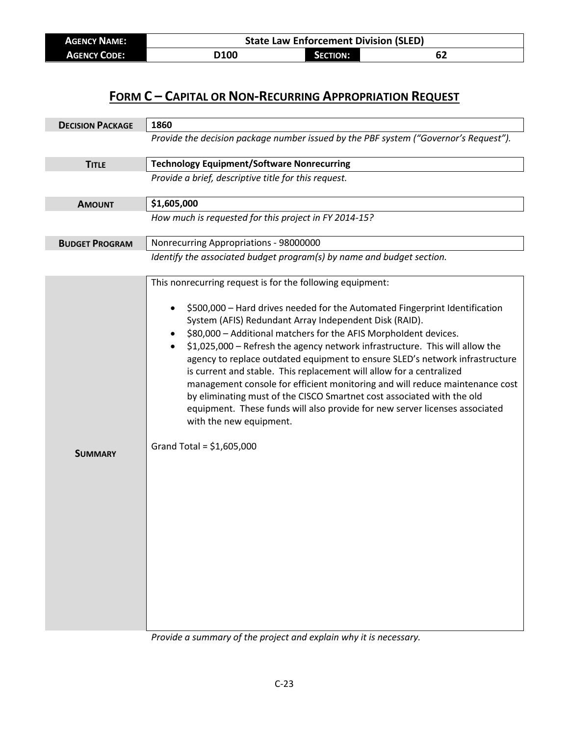| <b>AGENCY NAME:</b> | <b>State Law Enforcement Division (SLED)</b> |          |    |  |
|---------------------|----------------------------------------------|----------|----|--|
| <b>AGENCY CODE:</b> | D100                                         | SECTION: | 62 |  |

| <b>DECISION PACKAGE</b> | 1860                                                                                                                                                                                                                                                                                                                                                                                                                                                                                                                                                                                                                                                                                                                                                                                                             |  |  |
|-------------------------|------------------------------------------------------------------------------------------------------------------------------------------------------------------------------------------------------------------------------------------------------------------------------------------------------------------------------------------------------------------------------------------------------------------------------------------------------------------------------------------------------------------------------------------------------------------------------------------------------------------------------------------------------------------------------------------------------------------------------------------------------------------------------------------------------------------|--|--|
|                         | Provide the decision package number issued by the PBF system ("Governor's Request").                                                                                                                                                                                                                                                                                                                                                                                                                                                                                                                                                                                                                                                                                                                             |  |  |
|                         |                                                                                                                                                                                                                                                                                                                                                                                                                                                                                                                                                                                                                                                                                                                                                                                                                  |  |  |
| <b>TITLE</b>            | <b>Technology Equipment/Software Nonrecurring</b>                                                                                                                                                                                                                                                                                                                                                                                                                                                                                                                                                                                                                                                                                                                                                                |  |  |
|                         | Provide a brief, descriptive title for this request.                                                                                                                                                                                                                                                                                                                                                                                                                                                                                                                                                                                                                                                                                                                                                             |  |  |
| <b>AMOUNT</b>           | \$1,605,000                                                                                                                                                                                                                                                                                                                                                                                                                                                                                                                                                                                                                                                                                                                                                                                                      |  |  |
|                         | How much is requested for this project in FY 2014-15?                                                                                                                                                                                                                                                                                                                                                                                                                                                                                                                                                                                                                                                                                                                                                            |  |  |
| <b>BUDGET PROGRAM</b>   | Nonrecurring Appropriations - 98000000                                                                                                                                                                                                                                                                                                                                                                                                                                                                                                                                                                                                                                                                                                                                                                           |  |  |
|                         | Identify the associated budget program(s) by name and budget section.                                                                                                                                                                                                                                                                                                                                                                                                                                                                                                                                                                                                                                                                                                                                            |  |  |
| <b>SUMMARY</b>          | This nonrecurring request is for the following equipment:<br>\$500,000 - Hard drives needed for the Automated Fingerprint Identification<br>System (AFIS) Redundant Array Independent Disk (RAID).<br>\$80,000 - Additional matchers for the AFIS Morpholdent devices.<br>\$1,025,000 - Refresh the agency network infrastructure. This will allow the<br>agency to replace outdated equipment to ensure SLED's network infrastructure<br>is current and stable. This replacement will allow for a centralized<br>management console for efficient monitoring and will reduce maintenance cost<br>by eliminating must of the CISCO Smartnet cost associated with the old<br>equipment. These funds will also provide for new server licenses associated<br>with the new equipment.<br>Grand Total = $$1,605,000$ |  |  |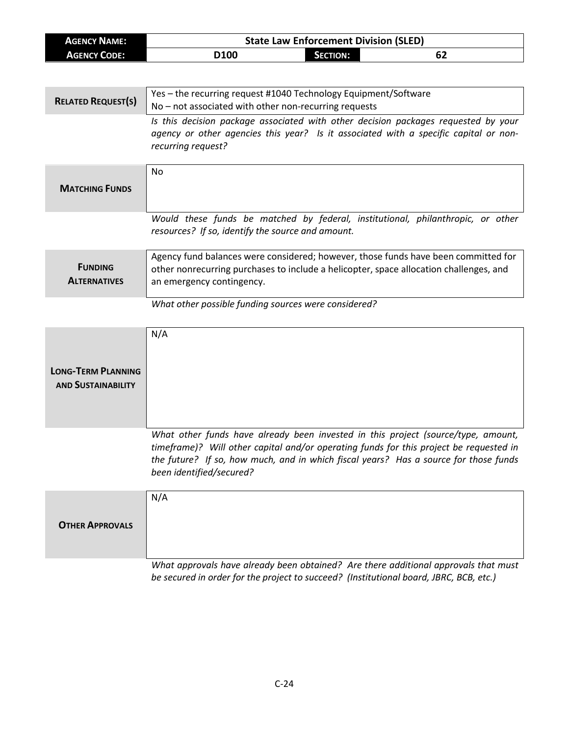| <b>AGENCY NAME:</b>       | <b>State Law Enforcement Division (SLED)</b>                                                               |  |  |
|---------------------------|------------------------------------------------------------------------------------------------------------|--|--|
| <b>AGENCY CODE:</b>       | D100<br><b>SECTION:</b><br>62                                                                              |  |  |
|                           |                                                                                                            |  |  |
|                           |                                                                                                            |  |  |
| <b>RELATED REQUEST(S)</b> | Yes - the recurring request #1040 Technology Equipment/Software                                            |  |  |
|                           | No - not associated with other non-recurring requests                                                      |  |  |
|                           | Is this decision package associated with other decision packages requested by your                         |  |  |
|                           | agency or other agencies this year? Is it associated with a specific capital or non-<br>recurring request? |  |  |
|                           |                                                                                                            |  |  |
|                           | No                                                                                                         |  |  |
|                           |                                                                                                            |  |  |
| <b>MATCHING FUNDS</b>     |                                                                                                            |  |  |
|                           |                                                                                                            |  |  |
|                           | Would these funds be matched by federal, institutional, philanthropic, or other                            |  |  |
|                           | resources? If so, identify the source and amount.                                                          |  |  |
|                           | Agency fund balances were considered; however, those funds have been committed for                         |  |  |
| <b>FUNDING</b>            | other nonrecurring purchases to include a helicopter, space allocation challenges, and                     |  |  |
| <b>ALTERNATIVES</b>       | an emergency contingency.                                                                                  |  |  |
|                           |                                                                                                            |  |  |
|                           | What other possible funding sources were considered?                                                       |  |  |
|                           |                                                                                                            |  |  |
|                           | N/A                                                                                                        |  |  |
|                           |                                                                                                            |  |  |
|                           |                                                                                                            |  |  |
| <b>LONG-TERM PLANNING</b> |                                                                                                            |  |  |
| <b>AND SUSTAINABILITY</b> |                                                                                                            |  |  |
|                           |                                                                                                            |  |  |
|                           |                                                                                                            |  |  |
|                           | What other funds have already been invested in this project (source/type, amount,                          |  |  |
|                           | timeframe)? Will other capital and/or operating funds for this project be requested in                     |  |  |
|                           | the future? If so, how much, and in which fiscal years? Has a source for those funds                       |  |  |
|                           | been identified/secured?                                                                                   |  |  |
|                           | N/A                                                                                                        |  |  |
|                           |                                                                                                            |  |  |
| <b>OTHER APPROVALS</b>    |                                                                                                            |  |  |
|                           |                                                                                                            |  |  |
|                           |                                                                                                            |  |  |
|                           | What approvals have already been obtained? Are there additional approvals that must                        |  |  |
|                           | be secured in order for the project to succeed? (Institutional board, JBRC, BCB, etc.)                     |  |  |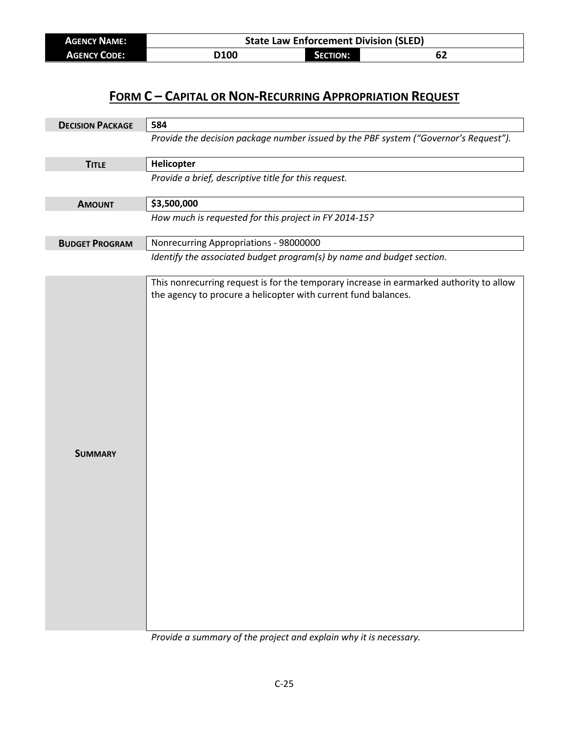| <b>AGENCY NAME:</b> | <b>State Law Enforcement Division (SLED)</b> |                 |    |  |
|---------------------|----------------------------------------------|-----------------|----|--|
| <b>AGENCY CODE:</b> | <b>D100</b>                                  | <b>SECTION:</b> | 62 |  |

| <b>DECISION PACKAGE</b> | 584                                                                                                                                                       |  |  |
|-------------------------|-----------------------------------------------------------------------------------------------------------------------------------------------------------|--|--|
|                         | Provide the decision package number issued by the PBF system ("Governor's Request").                                                                      |  |  |
| <b>TITLE</b>            | Helicopter                                                                                                                                                |  |  |
|                         | Provide a brief, descriptive title for this request.                                                                                                      |  |  |
| <b>AMOUNT</b>           | \$3,500,000                                                                                                                                               |  |  |
|                         | How much is requested for this project in FY 2014-15?                                                                                                     |  |  |
| <b>BUDGET PROGRAM</b>   | Nonrecurring Appropriations - 98000000                                                                                                                    |  |  |
|                         | Identify the associated budget program(s) by name and budget section.                                                                                     |  |  |
| <b>SUMMARY</b>          | This nonrecurring request is for the temporary increase in earmarked authority to allow<br>the agency to procure a helicopter with current fund balances. |  |  |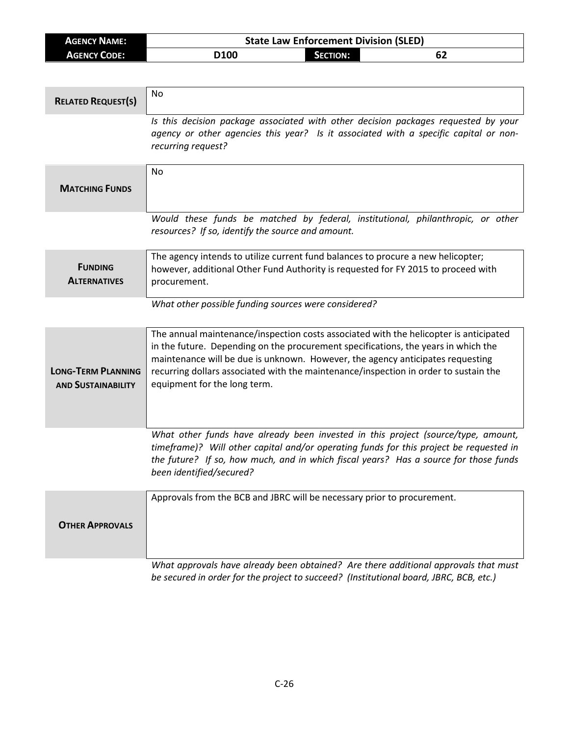| AGENCY NAME:        | <b>State Law Enforcement Division (SLED)</b> |                 |    |
|---------------------|----------------------------------------------|-----------------|----|
| <b>AGENCY CODE:</b> | D100                                         | <b>SECTION:</b> | 0Z |

| <b>RELATED REQUEST(S)</b>                              | <b>No</b>                                                                                                                                                                                                                                                                                                                                                                             |
|--------------------------------------------------------|---------------------------------------------------------------------------------------------------------------------------------------------------------------------------------------------------------------------------------------------------------------------------------------------------------------------------------------------------------------------------------------|
|                                                        | Is this decision package associated with other decision packages requested by your<br>agency or other agencies this year? Is it associated with a specific capital or non-<br>recurring request?                                                                                                                                                                                      |
| <b>MATCHING FUNDS</b>                                  | <b>No</b>                                                                                                                                                                                                                                                                                                                                                                             |
|                                                        | Would these funds be matched by federal, institutional, philanthropic, or other<br>resources? If so, identify the source and amount.                                                                                                                                                                                                                                                  |
| <b>FUNDING</b><br><b>ALTERNATIVES</b>                  | The agency intends to utilize current fund balances to procure a new helicopter;<br>however, additional Other Fund Authority is requested for FY 2015 to proceed with<br>procurement.                                                                                                                                                                                                 |
|                                                        | What other possible funding sources were considered?                                                                                                                                                                                                                                                                                                                                  |
| <b>LONG-TERM PLANNING</b><br><b>AND SUSTAINABILITY</b> | The annual maintenance/inspection costs associated with the helicopter is anticipated<br>in the future. Depending on the procurement specifications, the years in which the<br>maintenance will be due is unknown. However, the agency anticipates requesting<br>recurring dollars associated with the maintenance/inspection in order to sustain the<br>equipment for the long term. |
|                                                        | What other funds have already been invested in this project (source/type, amount,<br>timeframe)? Will other capital and/or operating funds for this project be requested in<br>the future? If so, how much, and in which fiscal years? Has a source for those funds<br>been identified/secured?                                                                                       |
| <b>OTHER APPROVALS</b>                                 | Approvals from the BCB and JBRC will be necessary prior to procurement.                                                                                                                                                                                                                                                                                                               |
|                                                        | What approvals have already been obtained? Are there additional approvals that must<br>be secured in order for the project to succeed? (Institutional board, JBRC, BCB, etc.)                                                                                                                                                                                                         |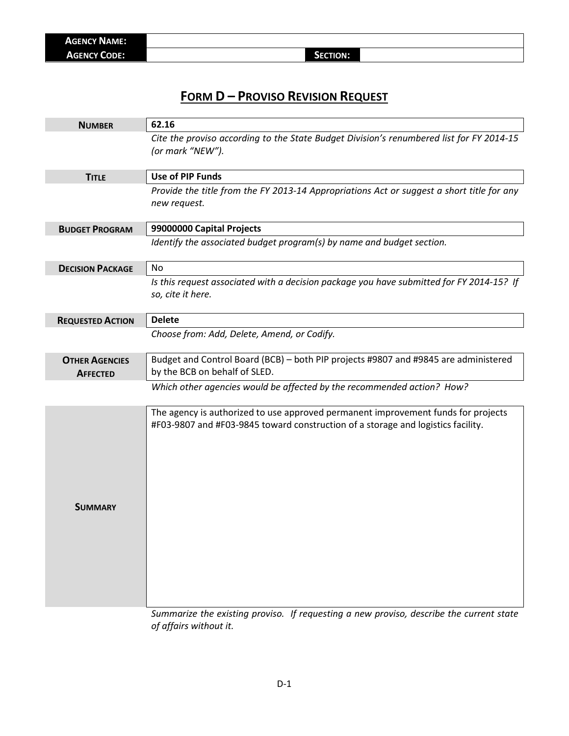## **FORM D – PROVISO REVISION REQUEST**

| <b>NUMBER</b>                            | 62.16                                                                                                                                                                 |
|------------------------------------------|-----------------------------------------------------------------------------------------------------------------------------------------------------------------------|
|                                          | Cite the proviso according to the State Budget Division's renumbered list for FY 2014-15<br>(or mark "NEW").                                                          |
| <b>TITLE</b>                             | <b>Use of PIP Funds</b>                                                                                                                                               |
|                                          | Provide the title from the FY 2013-14 Appropriations Act or suggest a short title for any<br>new request.                                                             |
| <b>BUDGET PROGRAM</b>                    | 99000000 Capital Projects                                                                                                                                             |
|                                          | Identify the associated budget program(s) by name and budget section.                                                                                                 |
| <b>DECISION PACKAGE</b>                  | <b>No</b>                                                                                                                                                             |
|                                          | Is this request associated with a decision package you have submitted for FY 2014-15? If<br>so, cite it here.                                                         |
| <b>REQUESTED ACTION</b>                  | <b>Delete</b>                                                                                                                                                         |
|                                          | Choose from: Add, Delete, Amend, or Codify.                                                                                                                           |
| <b>OTHER AGENCIES</b><br><b>AFFECTED</b> | Budget and Control Board (BCB) - both PIP projects #9807 and #9845 are administered<br>by the BCB on behalf of SLED.                                                  |
|                                          | Which other agencies would be affected by the recommended action? How?                                                                                                |
| <b>SUMMARY</b>                           | The agency is authorized to use approved permanent improvement funds for projects<br>#F03-9807 and #F03-9845 toward construction of a storage and logistics facility. |

*Summarize the existing proviso. If requesting a new proviso, describe the current state of affairs without it.*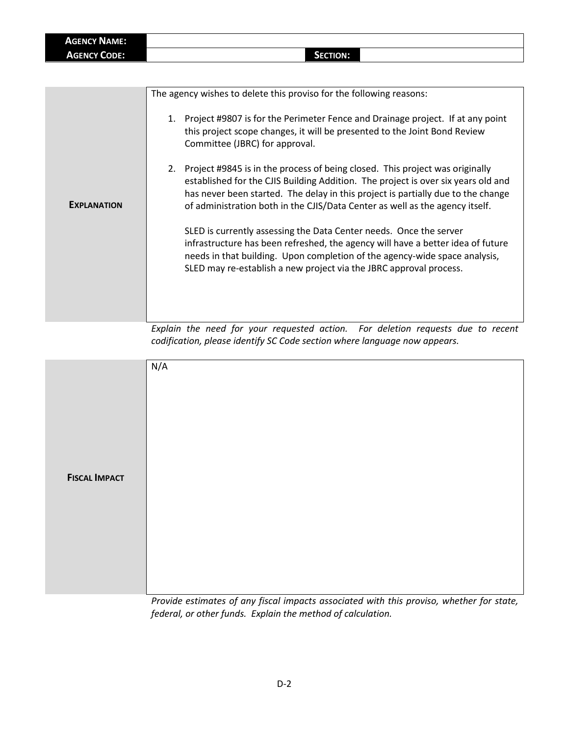| <b>AGENCY NAME:</b> |                 |  |
|---------------------|-----------------|--|
| <b>AGENCY CODE:</b> | <b>SECTION:</b> |  |

|                    | The agency wishes to delete this proviso for the following reasons:                                                                                                                                                                                                                                                                      |
|--------------------|------------------------------------------------------------------------------------------------------------------------------------------------------------------------------------------------------------------------------------------------------------------------------------------------------------------------------------------|
| <b>EXPLANATION</b> | 1. Project #9807 is for the Perimeter Fence and Drainage project. If at any point<br>this project scope changes, it will be presented to the Joint Bond Review<br>Committee (JBRC) for approval.                                                                                                                                         |
|                    | 2. Project #9845 is in the process of being closed. This project was originally<br>established for the CJIS Building Addition. The project is over six years old and<br>has never been started. The delay in this project is partially due to the change<br>of administration both in the CJIS/Data Center as well as the agency itself. |
|                    | SLED is currently assessing the Data Center needs. Once the server<br>infrastructure has been refreshed, the agency will have a better idea of future<br>needs in that building. Upon completion of the agency-wide space analysis,<br>SLED may re-establish a new project via the JBRC approval process.                                |
|                    | $\sim$<br>.                                                                                                                                                                                                                                                                                                                              |

*Explain the need for your requested action. For deletion requests due to recent codification, please identify SC Code section where language now appears.*

|                      | N/A                                                                                                                                                                                                                                                                                                                                                                                                                                                                                                                                                   |
|----------------------|-------------------------------------------------------------------------------------------------------------------------------------------------------------------------------------------------------------------------------------------------------------------------------------------------------------------------------------------------------------------------------------------------------------------------------------------------------------------------------------------------------------------------------------------------------|
| <b>FISCAL IMPACT</b> |                                                                                                                                                                                                                                                                                                                                                                                                                                                                                                                                                       |
|                      | $\mathbf{r}$ and $\mathbf{r}$ and $\mathbf{r}$ and $\mathbf{r}$<br>$\sim$ . The second contract of the second contract of the second contract of the second contract of the second contract of the second contract of the second contract of the second contract of the second contract of the sec<br>the state of the state of the state of the state of the state of the state of the state of the state of the state of the state of the state of the state of the state of the state of the state of the state of the state of t<br>$\sim$ $\sim$ |

*Provide estimates of any fiscal impacts associated with this proviso, whether for state, federal, or other funds. Explain the method of calculation.*